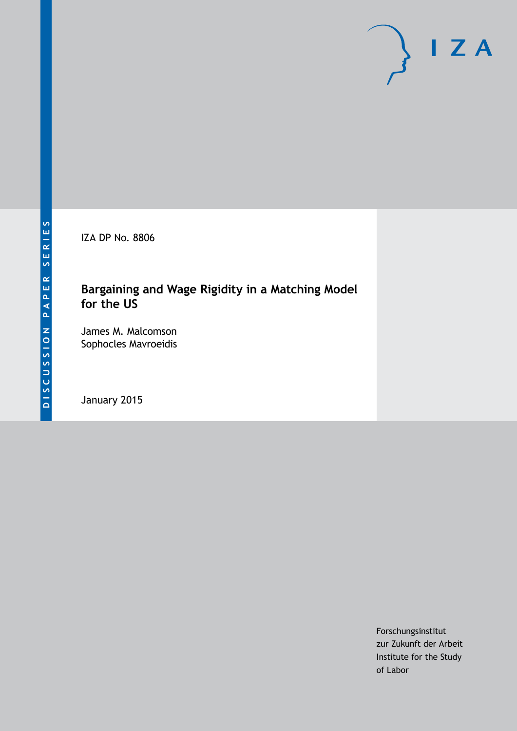IZA DP No. 8806

# **Bargaining and Wage Rigidity in a Matching Model for the US**

James M. Malcomson Sophocles Mavroeidis

January 2015

Forschungsinstitut zur Zukunft der Arbeit Institute for the Study of Labor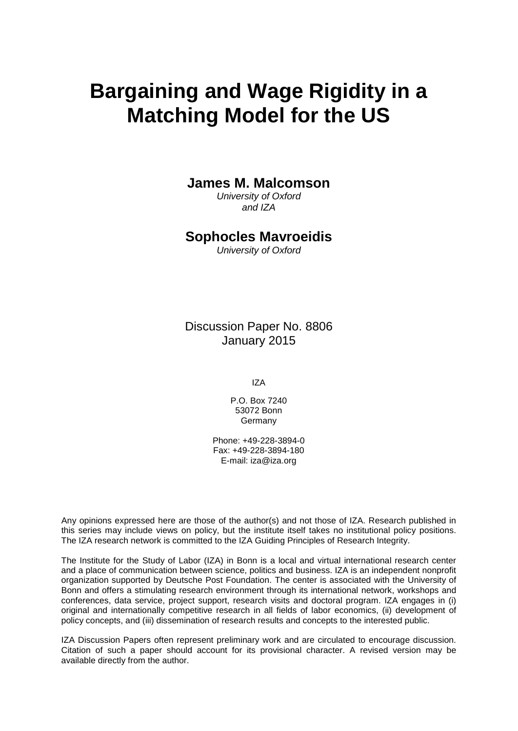# **Bargaining and Wage Rigidity in a Matching Model for the US**

### **James M. Malcomson**

*University of Oxford and IZA*

### **Sophocles Mavroeidis**

*University of Oxford*

Discussion Paper No. 8806 January 2015

IZA

P.O. Box 7240 53072 Bonn Germany

Phone: +49-228-3894-0 Fax: +49-228-3894-180 E-mail: [iza@iza.org](mailto:iza@iza.org)

Any opinions expressed here are those of the author(s) and not those of IZA. Research published in this series may include views on policy, but the institute itself takes no institutional policy positions. The IZA research network is committed to the IZA Guiding Principles of Research Integrity.

The Institute for the Study of Labor (IZA) in Bonn is a local and virtual international research center and a place of communication between science, politics and business. IZA is an independent nonprofit organization supported by Deutsche Post Foundation. The center is associated with the University of Bonn and offers a stimulating research environment through its international network, workshops and conferences, data service, project support, research visits and doctoral program. IZA engages in (i) original and internationally competitive research in all fields of labor economics, (ii) development of policy concepts, and (iii) dissemination of research results and concepts to the interested public.

<span id="page-1-0"></span>IZA Discussion Papers often represent preliminary work and are circulated to encourage discussion. Citation of such a paper should account for its provisional character. A revised version may be available directly from the author.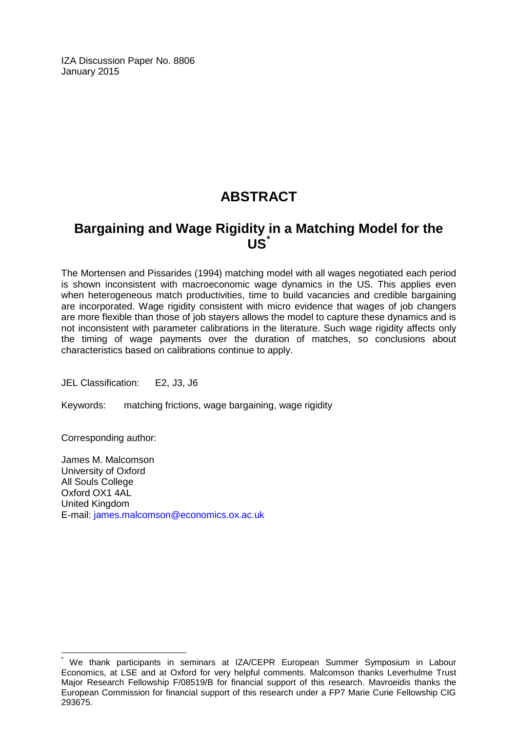IZA Discussion Paper No. 8806 January 2015

# **ABSTRACT**

# **Bargaining and Wage Rigidity in a Matching Model for the US[\\*](#page-1-0)**

The Mortensen and Pissarides (1994) matching model with all wages negotiated each period is shown inconsistent with macroeconomic wage dynamics in the US. This applies even when heterogeneous match productivities, time to build vacancies and credible bargaining are incorporated. Wage rigidity consistent with micro evidence that wages of job changers are more flexible than those of job stayers allows the model to capture these dynamics and is not inconsistent with parameter calibrations in the literature. Such wage rigidity affects only the timing of wage payments over the duration of matches, so conclusions about characteristics based on calibrations continue to apply.

JEL Classification: E2, J3, J6

Keywords: matching frictions, wage bargaining, wage rigidity

Corresponding author:

James M. Malcomson University of Oxford All Souls College Oxford OX1 4AL United Kingdom E-mail: [james.malcomson@economics.ox.ac.uk](mailto:james.malcomson@economics.ox.ac.uk)

We thank participants in seminars at IZA/CEPR European Summer Symposium in Labour Economics, at LSE and at Oxford for very helpful comments. Malcomson thanks Leverhulme Trust Major Research Fellowship F/08519/B for financial support of this research. Mavroeidis thanks the European Commission for financial support of this research under a FP7 Marie Curie Fellowship CIG 293675.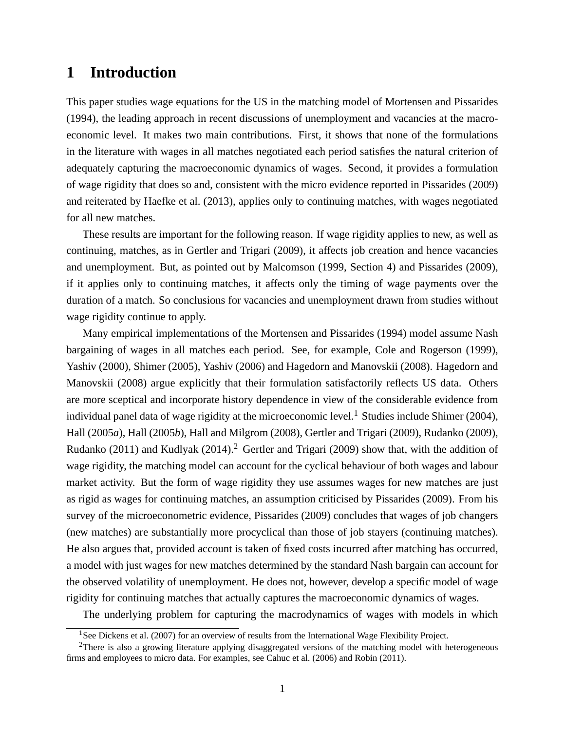# **1 Introduction**

This paper studies wage equations for the US in the matching model of Mortensen and Pissarides (1994), the leading approach in recent discussions of unemployment and vacancies at the macroeconomic level. It makes two main contributions. First, it shows that none of the formulations in the literature with wages in all matches negotiated each period satisfies the natural criterion of adequately capturing the macroeconomic dynamics of wages. Second, it provides a formulation of wage rigidity that does so and, consistent with the micro evidence reported in Pissarides (2009) and reiterated by Haefke et al. (2013), applies only to continuing matches, with wages negotiated for all new matches.

These results are important for the following reason. If wage rigidity applies to new, as well as continuing, matches, as in Gertler and Trigari (2009), it affects job creation and hence vacancies and unemployment. But, as pointed out by Malcomson (1999, Section 4) and Pissarides (2009), if it applies only to continuing matches, it affects only the timing of wage payments over the duration of a match. So conclusions for vacancies and unemployment drawn from studies without wage rigidity continue to apply.

Many empirical implementations of the Mortensen and Pissarides (1994) model assume Nash bargaining of wages in all matches each period. See, for example, Cole and Rogerson (1999), Yashiv (2000), Shimer (2005), Yashiv (2006) and Hagedorn and Manovskii (2008). Hagedorn and Manovskii (2008) argue explicitly that their formulation satisfactorily reflects US data. Others are more sceptical and incorporate history dependence in view of the considerable evidence from individual panel data of wage rigidity at the microeconomic level.<sup>1</sup> Studies include Shimer (2004), Hall (2005*a*), Hall (2005*b*), Hall and Milgrom (2008), Gertler and Trigari (2009), Rudanko (2009), Rudanko (2011) and Kudlyak (2014).<sup>2</sup> Gertler and Trigari (2009) show that, with the addition of wage rigidity, the matching model can account for the cyclical behaviour of both wages and labour market activity. But the form of wage rigidity they use assumes wages for new matches are just as rigid as wages for continuing matches, an assumption criticised by Pissarides (2009). From his survey of the microeconometric evidence, Pissarides (2009) concludes that wages of job changers (new matches) are substantially more procyclical than those of job stayers (continuing matches). He also argues that, provided account is taken of fixed costs incurred after matching has occurred, a model with just wages for new matches determined by the standard Nash bargain can account for the observed volatility of unemployment. He does not, however, develop a specific model of wage rigidity for continuing matches that actually captures the macroeconomic dynamics of wages.

The underlying problem for capturing the macrodynamics of wages with models in which

<sup>&</sup>lt;sup>1</sup>See Dickens et al. (2007) for an overview of results from the International Wage Flexibility Project.

<sup>&</sup>lt;sup>2</sup>There is also a growing literature applying disaggregated versions of the matching model with heterogeneous firms and employees to micro data. For examples, see Cahuc et al. (2006) and Robin (2011).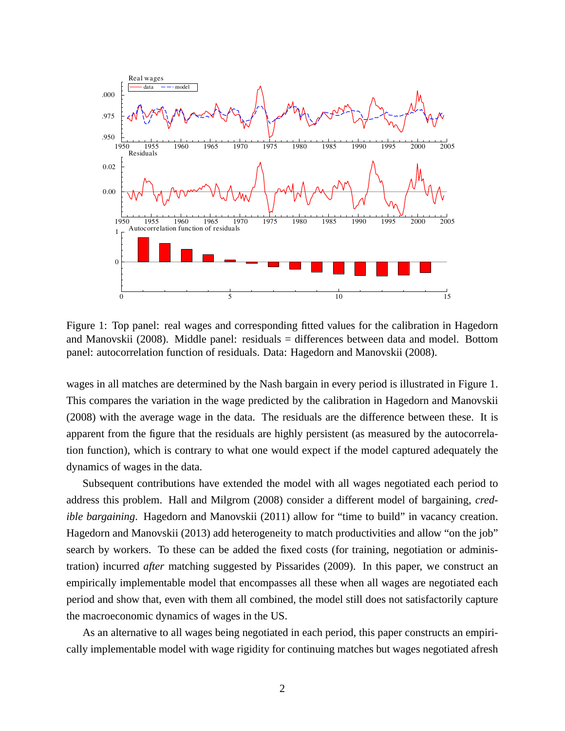

Figure 1: Top panel: real wages and corresponding fitted values for the calibration in Hagedorn and Manovskii (2008). Middle panel: residuals = differences between data and model. Bottom panel: autocorrelation function of residuals. Data: Hagedorn and Manovskii (2008).

wages in all matches are determined by the Nash bargain in every period is illustrated in Figure 1. This compares the variation in the wage predicted by the calibration in Hagedorn and Manovskii (2008) with the average wage in the data. The residuals are the difference between these. It is apparent from the figure that the residuals are highly persistent (as measured by the autocorrelation function), which is contrary to what one would expect if the model captured adequately the dynamics of wages in the data.

Subsequent contributions have extended the model with all wages negotiated each period to address this problem. Hall and Milgrom (2008) consider a different model of bargaining, *credible bargaining*. Hagedorn and Manovskii (2011) allow for "time to build" in vacancy creation. Hagedorn and Manovskii (2013) add heterogeneity to match productivities and allow "on the job" search by workers. To these can be added the fixed costs (for training, negotiation or administration) incurred *after* matching suggested by Pissarides (2009). In this paper, we construct an empirically implementable model that encompasses all these when all wages are negotiated each period and show that, even with them all combined, the model still does not satisfactorily capture the macroeconomic dynamics of wages in the US.

As an alternative to all wages being negotiated in each period, this paper constructs an empirically implementable model with wage rigidity for continuing matches but wages negotiated afresh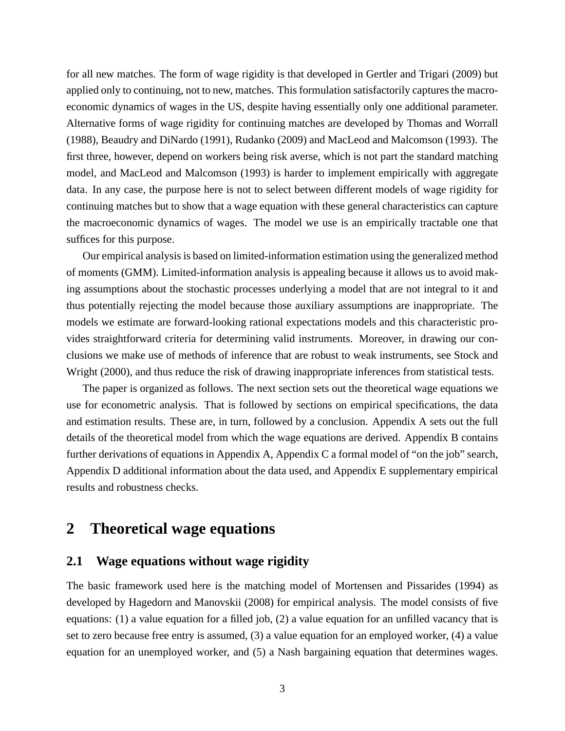for all new matches. The form of wage rigidity is that developed in Gertler and Trigari (2009) but applied only to continuing, not to new, matches. This formulation satisfactorily captures the macroeconomic dynamics of wages in the US, despite having essentially only one additional parameter. Alternative forms of wage rigidity for continuing matches are developed by Thomas and Worrall (1988), Beaudry and DiNardo (1991), Rudanko (2009) and MacLeod and Malcomson (1993). The first three, however, depend on workers being risk averse, which is not part the standard matching model, and MacLeod and Malcomson (1993) is harder to implement empirically with aggregate data. In any case, the purpose here is not to select between different models of wage rigidity for continuing matches but to show that a wage equation with these general characteristics can capture the macroeconomic dynamics of wages. The model we use is an empirically tractable one that suffices for this purpose.

Our empirical analysis is based on limited-information estimation using the generalized method of moments (GMM). Limited-information analysis is appealing because it allows us to avoid making assumptions about the stochastic processes underlying a model that are not integral to it and thus potentially rejecting the model because those auxiliary assumptions are inappropriate. The models we estimate are forward-looking rational expectations models and this characteristic provides straightforward criteria for determining valid instruments. Moreover, in drawing our conclusions we make use of methods of inference that are robust to weak instruments, see Stock and Wright (2000), and thus reduce the risk of drawing inappropriate inferences from statistical tests.

The paper is organized as follows. The next section sets out the theoretical wage equations we use for econometric analysis. That is followed by sections on empirical specifications, the data and estimation results. These are, in turn, followed by a conclusion. Appendix A sets out the full details of the theoretical model from which the wage equations are derived. Appendix B contains further derivations of equations in Appendix A, Appendix C a formal model of "on the job" search, Appendix D additional information about the data used, and Appendix E supplementary empirical results and robustness checks.

# **2 Theoretical wage equations**

#### **2.1 Wage equations without wage rigidity**

The basic framework used here is the matching model of Mortensen and Pissarides (1994) as developed by Hagedorn and Manovskii (2008) for empirical analysis. The model consists of five equations: (1) a value equation for a filled job, (2) a value equation for an unfilled vacancy that is set to zero because free entry is assumed, (3) a value equation for an employed worker, (4) a value equation for an unemployed worker, and (5) a Nash bargaining equation that determines wages.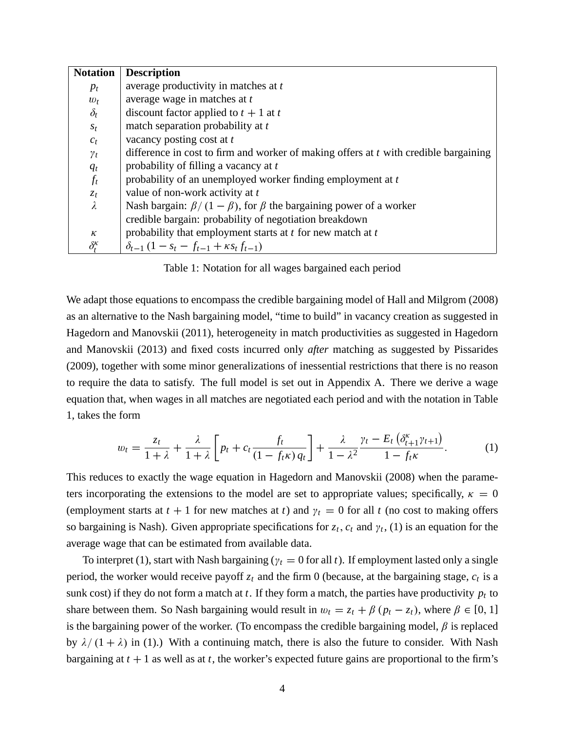| <b>Notation</b>     | <b>Description</b>                                                                   |
|---------------------|--------------------------------------------------------------------------------------|
| $p_t$               | average productivity in matches at t                                                 |
| $w_t$               | average wage in matches at t                                                         |
| $\delta_t$          | discount factor applied to $t + 1$ at t                                              |
| $S_t$               | match separation probability at t                                                    |
| $c_t$               | vacancy posting cost at t                                                            |
| $\gamma_t$          | difference in cost to firm and worker of making offers at t with credible bargaining |
| $q_t$               | probability of filling a vacancy at t                                                |
| $f_t$               | probability of an unemployed worker finding employment at t                          |
| $\zeta_t$           | value of non-work activity at t                                                      |
| $\lambda$           | Nash bargain: $\beta/(1-\beta)$ , for $\beta$ the bargaining power of a worker       |
|                     | credible bargain: probability of negotiation breakdown                               |
| $\kappa$            | probability that employment starts at $t$ for new match at $t$                       |
| $\delta_t^{\kappa}$ | $\delta_{t-1} (1 - s_t - f_{t-1} + \kappa s_t f_{t-1})$                              |

Table 1: Notation for all wages bargained each period

We adapt those equations to encompass the credible bargaining model of Hall and Milgrom (2008) as an alternative to the Nash bargaining model, "time to build" in vacancy creation as suggested in Hagedorn and Manovskii (2011), heterogeneity in match productivities as suggested in Hagedorn and Manovskii (2013) and fixed costs incurred only *after* matching as suggested by Pissarides (2009), together with some minor generalizations of inessential restrictions that there is no reason to require the data to satisfy. The full model is set out in Appendix A. There we derive a wage equation that, when wages in all matches are negotiated each period and with the notation in Table 1, takes the form

$$
w_t = \frac{z_t}{1+\lambda} + \frac{\lambda}{1+\lambda} \left[ p_t + c_t \frac{f_t}{(1-f_t\kappa) q_t} \right] + \frac{\lambda}{1-\lambda^2} \frac{\gamma_t - E_t \left( \delta_{t+1}^\kappa \gamma_{t+1} \right)}{1-f_t\kappa}.
$$
 (1)

This reduces to exactly the wage equation in Hagedorn and Manovskii (2008) when the parameters incorporating the extensions to the model are set to appropriate values; specifically,  $\kappa = 0$ (employment starts at  $t + 1$  for new matches at  $t$ ) and  $\gamma_t = 0$  for all  $t$  (no cost to making offers so bargaining is Nash). Given appropriate specifications for  $z_t$ ,  $c_t$  and  $\gamma_t$ , (1) is an equation for the average wage that can be estimated from available data.

To interpret (1), start with Nash bargaining ( $\gamma_t = 0$  for all *t*). If employment lasted only a single period, the worker would receive payoff *z<sup>t</sup>* and the firm 0 (because, at the bargaining stage, *c<sup>t</sup>* is a sunk cost) if they do not form a match at  $t$ . If they form a match, the parties have productivity  $p_t$  to share between them. So Nash bargaining would result in  $w_t = z_t + \beta (p_t - z_t)$ , where  $\beta \in [0, 1]$ is the bargaining power of the worker. (To encompass the credible bargaining model,  $\beta$  is replaced by  $\lambda/(1 + \lambda)$  in (1).) With a continuing match, there is also the future to consider. With Nash bargaining at  $t + 1$  as well as at  $t$ , the worker's expected future gains are proportional to the firm's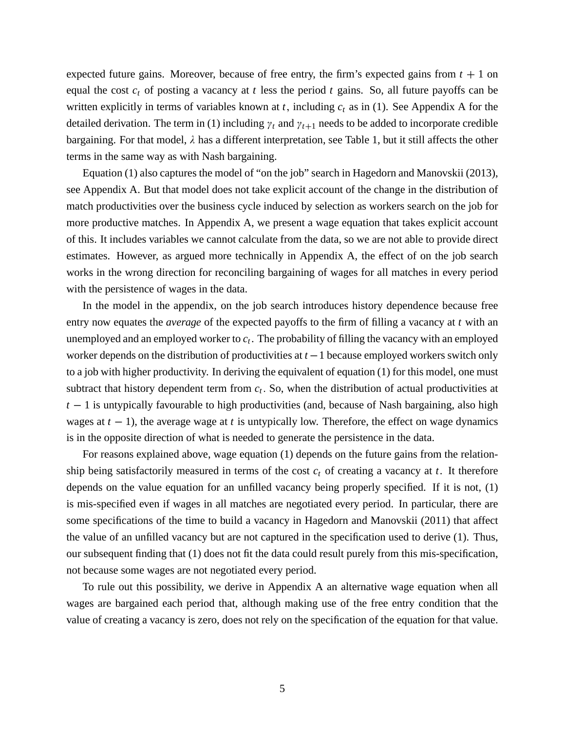expected future gains. Moreover, because of free entry, the firm's expected gains from  $t + 1$  on equal the cost *c<sup>t</sup>* of posting a vacancy at *t* less the period *t* gains. So, all future payoffs can be written explicitly in terms of variables known at  $t$ , including  $c_t$  as in (1). See Appendix A for the detailed derivation. The term in (1) including  $\gamma_t$  and  $\gamma_{t+1}$  needs to be added to incorporate credible bargaining. For that model,  $\lambda$  has a different interpretation, see Table 1, but it still affects the other terms in the same way as with Nash bargaining.

Equation (1) also captures the model of "on the job" search in Hagedorn and Manovskii (2013), see Appendix A. But that model does not take explicit account of the change in the distribution of match productivities over the business cycle induced by selection as workers search on the job for more productive matches. In Appendix A, we present a wage equation that takes explicit account of this. It includes variables we cannot calculate from the data, so we are not able to provide direct estimates. However, as argued more technically in Appendix A, the effect of on the job search works in the wrong direction for reconciling bargaining of wages for all matches in every period with the persistence of wages in the data.

In the model in the appendix, on the job search introduces history dependence because free entry now equates the *average* of the expected payoffs to the firm of filling a vacancy at *t* with an unemployed and an employed worker to *c<sup>t</sup>* . The probability of filling the vacancy with an employed worker depends on the distribution of productivities at  $t-1$  because employed workers switch only to a job with higher productivity. In deriving the equivalent of equation (1) for this model, one must subtract that history dependent term from  $c_t$ . So, when the distribution of actual productivities at  $t-1$  is untypically favourable to high productivities (and, because of Nash bargaining, also high wages at  $t - 1$ ), the average wage at  $t$  is untypically low. Therefore, the effect on wage dynamics is in the opposite direction of what is needed to generate the persistence in the data.

For reasons explained above, wage equation (1) depends on the future gains from the relationship being satisfactorily measured in terms of the cost  $c_t$  of creating a vacancy at  $t$ . It therefore depends on the value equation for an unfilled vacancy being properly specified. If it is not, (1) is mis-specified even if wages in all matches are negotiated every period. In particular, there are some specifications of the time to build a vacancy in Hagedorn and Manovskii (2011) that affect the value of an unfilled vacancy but are not captured in the specification used to derive (1). Thus, our subsequent finding that (1) does not fit the data could result purely from this mis-specification, not because some wages are not negotiated every period.

To rule out this possibility, we derive in Appendix A an alternative wage equation when all wages are bargained each period that, although making use of the free entry condition that the value of creating a vacancy is zero, does not rely on the specification of the equation for that value.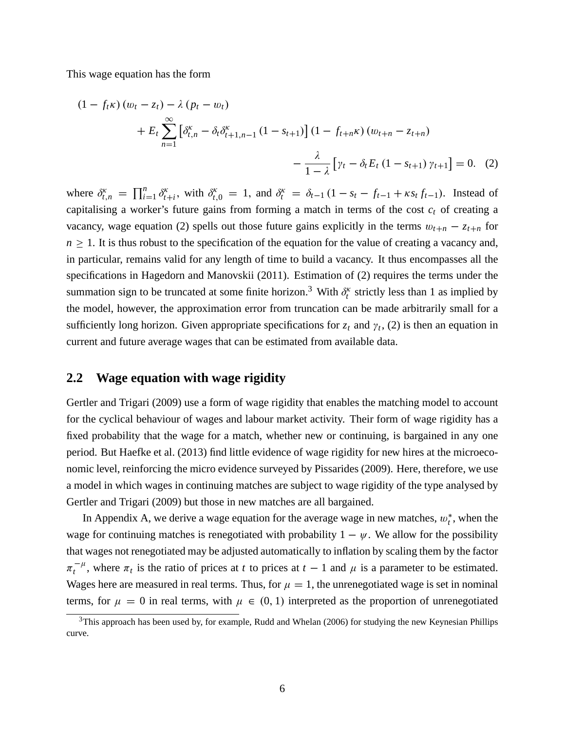This wage equation has the form

$$
(1 - f_t \kappa) (w_t - z_t) - \lambda (p_t - w_t)
$$
  
+  $E_t \sum_{n=1}^{\infty} \left[ \delta_{t,n}^{\kappa} - \delta_t \delta_{t+1,n-1}^{\kappa} (1 - s_{t+1}) \right] (1 - f_{t+n} \kappa) (w_{t+n} - z_{t+n})$   
-  $\frac{\lambda}{1 - \lambda} \left[ \gamma_t - \delta_t E_t (1 - s_{t+1}) \gamma_{t+1} \right] = 0.$  (2)

where  $\delta_{t,n}^{\kappa} = \prod_{i=1}^{n}$  $\sum_{i=1}^n \delta_t^{\kappa}$ *t*<sub>*t*</sub><sup>*t*</sup></sup>, with  $\delta_{t,0}^{\kappa} = 1$ , and  $\delta_t^{\kappa} = \delta_{t-1} (1 - s_t - f_{t-1} + \kappa s_t f_{t-1})$ . Instead of capitalising a worker's future gains from forming a match in terms of the cost  $c_t$  of creating a vacancy, wage equation (2) spells out those future gains explicitly in the terms  $w_{t+n} - z_{t+n}$  for  $n \geq 1$ . It is thus robust to the specification of the equation for the value of creating a vacancy and, in particular, remains valid for any length of time to build a vacancy. It thus encompasses all the specifications in Hagedorn and Manovskii (2011). Estimation of (2) requires the terms under the summation sign to be truncated at some finite horizon.<sup>3</sup> With  $\delta_t^k$  strictly less than 1 as implied by the model, however, the approximation error from truncation can be made arbitrarily small for a sufficiently long horizon. Given appropriate specifications for  $z_t$  and  $\gamma_t$ , (2) is then an equation in current and future average wages that can be estimated from available data.

### **2.2 Wage equation with wage rigidity**

Gertler and Trigari (2009) use a form of wage rigidity that enables the matching model to account for the cyclical behaviour of wages and labour market activity. Their form of wage rigidity has a fixed probability that the wage for a match, whether new or continuing, is bargained in any one period. But Haefke et al. (2013) find little evidence of wage rigidity for new hires at the microeconomic level, reinforcing the micro evidence surveyed by Pissarides (2009). Here, therefore, we use a model in which wages in continuing matches are subject to wage rigidity of the type analysed by Gertler and Trigari (2009) but those in new matches are all bargained.

In Appendix A, we derive a wage equation for the average wage in new matches,  $w_t^*$ , when the wage for continuing matches is renegotiated with probability  $1 - \psi$ . We allow for the possibility that wages not renegotiated may be adjusted automatically to inflation by scaling them by the factor  $\pi_t^{-\mu}$ , where  $\pi_t$  is the ratio of prices at *t* to prices at *t* – 1 and  $\mu$  is a parameter to be estimated. Wages here are measured in real terms. Thus, for  $\mu = 1$ , the unrenegotiated wage is set in nominal terms, for  $\mu = 0$  in real terms, with  $\mu \in (0, 1)$  interpreted as the proportion of unrenegotiated

<sup>&</sup>lt;sup>3</sup>This approach has been used by, for example, Rudd and Whelan (2006) for studying the new Keynesian Phillips curve.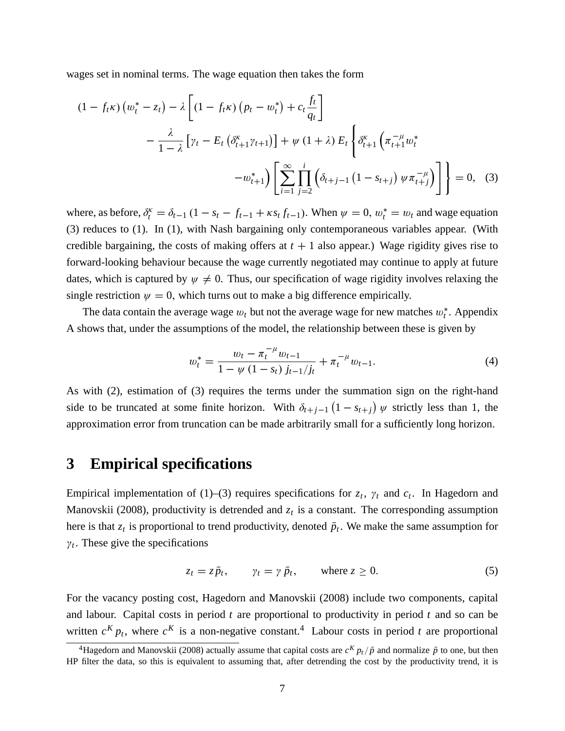wages set in nominal terms. The wage equation then takes the form

$$
(1 - f_t \kappa) (w_t^* - z_t) - \lambda \left[ (1 - f_t \kappa) (p_t - w_t^*) + c_t \frac{f_t}{q_t} \right]
$$
  
 
$$
- \frac{\lambda}{1 - \lambda} \left[ \gamma_t - E_t \left( \delta_{t+1}^{\kappa} \gamma_{t+1} \right) \right] + \psi (1 + \lambda) E_t \left\{ \delta_{t+1}^{\kappa} \left( \pi_{t+1}^{-\mu} w_t^* \right) - w_{t+1}^* \right\} \left[ \sum_{i=1}^{\infty} \prod_{j=2}^i \left( \delta_{t+j-1} \left( 1 - s_{t+j} \right) \psi \pi_{t+j}^{-\mu} \right) \right] \right\} = 0, \quad (3)
$$

where, as before,  $\delta_t^k = \delta_{t-1} (1 - s_t - f_{t-1} + \kappa s_t f_{t-1})$ . When  $\psi = 0$ ,  $w_t^* = w_t$  and wage equation (3) reduces to (1). In (1), with Nash bargaining only contemporaneous variables appear. (With credible bargaining, the costs of making offers at  $t + 1$  also appear.) Wage rigidity gives rise to forward-looking behaviour because the wage currently negotiated may continue to apply at future dates, which is captured by  $\psi \neq 0$ . Thus, our specification of wage rigidity involves relaxing the single restriction  $\psi = 0$ , which turns out to make a big difference empirically.

The data contain the average wage  $w_t$  but not the average wage for new matches  $w_t^*$ . Appendix A shows that, under the assumptions of the model, the relationship between these is given by

$$
w_t^* = \frac{w_t - \pi_t^{-\mu} w_{t-1}}{1 - \psi (1 - s_t) j_{t-1}/j_t} + \pi_t^{-\mu} w_{t-1}.
$$
\n(4)

As with (2), estimation of (3) requires the terms under the summation sign on the right-hand side to be truncated at some finite horizon. With  $\delta_{t+j-1}(1 - s_{t+j}) \psi$  strictly less than 1, the approximation error from truncation can be made arbitrarily small for a sufficiently long horizon.

### **3 Empirical specifications**

Empirical implementation of (1)–(3) requires specifications for  $z_t$ ,  $\gamma_t$  and  $c_t$ . In Hagedorn and Manovskii (2008), productivity is detrended and  $z<sub>t</sub>$  is a constant. The corresponding assumption here is that  $z_t$  is proportional to trend productivity, denoted  $\bar{p}_t$ . We make the same assumption for  $\gamma_t$ . These give the specifications

$$
z_t = z\bar{p}_t, \qquad \gamma_t = \gamma \bar{p}_t, \qquad \text{where } z \ge 0.
$$
 (5)

For the vacancy posting cost, Hagedorn and Manovskii (2008) include two components, capital and labour. Capital costs in period *t* are proportional to productivity in period *t* and so can be written  $c^{K} p_{t}$ , where  $c^{K}$  is a non-negative constant.<sup>4</sup> Labour costs in period *t* are proportional

<sup>&</sup>lt;sup>4</sup>Hagedorn and Manovskii (2008) actually assume that capital costs are  $c^{K} p_t / \bar{p}$  and normalize  $\bar{p}$  to one, but then HP filter the data, so this is equivalent to assuming that, after detrending the cost by the productivity trend, it is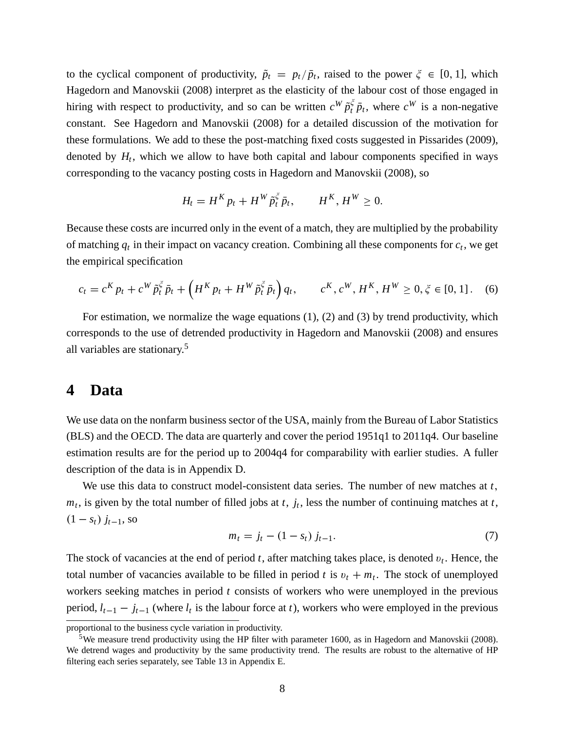to the cyclical component of productivity,  $\tilde{p}_t = p_t/\bar{p}_t$ , raised to the power  $\zeta \in [0, 1]$ , which Hagedorn and Manovskii (2008) interpret as the elasticity of the labour cost of those engaged in hiring with respect to productivity, and so can be written  $c^W \tilde{p}_t^{\xi} \bar{p}_t$ , where  $c^W$  is a non-negative constant. See Hagedorn and Manovskii (2008) for a detailed discussion of the motivation for these formulations. We add to these the post-matching fixed costs suggested in Pissarides (2009), denoted by  $H_t$ , which we allow to have both capital and labour components specified in ways corresponding to the vacancy posting costs in Hagedorn and Manovskii (2008), so

$$
H_t = H^K p_t + H^W \tilde{p}_t^{\xi} \bar{p}_t, \qquad H^K, H^W \ge 0.
$$

Because these costs are incurred only in the event of a match, they are multiplied by the probability of matching  $q_t$  in their impact on vacancy creation. Combining all these components for  $c_t$ , we get the empirical specification

$$
c_t = c^K p_t + c^W \tilde{p}_t^{\xi} \bar{p}_t + \left( H^K p_t + H^W \tilde{p}_t^{\xi} \bar{p}_t \right) q_t, \qquad c^K, c^W, H^K, H^W \ge 0, \xi \in [0, 1]. \tag{6}
$$

For estimation, we normalize the wage equations (1), (2) and (3) by trend productivity, which corresponds to the use of detrended productivity in Hagedorn and Manovskii (2008) and ensures all variables are stationary.<sup>5</sup>

### **4 Data**

We use data on the nonfarm business sector of the USA, mainly from the Bureau of Labor Statistics (BLS) and the OECD. The data are quarterly and cover the period 1951q1 to 2011q4. Our baseline estimation results are for the period up to 2004q4 for comparability with earlier studies. A fuller description of the data is in Appendix D.

We use this data to construct model-consistent data series. The number of new matches at *t*;  $m_t$ , is given by the total number of filled jobs at *t*,  $j_t$ , less the number of continuing matches at *t*,  $(1 - s_t) j_{t-1}$ , so

$$
m_t = j_t - (1 - s_t) j_{t-1}.
$$
\n(7)

The stock of vacancies at the end of period  $t$ , after matching takes place, is denoted  $v_t$ . Hence, the total number of vacancies available to be filled in period *t* is  $v_t + m_t$ . The stock of unemployed workers seeking matches in period *t* consists of workers who were unemployed in the previous period,  $l_{t-1} - j_{t-1}$  (where  $l_t$  is the labour force at *t*), workers who were employed in the previous

proportional to the business cycle variation in productivity.

<sup>&</sup>lt;sup>5</sup>We measure trend productivity using the HP filter with parameter 1600, as in Hagedorn and Manovskii (2008). We detrend wages and productivity by the same productivity trend. The results are robust to the alternative of HP filtering each series separately, see Table 13 in Appendix E.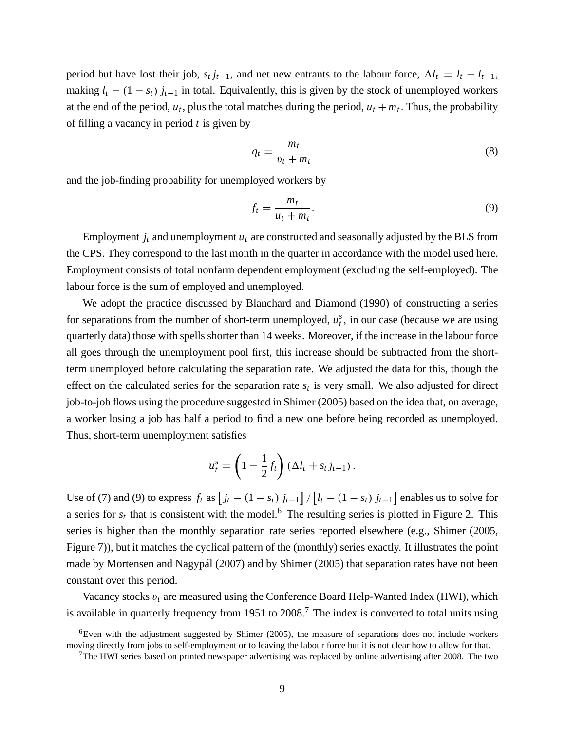period but have lost their job,  $s_t j_{t-1}$ , and net new entrants to the labour force,  $\Delta l_t = l_t - l_{t-1}$ , making  $l_t$  – (1 –  $s_t$ )  $j_{t-1}$  in total. Equivalently, this is given by the stock of unemployed workers at the end of the period,  $u_t$ , plus the total matches during the period,  $u_t + m_t$ . Thus, the probability of filling a vacancy in period *t* is given by

$$
q_t = \frac{m_t}{v_t + m_t} \tag{8}
$$

and the job-finding probability for unemployed workers by

$$
f_t = \frac{m_t}{u_t + m_t}.\tag{9}
$$

Employment  $j_t$  and unemployment  $u_t$  are constructed and seasonally adjusted by the BLS from the CPS. They correspond to the last month in the quarter in accordance with the model used here. Employment consists of total nonfarm dependent employment (excluding the self-employed). The labour force is the sum of employed and unemployed.

We adopt the practice discussed by Blanchard and Diamond (1990) of constructing a series for separations from the number of short-term unemployed,  $u_t^s$ , in our case (because we are using quarterly data) those with spells shorter than 14 weeks. Moreover, if the increase in the labour force all goes through the unemployment pool first, this increase should be subtracted from the shortterm unemployed before calculating the separation rate. We adjusted the data for this, though the effect on the calculated series for the separation rate  $s_t$  is very small. We also adjusted for direct job-to-job flows using the procedure suggested in Shimer (2005) based on the idea that, on average, a worker losing a job has half a period to find a new one before being recorded as unemployed. Thus, short-term unemployment satisfies

$$
u_t^s = \left(1 - \frac{1}{2}f_t\right)\left(\Delta l_t + s_t j_{t-1}\right).
$$

Use of (7) and (9) to express  $f_t$  as  $\left[ j_t - (1 - s_t) j_{t-1} \right] / \left[ l_t - (1 - s_t) j_{t-1} \right]$  enables us to solve for a series for  $s_t$  that is consistent with the model.<sup>6</sup> The resulting series is plotted in Figure 2. This series is higher than the monthly separation rate series reported elsewhere (e.g., Shimer (2005, Figure 7)), but it matches the cyclical pattern of the (monthly) series exactly. It illustrates the point made by Mortensen and Nagypál (2007) and by Shimer (2005) that separation rates have not been constant over this period.

Vacancy stocks  $v_t$  are measured using the Conference Board Help-Wanted Index (HWI), which is available in quarterly frequency from 1951 to 2008.<sup>7</sup> The index is converted to total units using

<sup>&</sup>lt;sup>6</sup>Even with the adjustment suggested by Shimer (2005), the measure of separations does not include workers moving directly from jobs to self-employment or to leaving the labour force but it is not clear how to allow for that.

 $7$ The HWI series based on printed newspaper advertising was replaced by online advertising after 2008. The two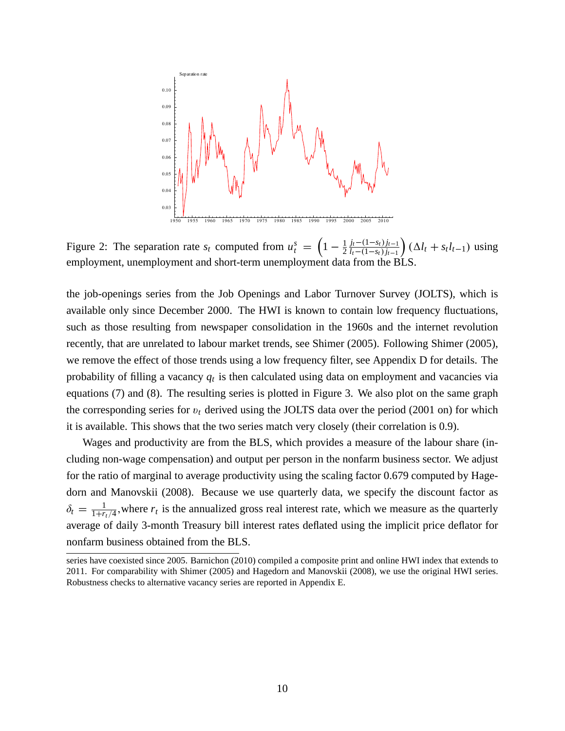

Figure 2: The separation rate  $s_t$  computed from  $u_t^s$  $\left(1 - \frac{1}{2}\right)$  $\frac{1}{2} \frac{j_t - (1 - s_t) j_{t-1}}{l_t - (1 - s_t) j_{t-1}}$  $l_t - (1 - s_t) j_{t-1}$  $\int (\Delta l_t + s_t l_{t-1}) \text{ using}$ employment, unemployment and short-term unemployment data from the BLS.

the job-openings series from the Job Openings and Labor Turnover Survey (JOLTS), which is available only since December 2000. The HWI is known to contain low frequency fluctuations, such as those resulting from newspaper consolidation in the 1960s and the internet revolution recently, that are unrelated to labour market trends, see Shimer (2005). Following Shimer (2005), we remove the effect of those trends using a low frequency filter, see Appendix D for details. The probability of filling a vacancy *q<sup>t</sup>* is then calculated using data on employment and vacancies via equations (7) and (8). The resulting series is plotted in Figure 3. We also plot on the same graph the corresponding series for  $v_t$  derived using the JOLTS data over the period (2001 on) for which it is available. This shows that the two series match very closely (their correlation is 0.9).

Wages and productivity are from the BLS, which provides a measure of the labour share (including non-wage compensation) and output per person in the nonfarm business sector. We adjust for the ratio of marginal to average productivity using the scaling factor 0.679 computed by Hagedorn and Manovskii (2008). Because we use quarterly data, we specify the discount factor as  $\delta_t = \frac{1}{1+r}$  $\frac{1}{1+r_t/4}$ , where  $r_t$  is the annualized gross real interest rate, which we measure as the quarterly average of daily 3-month Treasury bill interest rates deflated using the implicit price deflator for nonfarm business obtained from the BLS.

series have coexisted since 2005. Barnichon (2010) compiled a composite print and online HWI index that extends to 2011. For comparability with Shimer (2005) and Hagedorn and Manovskii (2008), we use the original HWI series. Robustness checks to alternative vacancy series are reported in Appendix E.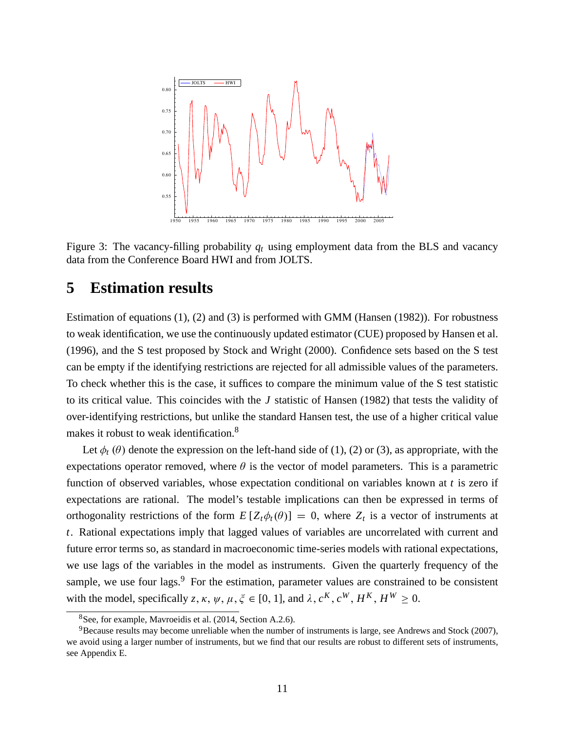

Figure 3: The vacancy-filling probability  $q_t$  using employment data from the BLS and vacancy data from the Conference Board HWI and from JOLTS.

# **5 Estimation results**

Estimation of equations (1), (2) and (3) is performed with GMM (Hansen (1982)). For robustness to weak identification, we use the continuously updated estimator (CUE) proposed by Hansen et al. (1996), and the S test proposed by Stock and Wright (2000). Confidence sets based on the S test can be empty if the identifying restrictions are rejected for all admissible values of the parameters. To check whether this is the case, it suffices to compare the minimum value of the S test statistic to its critical value. This coincides with the *J* statistic of Hansen (1982) that tests the validity of over-identifying restrictions, but unlike the standard Hansen test, the use of a higher critical value makes it robust to weak identification.<sup>8</sup>

Let  $\phi_t(\theta)$  denote the expression on the left-hand side of (1), (2) or (3), as appropriate, with the expectations operator removed, where  $\theta$  is the vector of model parameters. This is a parametric function of observed variables, whose expectation conditional on variables known at *t* is zero if expectations are rational. The model's testable implications can then be expressed in terms of orthogonality restrictions of the form  $E[Z_t\phi_t(\theta)] = 0$ , where  $Z_t$  is a vector of instruments at *t*. Rational expectations imply that lagged values of variables are uncorrelated with current and future error terms so, as standard in macroeconomic time-series models with rational expectations, we use lags of the variables in the model as instruments. Given the quarterly frequency of the sample, we use four lags. $9\$  For the estimation, parameter values are constrained to be consistent with the model, specifically  $z, \kappa, \psi, \mu, \xi \in [0, 1]$ , and  $\lambda, c^K, c^W, H^K, H^W \ge 0$ .

<sup>8</sup>See, for example, Mavroeidis et al. (2014, Section A.2.6).

<sup>9</sup>Because results may become unreliable when the number of instruments is large, see Andrews and Stock (2007), we avoid using a larger number of instruments, but we find that our results are robust to different sets of instruments, see Appendix E.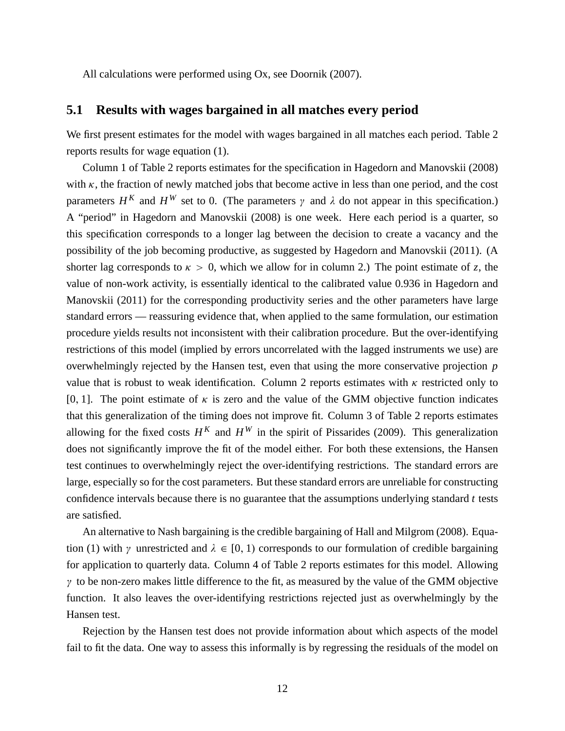All calculations were performed using Ox, see Doornik (2007).

#### **5.1 Results with wages bargained in all matches every period**

We first present estimates for the model with wages bargained in all matches each period. Table 2 reports results for wage equation (1).

Column 1 of Table 2 reports estimates for the specification in Hagedorn and Manovskii (2008) with  $\kappa$ , the fraction of newly matched jobs that become active in less than one period, and the cost parameters  $H^K$  and  $H^W$  set to 0. (The parameters  $\gamma$  and  $\lambda$  do not appear in this specification.) A "period" in Hagedorn and Manovskii (2008) is one week. Here each period is a quarter, so this specification corresponds to a longer lag between the decision to create a vacancy and the possibility of the job becoming productive, as suggested by Hagedorn and Manovskii (2011). (A shorter lag corresponds to  $\kappa > 0$ , which we allow for in column 2.) The point estimate of *z*, the value of non-work activity, is essentially identical to the calibrated value 0.936 in Hagedorn and Manovskii (2011) for the corresponding productivity series and the other parameters have large standard errors — reassuring evidence that, when applied to the same formulation, our estimation procedure yields results not inconsistent with their calibration procedure. But the over-identifying restrictions of this model (implied by errors uncorrelated with the lagged instruments we use) are overwhelmingly rejected by the Hansen test, even that using the more conservative projection *p* value that is robust to weak identification. Column 2 reports estimates with  $\kappa$  restricted only to [0, 1]. The point estimate of  $\kappa$  is zero and the value of the GMM objective function indicates that this generalization of the timing does not improve fit. Column 3 of Table 2 reports estimates allowing for the fixed costs  $H^K$  and  $H^W$  in the spirit of Pissarides (2009). This generalization does not significantly improve the fit of the model either. For both these extensions, the Hansen test continues to overwhelmingly reject the over-identifying restrictions. The standard errors are large, especially so for the cost parameters. But these standard errors are unreliable for constructing confidence intervals because there is no guarantee that the assumptions underlying standard *t* tests are satisfied.

An alternative to Nash bargaining is the credible bargaining of Hall and Milgrom (2008). Equation (1) with  $\gamma$  unrestricted and  $\lambda \in [0, 1)$  corresponds to our formulation of credible bargaining for application to quarterly data. Column 4 of Table 2 reports estimates for this model. Allowing  $\gamma$  to be non-zero makes little difference to the fit, as measured by the value of the GMM objective function. It also leaves the over-identifying restrictions rejected just as overwhelmingly by the Hansen test.

Rejection by the Hansen test does not provide information about which aspects of the model fail to fit the data. One way to assess this informally is by regressing the residuals of the model on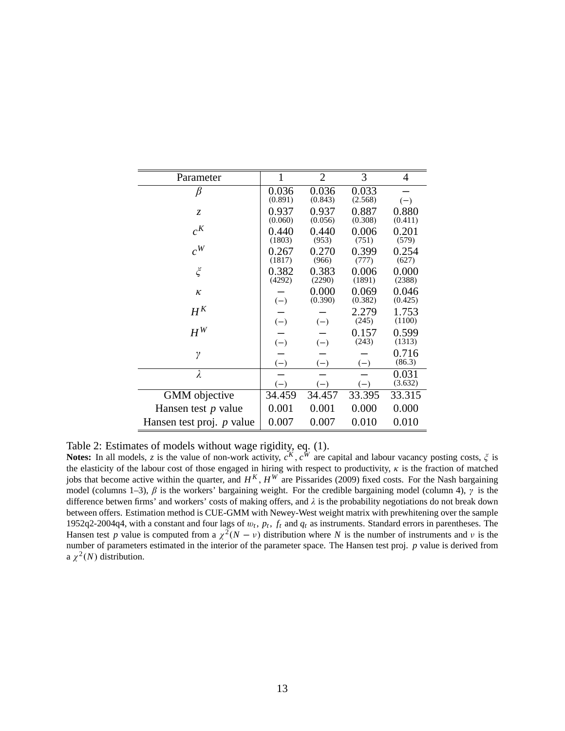| Parameter                        | $\mathbf{1}$     | $\overline{2}$   | 3                | 4                |
|----------------------------------|------------------|------------------|------------------|------------------|
| $\beta$                          | 0.036<br>(0.891) | 0.036<br>(0.843) | 0.033<br>(2.568) | $(-)$            |
| Z.                               | 0.937<br>(0.060) | 0.937<br>(0.056) | 0.887<br>(0.308) | 0.880<br>(0.411) |
| $c^{K}$                          | 0.440<br>(1803)  | 0.440<br>(953)   | 0.006<br>(751)   | 0.201<br>(579)   |
| $c^W$                            | 0.267<br>(1817)  | 0.270<br>(966)   | 0.399<br>(777)   | 0.254<br>(627)   |
| $\boldsymbol{\xi}$               | 0.382<br>(4292)  | 0.383<br>(2290)  | 0.006<br>(1891)  | 0.000<br>(2388)  |
| $\kappa$                         | $(-)$            | 0.000<br>(0.390) | 0.069<br>(0.382) | 0.046<br>(0.425) |
| $H^K$                            | $(-)$            | $(-)$            | 2.279<br>(245)   | 1.753<br>(1100)  |
| $H^{\mathfrak{W}}$               | $(-)$            | $(-)$            | 0.157<br>(243)   | 0.599<br>(1313)  |
| γ                                | $(-)$            | $(-)$            | $(-)$            | 0.716<br>(86.3)  |
| $\lambda$                        | $(-)$            | $(-)$            | $(-)$            | 0.031<br>(3.632) |
| <b>GMM</b> objective             | 34.459           | 34.457           | 33.395           | 33.315           |
| Hansen test $p$ value            | 0.001            | 0.001            | 0.000            | 0.000            |
| Hansen test proj. <i>p</i> value | 0.007            | 0.007            | 0.010            | 0.010            |

Table 2: Estimates of models without wage rigidity, eq. (1).

Notes: In all models, *z* is the value of non-work activity,  $c^K$ ,  $c^W$  are capital and labour vacancy posting costs,  $\zeta$  is the elasticity of the labour cost of those engaged in hiring with respect to productivity,  $\kappa$  is the fraction of matched jobs that become active within the quarter, and  $H^K$ ,  $H^W$  are Pissarides (2009) fixed costs. For the Nash bargaining model (columns 1–3),  $\beta$  is the workers' bargaining weight. For the credible bargaining model (column 4),  $\gamma$  is the difference betwen firms' and workers' costs of making offers, and  $\lambda$  is the probability negotiations do not break down between offers. Estimation method is CUE-GMM with Newey-West weight matrix with prewhitening over the sample 1952q2-2004q4, with a constant and four lags of  $w_t$ ,  $p_t$ ,  $f_t$  and  $q_t$  as instruments. Standard errors in parentheses. The Hansen test *p* value is computed from a  $\chi^2(N - \nu)$  distribution where *N* is the number of instruments and  $\nu$  is the number of parameters estimated in the interior of the parameter space. The Hansen test proj. *p* value is derived from a  $\chi^2(N)$  distribution.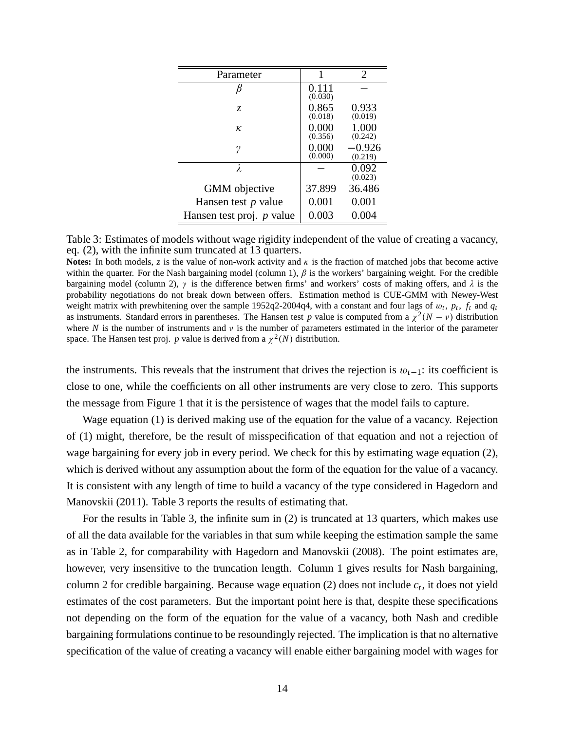| Parameter                 | 1                | $\mathcal{D}_{\cdot}$ |
|---------------------------|------------------|-----------------------|
|                           | 0.111<br>(0.030) |                       |
| Z.                        | 0.865<br>(0.018) | 0.933<br>(0.019)      |
| ĸ                         | 0.000<br>(0.356) | 1.000<br>(0.242)      |
| γ                         | 0.000<br>(0.000) | $-0.926$<br>(0.219)   |
| λ                         |                  | 0.092<br>(0.023)      |
| <b>GMM</b> objective      | 37.899           | 36.486                |
| Hansen test $p$ value     | 0.001            | 0.001                 |
| Hansen test proj. p value | 0.003            | 0.004                 |

Table 3: Estimates of models without wage rigidity independent of the value of creating a vacancy, eq. (2), with the infinite sum truncated at 13 quarters.

**Notes:** In both models, *z* is the value of non-work activity and  $\kappa$  is the fraction of matched jobs that become active within the quarter. For the Nash bargaining model (column 1),  $\beta$  is the workers' bargaining weight. For the credible bargaining model (column 2),  $\gamma$  is the difference betwen firms' and workers' costs of making offers, and  $\lambda$  is the probability negotiations do not break down between offers. Estimation method is CUE-GMM with Newey-West weight matrix with prewhitening over the sample 1952q2-2004q4, with a constant and four lags of  $w_t$ ,  $p_t$ ,  $f_t$  and  $q_t$ as instruments. Standard errors in parentheses. The Hansen test *p* value is computed from a  $\chi^2(N - v)$  distribution where *N* is the number of instruments and  $\nu$  is the number of parameters estimated in the interior of the parameter space. The Hansen test proj. *p* value is derived from a  $\chi^2(N)$  distribution.

the instruments. This reveals that the instrument that drives the rejection is  $w_{t-1}$ : its coefficient is close to one, while the coefficients on all other instruments are very close to zero. This supports the message from Figure 1 that it is the persistence of wages that the model fails to capture.

Wage equation (1) is derived making use of the equation for the value of a vacancy. Rejection of (1) might, therefore, be the result of misspecification of that equation and not a rejection of wage bargaining for every job in every period. We check for this by estimating wage equation (2), which is derived without any assumption about the form of the equation for the value of a vacancy. It is consistent with any length of time to build a vacancy of the type considered in Hagedorn and Manovskii (2011). Table 3 reports the results of estimating that.

For the results in Table 3, the infinite sum in (2) is truncated at 13 quarters, which makes use of all the data available for the variables in that sum while keeping the estimation sample the same as in Table 2, for comparability with Hagedorn and Manovskii (2008). The point estimates are, however, very insensitive to the truncation length. Column 1 gives results for Nash bargaining, column 2 for credible bargaining. Because wage equation (2) does not include *c<sup>t</sup>* , it does not yield estimates of the cost parameters. But the important point here is that, despite these specifications not depending on the form of the equation for the value of a vacancy, both Nash and credible bargaining formulations continue to be resoundingly rejected. The implication is that no alternative specification of the value of creating a vacancy will enable either bargaining model with wages for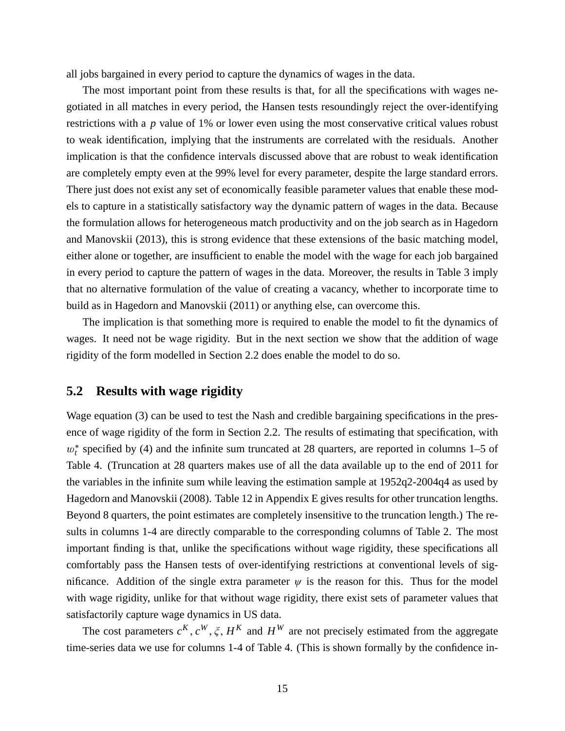all jobs bargained in every period to capture the dynamics of wages in the data.

The most important point from these results is that, for all the specifications with wages negotiated in all matches in every period, the Hansen tests resoundingly reject the over-identifying restrictions with a *p* value of 1% or lower even using the most conservative critical values robust to weak identification, implying that the instruments are correlated with the residuals. Another implication is that the confidence intervals discussed above that are robust to weak identification are completely empty even at the 99% level for every parameter, despite the large standard errors. There just does not exist any set of economically feasible parameter values that enable these models to capture in a statistically satisfactory way the dynamic pattern of wages in the data. Because the formulation allows for heterogeneous match productivity and on the job search as in Hagedorn and Manovskii (2013), this is strong evidence that these extensions of the basic matching model, either alone or together, are insufficient to enable the model with the wage for each job bargained in every period to capture the pattern of wages in the data. Moreover, the results in Table 3 imply that no alternative formulation of the value of creating a vacancy, whether to incorporate time to build as in Hagedorn and Manovskii (2011) or anything else, can overcome this.

The implication is that something more is required to enable the model to fit the dynamics of wages. It need not be wage rigidity. But in the next section we show that the addition of wage rigidity of the form modelled in Section 2.2 does enable the model to do so.

#### **5.2 Results with wage rigidity**

Wage equation (3) can be used to test the Nash and credible bargaining specifications in the presence of wage rigidity of the form in Section 2.2. The results of estimating that specification, with  $w_t^*$  specified by (4) and the infinite sum truncated at 28 quarters, are reported in columns 1–5 of Table 4. (Truncation at 28 quarters makes use of all the data available up to the end of 2011 for the variables in the infinite sum while leaving the estimation sample at 1952q2-2004q4 as used by Hagedorn and Manovskii (2008). Table 12 in Appendix E gives results for other truncation lengths. Beyond 8 quarters, the point estimates are completely insensitive to the truncation length.) The results in columns 1-4 are directly comparable to the corresponding columns of Table 2. The most important finding is that, unlike the specifications without wage rigidity, these specifications all comfortably pass the Hansen tests of over-identifying restrictions at conventional levels of significance. Addition of the single extra parameter  $\psi$  is the reason for this. Thus for the model with wage rigidity, unlike for that without wage rigidity, there exist sets of parameter values that satisfactorily capture wage dynamics in US data.

The cost parameters  $c^K$ ,  $c^W$ ,  $\zeta$ ,  $H^K$  and  $H^W$  are not precisely estimated from the aggregate time-series data we use for columns 1-4 of Table 4. (This is shown formally by the confidence in-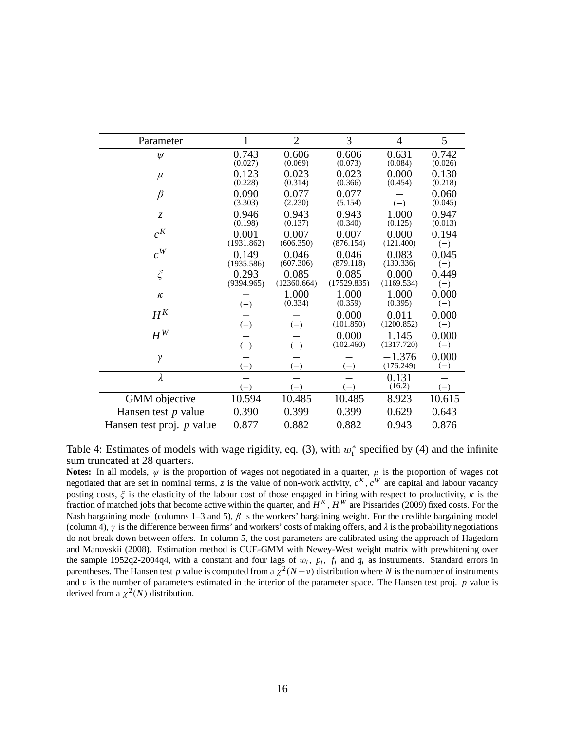| Parameter                   | 1                   | $\overline{2}$       | 3                    | 4                     | 5                |
|-----------------------------|---------------------|----------------------|----------------------|-----------------------|------------------|
| $\psi$                      | 0.743<br>(0.027)    | 0.606<br>(0.069)     | 0.606<br>(0.073)     | 0.631<br>(0.084)      | 0.742<br>(0.026) |
| $\mu$                       | 0.123<br>(0.228)    | 0.023<br>(0.314)     | 0.023<br>(0.366)     | 0.000<br>(0.454)      | 0.130<br>(0.218) |
| $\beta$                     | 0.090<br>(3.303)    | 0.077<br>(2.230)     | 0.077<br>(5.154)     | $(-)$                 | 0.060<br>(0.045) |
| $\mathcal{Z}$               | 0.946<br>(0.198)    | 0.943<br>(0.137)     | 0.943<br>(0.340)     | 1.000<br>(0.125)      | 0.947<br>(0.013) |
| $c^{K}$                     | 0.001<br>(1931.862) | 0.007<br>(606.350)   | 0.007<br>(876.154)   | 0.000<br>(121.400)    | 0.194<br>$(-)$   |
| $c^W$                       | 0.149<br>(1935.586) | 0.046<br>(607.306)   | 0.046<br>(879.118)   | 0.083<br>(130.336)    | 0.045<br>$(-)$   |
| $\zeta$                     | 0.293<br>(9394.965) | 0.085<br>(12360.664) | 0.085<br>(17529.835) | 0.000<br>(1169.534)   | 0.449<br>$(-)$   |
| $\kappa$                    | $(-)$               | 1.000<br>(0.334)     | 1.000<br>(0.359)     | 1.000<br>(0.395)      | 0.000<br>$(-)$   |
| $H^K$                       | $(-)$               | $(-)$                | 0.000<br>(101.850)   | 0.011<br>(1200.852)   | 0.000<br>$(-)$   |
| $H^W$                       | $(-)$               | $(-)$                | 0.000<br>(102.460)   | 1.145<br>(1317.720)   | 0.000<br>$(-)$   |
| $\gamma$                    | $(-)$               | $(-)$                | $(-)$                | $-1.376$<br>(176.249) | 0.000<br>$(-)$   |
| $\lambda$                   | $(-)$               | $(-)$                | $(-)$                | 0.131<br>(16.2)       | $(-)$            |
| GMM objective               | 10.594              | 10.485               | 10.485               | 8.923                 | 10.615           |
| Hansen test $p$ value       | 0.390               | 0.399                | 0.399                | 0.629                 | 0.643            |
| Hansen test proj. $p$ value | 0.877               | 0.882                | 0.882                | 0.943                 | 0.876            |

Table 4: Estimates of models with wage rigidity, eq. (3), with  $w_t^*$  specified by (4) and the infinite sum truncated at 28 quarters.

**Notes:** In all models,  $\psi$  is the proportion of wages not negotiated in a quarter,  $\mu$  is the proportion of wages not negotiated that are set in nominal terms, *z* is the value of non-work activity,  $c^K$ ,  $c^W$  are capital and labour vacancy posting costs,  $\xi$  is the elasticity of the labour cost of those engaged in hiring with respect to productivity,  $\kappa$  is the fraction of matched jobs that become active within the quarter, and  $H^K$ ,  $H^W$  are Pissarides (2009) fixed costs. For the Nash bargaining model (columns 1–3 and 5),  $\beta$  is the workers' bargaining weight. For the credible bargaining model (column 4),  $\gamma$  is the difference between firms' and workers' costs of making offers, and  $\lambda$  is the probability negotiations do not break down between offers. In column 5, the cost parameters are calibrated using the approach of Hagedorn and Manovskii (2008). Estimation method is CUE-GMM with Newey-West weight matrix with prewhitening over the sample 1952q2-2004q4, with a constant and four lags of  $w_t$ ,  $p_t$ ,  $f_t$  and  $q_t$  as instruments. Standard errors in parentheses. The Hansen test *p* value is computed from a  $\chi^2(N-\nu)$  distribution where *N* is the number of instruments and  $\nu$  is the number of parameters estimated in the interior of the parameter space. The Hansen test proj.  $p$  value is derived from a  $\chi^2(N)$  distribution.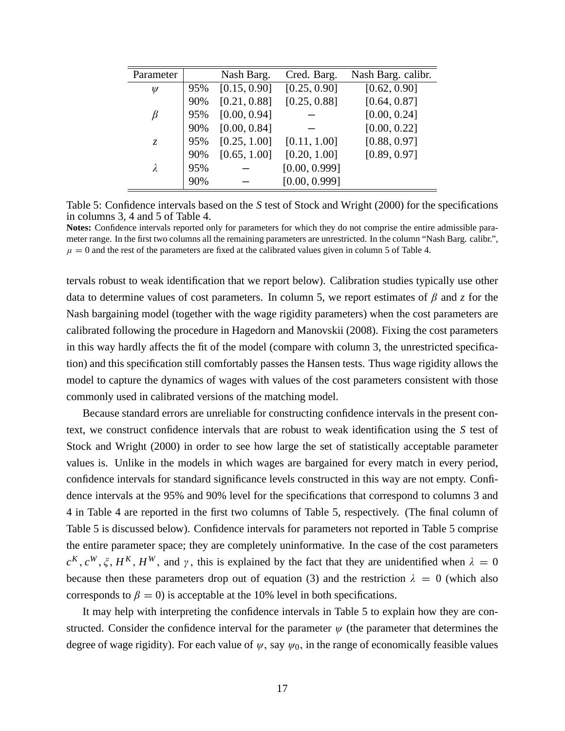| Parameter   |     | Nash Barg.   | Cred. Barg.   | Nash Barg. calibr. |
|-------------|-----|--------------|---------------|--------------------|
| $\psi$      | 95% | [0.15, 0.90] | [0.25, 0.90]  | [0.62, 0.90]       |
|             | 90% | [0.21, 0.88] | [0.25, 0.88]  | [0.64, 0.87]       |
| ß           | 95% | [0.00, 0.94] |               | [0.00, 0.24]       |
|             | 90% | [0.00, 0.84] |               | [0.00, 0.22]       |
| $Z_{\rm c}$ | 95% | [0.25, 1.00] | [0.11, 1.00]  | [0.88, 0.97]       |
|             | 90% | [0.65, 1.00] | [0.20, 1.00]  | [0.89, 0.97]       |
| λ           | 95% |              | [0.00, 0.999] |                    |
|             | 90% |              | [0.00, 0.999] |                    |

Table 5: Confidence intervals based on the *S* test of Stock and Wright (2000) for the specifications in columns 3, 4 and 5 of Table 4.

**Notes:** Confidence intervals reported only for parameters for which they do not comprise the entire admissible parameter range. In the first two columns all the remaining parameters are unrestricted. In the column "Nash Barg. calibr.",  $\mu = 0$  and the rest of the parameters are fixed at the calibrated values given in column 5 of Table 4.

tervals robust to weak identification that we report below). Calibration studies typically use other data to determine values of cost parameters. In column 5, we report estimates of  $\beta$  and  $\zeta$  for the Nash bargaining model (together with the wage rigidity parameters) when the cost parameters are calibrated following the procedure in Hagedorn and Manovskii (2008). Fixing the cost parameters in this way hardly affects the fit of the model (compare with column 3, the unrestricted specification) and this specification still comfortably passes the Hansen tests. Thus wage rigidity allows the model to capture the dynamics of wages with values of the cost parameters consistent with those commonly used in calibrated versions of the matching model.

Because standard errors are unreliable for constructing confidence intervals in the present context, we construct confidence intervals that are robust to weak identification using the *S* test of Stock and Wright (2000) in order to see how large the set of statistically acceptable parameter values is. Unlike in the models in which wages are bargained for every match in every period, confidence intervals for standard significance levels constructed in this way are not empty. Confidence intervals at the 95% and 90% level for the specifications that correspond to columns 3 and 4 in Table 4 are reported in the first two columns of Table 5, respectively. (The final column of Table 5 is discussed below). Confidence intervals for parameters not reported in Table 5 comprise the entire parameter space; they are completely uninformative. In the case of the cost parameters  $c^{K}$ ,  $c^{W}$ ,  $\xi$ ,  $H^{K}$ ,  $H^{W}$ , and  $\gamma$ , this is explained by the fact that they are unidentified when  $\lambda = 0$ because then these parameters drop out of equation (3) and the restriction  $\lambda = 0$  (which also corresponds to  $\beta = 0$ ) is acceptable at the 10% level in both specifications.

It may help with interpreting the confidence intervals in Table 5 to explain how they are constructed. Consider the confidence interval for the parameter  $\psi$  (the parameter that determines the degree of wage rigidity). For each value of  $\psi$ , say  $\psi_0$ , in the range of economically feasible values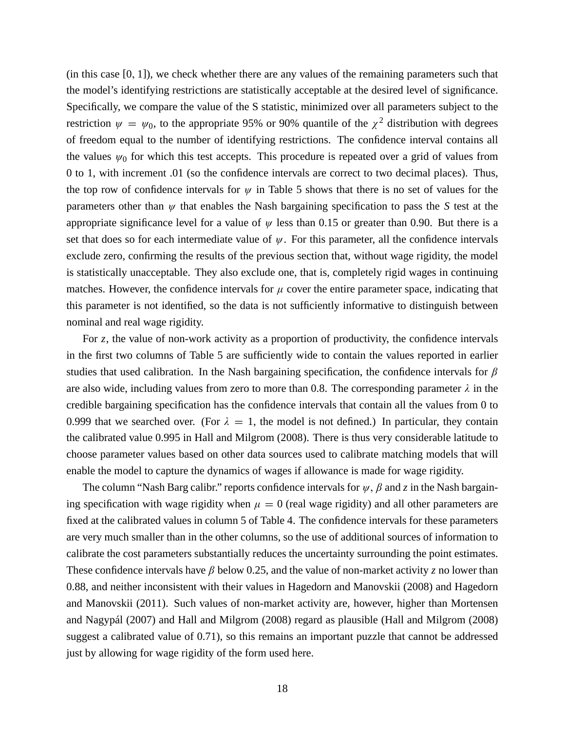$(in this case [0, 1]), we check whether there are any values of the remaining parameters such that$ the model's identifying restrictions are statistically acceptable at the desired level of significance. Specifically, we compare the value of the S statistic, minimized over all parameters subject to the restriction  $\psi = \psi_0$ , to the appropriate 95% or 90% quantile of the  $\chi^2$  distribution with degrees of freedom equal to the number of identifying restrictions. The confidence interval contains all the values  $\psi_0$  for which this test accepts. This procedure is repeated over a grid of values from 0 to 1, with increment .01 (so the confidence intervals are correct to two decimal places). Thus, the top row of confidence intervals for  $\psi$  in Table 5 shows that there is no set of values for the parameters other than  $\psi$  that enables the Nash bargaining specification to pass the *S* test at the appropriate significance level for a value of  $\psi$  less than 0.15 or greater than 0.90. But there is a set that does so for each intermediate value of  $\psi$ . For this parameter, all the confidence intervals exclude zero, confirming the results of the previous section that, without wage rigidity, the model is statistically unacceptable. They also exclude one, that is, completely rigid wages in continuing matches. However, the confidence intervals for  $\mu$  cover the entire parameter space, indicating that this parameter is not identified, so the data is not sufficiently informative to distinguish between nominal and real wage rigidity.

For *z*, the value of non-work activity as a proportion of productivity, the confidence intervals in the first two columns of Table 5 are sufficiently wide to contain the values reported in earlier studies that used calibration. In the Nash bargaining specification, the confidence intervals for  $\beta$ are also wide, including values from zero to more than 0.8. The corresponding parameter  $\lambda$  in the credible bargaining specification has the confidence intervals that contain all the values from 0 to 0.999 that we searched over. (For  $\lambda = 1$ , the model is not defined.) In particular, they contain the calibrated value 0.995 in Hall and Milgrom (2008). There is thus very considerable latitude to choose parameter values based on other data sources used to calibrate matching models that will enable the model to capture the dynamics of wages if allowance is made for wage rigidity.

The column "Nash Barg calibr." reports confidence intervals for  $\psi$ ,  $\beta$  and z in the Nash bargaining specification with wage rigidity when  $\mu = 0$  (real wage rigidity) and all other parameters are fixed at the calibrated values in column 5 of Table 4. The confidence intervals for these parameters are very much smaller than in the other columns, so the use of additional sources of information to calibrate the cost parameters substantially reduces the uncertainty surrounding the point estimates. These confidence intervals have  $\beta$  below 0.25, and the value of non-market activity *z* no lower than 0.88, and neither inconsistent with their values in Hagedorn and Manovskii (2008) and Hagedorn and Manovskii (2011). Such values of non-market activity are, however, higher than Mortensen and Nagypál (2007) and Hall and Milgrom (2008) regard as plausible (Hall and Milgrom (2008) suggest a calibrated value of 0.71), so this remains an important puzzle that cannot be addressed just by allowing for wage rigidity of the form used here.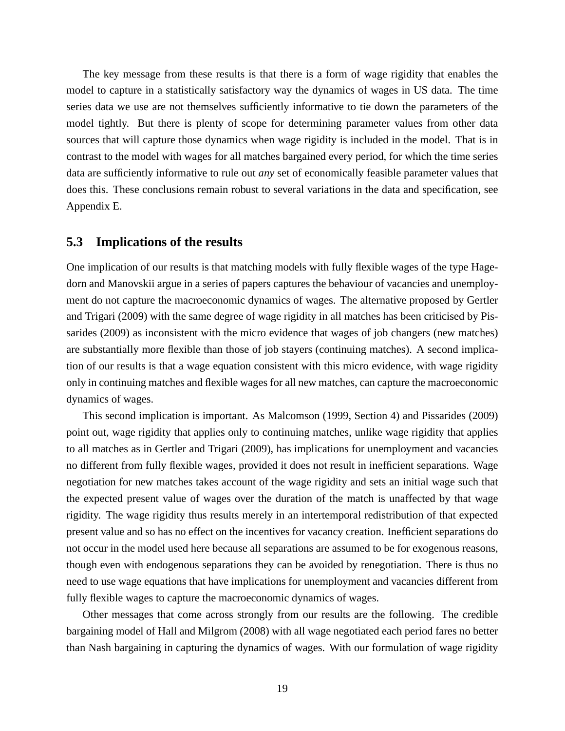The key message from these results is that there is a form of wage rigidity that enables the model to capture in a statistically satisfactory way the dynamics of wages in US data. The time series data we use are not themselves sufficiently informative to tie down the parameters of the model tightly. But there is plenty of scope for determining parameter values from other data sources that will capture those dynamics when wage rigidity is included in the model. That is in contrast to the model with wages for all matches bargained every period, for which the time series data are sufficiently informative to rule out *any* set of economically feasible parameter values that does this. These conclusions remain robust to several variations in the data and specification, see Appendix E.

#### **5.3 Implications of the results**

One implication of our results is that matching models with fully flexible wages of the type Hagedorn and Manovskii argue in a series of papers captures the behaviour of vacancies and unemployment do not capture the macroeconomic dynamics of wages. The alternative proposed by Gertler and Trigari (2009) with the same degree of wage rigidity in all matches has been criticised by Pissarides (2009) as inconsistent with the micro evidence that wages of job changers (new matches) are substantially more flexible than those of job stayers (continuing matches). A second implication of our results is that a wage equation consistent with this micro evidence, with wage rigidity only in continuing matches and flexible wages for all new matches, can capture the macroeconomic dynamics of wages.

This second implication is important. As Malcomson (1999, Section 4) and Pissarides (2009) point out, wage rigidity that applies only to continuing matches, unlike wage rigidity that applies to all matches as in Gertler and Trigari (2009), has implications for unemployment and vacancies no different from fully flexible wages, provided it does not result in inefficient separations. Wage negotiation for new matches takes account of the wage rigidity and sets an initial wage such that the expected present value of wages over the duration of the match is unaffected by that wage rigidity. The wage rigidity thus results merely in an intertemporal redistribution of that expected present value and so has no effect on the incentives for vacancy creation. Inefficient separations do not occur in the model used here because all separations are assumed to be for exogenous reasons, though even with endogenous separations they can be avoided by renegotiation. There is thus no need to use wage equations that have implications for unemployment and vacancies different from fully flexible wages to capture the macroeconomic dynamics of wages.

Other messages that come across strongly from our results are the following. The credible bargaining model of Hall and Milgrom (2008) with all wage negotiated each period fares no better than Nash bargaining in capturing the dynamics of wages. With our formulation of wage rigidity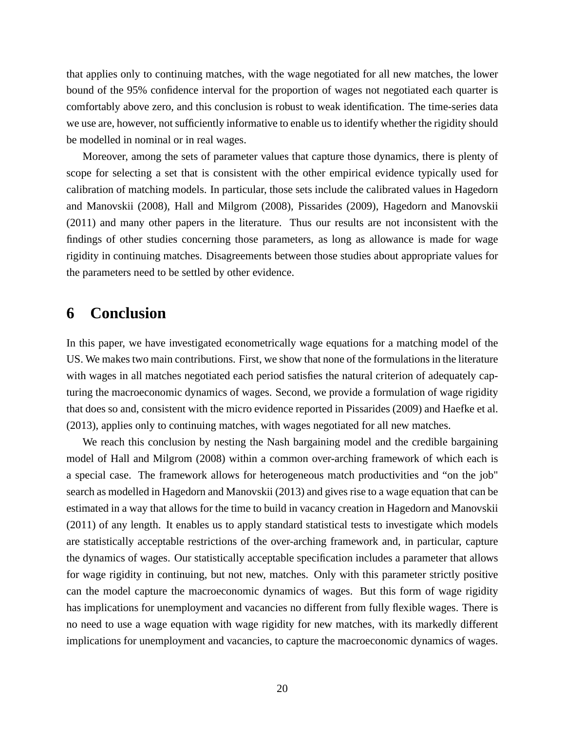that applies only to continuing matches, with the wage negotiated for all new matches, the lower bound of the 95% confidence interval for the proportion of wages not negotiated each quarter is comfortably above zero, and this conclusion is robust to weak identification. The time-series data we use are, however, not sufficiently informative to enable us to identify whether the rigidity should be modelled in nominal or in real wages.

Moreover, among the sets of parameter values that capture those dynamics, there is plenty of scope for selecting a set that is consistent with the other empirical evidence typically used for calibration of matching models. In particular, those sets include the calibrated values in Hagedorn and Manovskii (2008), Hall and Milgrom (2008), Pissarides (2009), Hagedorn and Manovskii (2011) and many other papers in the literature. Thus our results are not inconsistent with the findings of other studies concerning those parameters, as long as allowance is made for wage rigidity in continuing matches. Disagreements between those studies about appropriate values for the parameters need to be settled by other evidence.

### **6 Conclusion**

In this paper, we have investigated econometrically wage equations for a matching model of the US. We makes two main contributions. First, we show that none of the formulations in the literature with wages in all matches negotiated each period satisfies the natural criterion of adequately capturing the macroeconomic dynamics of wages. Second, we provide a formulation of wage rigidity that does so and, consistent with the micro evidence reported in Pissarides (2009) and Haefke et al. (2013), applies only to continuing matches, with wages negotiated for all new matches.

We reach this conclusion by nesting the Nash bargaining model and the credible bargaining model of Hall and Milgrom (2008) within a common over-arching framework of which each is a special case. The framework allows for heterogeneous match productivities and "on the job" search as modelled in Hagedorn and Manovskii (2013) and gives rise to a wage equation that can be estimated in a way that allows for the time to build in vacancy creation in Hagedorn and Manovskii (2011) of any length. It enables us to apply standard statistical tests to investigate which models are statistically acceptable restrictions of the over-arching framework and, in particular, capture the dynamics of wages. Our statistically acceptable specification includes a parameter that allows for wage rigidity in continuing, but not new, matches. Only with this parameter strictly positive can the model capture the macroeconomic dynamics of wages. But this form of wage rigidity has implications for unemployment and vacancies no different from fully flexible wages. There is no need to use a wage equation with wage rigidity for new matches, with its markedly different implications for unemployment and vacancies, to capture the macroeconomic dynamics of wages.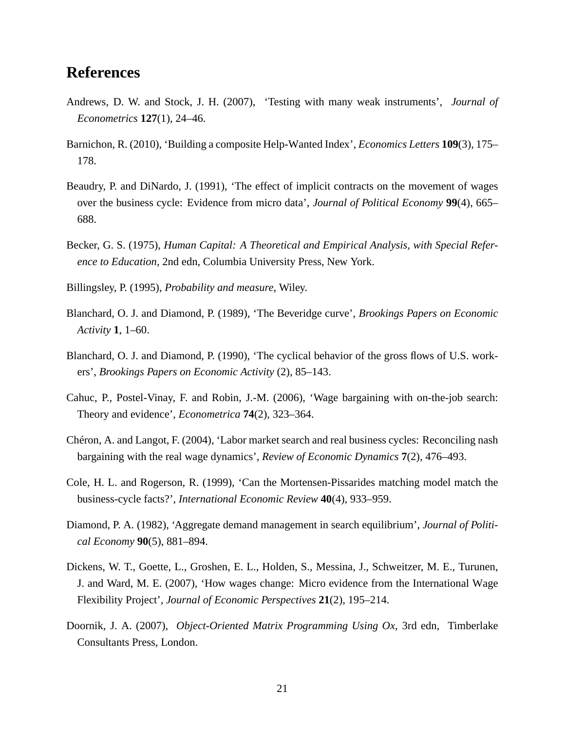# **References**

- Andrews, D. W. and Stock, J. H. (2007), 'Testing with many weak instruments', *Journal of Econometrics* **127**(1), 24–46.
- Barnichon, R. (2010), 'Building a composite Help-Wanted Index', *Economics Letters* **109**(3), 175– 178.
- Beaudry, P. and DiNardo, J. (1991), 'The effect of implicit contracts on the movement of wages over the business cycle: Evidence from micro data', *Journal of Political Economy* **99**(4), 665– 688.
- Becker, G. S. (1975), *Human Capital: A Theoretical and Empirical Analysis, with Special Reference to Education*, 2nd edn, Columbia University Press, New York.
- Billingsley, P. (1995), *Probability and measure*, Wiley.
- Blanchard, O. J. and Diamond, P. (1989), 'The Beveridge curve', *Brookings Papers on Economic Activity* **1**, 1–60.
- Blanchard, O. J. and Diamond, P. (1990), 'The cyclical behavior of the gross flows of U.S. workers', *Brookings Papers on Economic Activity* (2), 85–143.
- Cahuc, P., Postel-Vinay, F. and Robin, J.-M. (2006), 'Wage bargaining with on-the-job search: Theory and evidence', *Econometrica* **74**(2), 323–364.
- Chéron, A. and Langot, F. (2004), 'Labor market search and real business cycles: Reconciling nash bargaining with the real wage dynamics', *Review of Economic Dynamics* **7**(2), 476–493.
- Cole, H. L. and Rogerson, R. (1999), 'Can the Mortensen-Pissarides matching model match the business-cycle facts?', *International Economic Review* **40**(4), 933–959.
- Diamond, P. A. (1982), 'Aggregate demand management in search equilibrium', *Journal of Political Economy* **90**(5), 881–894.
- Dickens, W. T., Goette, L., Groshen, E. L., Holden, S., Messina, J., Schweitzer, M. E., Turunen, J. and Ward, M. E. (2007), 'How wages change: Micro evidence from the International Wage Flexibility Project', *Journal of Economic Perspectives* **21**(2), 195–214.
- Doornik, J. A. (2007), *Object-Oriented Matrix Programming Using Ox*, 3rd edn, Timberlake Consultants Press, London.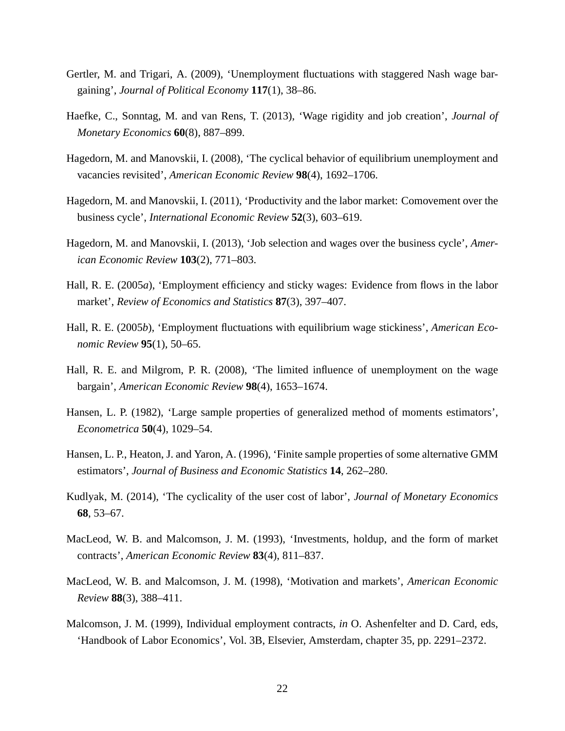- Gertler, M. and Trigari, A. (2009), 'Unemployment fluctuations with staggered Nash wage bargaining', *Journal of Political Economy* **117**(1), 38–86.
- Haefke, C., Sonntag, M. and van Rens, T. (2013), 'Wage rigidity and job creation', *Journal of Monetary Economics* **60**(8), 887–899.
- Hagedorn, M. and Manovskii, I. (2008), 'The cyclical behavior of equilibrium unemployment and vacancies revisited', *American Economic Review* **98**(4), 1692–1706.
- Hagedorn, M. and Manovskii, I. (2011), 'Productivity and the labor market: Comovement over the business cycle', *International Economic Review* **52**(3), 603–619.
- Hagedorn, M. and Manovskii, I. (2013), 'Job selection and wages over the business cycle', *American Economic Review* **103**(2), 771–803.
- Hall, R. E. (2005*a*), 'Employment efficiency and sticky wages: Evidence from flows in the labor market', *Review of Economics and Statistics* **87**(3), 397–407.
- Hall, R. E. (2005*b*), 'Employment fluctuations with equilibrium wage stickiness', *American Economic Review* **95**(1), 50–65.
- Hall, R. E. and Milgrom, P. R. (2008), 'The limited influence of unemployment on the wage bargain', *American Economic Review* **98**(4), 1653–1674.
- Hansen, L. P. (1982), 'Large sample properties of generalized method of moments estimators', *Econometrica* **50**(4), 1029–54.
- Hansen, L. P., Heaton, J. and Yaron, A. (1996), 'Finite sample properties of some alternative GMM estimators', *Journal of Business and Economic Statistics* **14**, 262–280.
- Kudlyak, M. (2014), 'The cyclicality of the user cost of labor', *Journal of Monetary Economics* **68**, 53–67.
- MacLeod, W. B. and Malcomson, J. M. (1993), 'Investments, holdup, and the form of market contracts', *American Economic Review* **83**(4), 811–837.
- MacLeod, W. B. and Malcomson, J. M. (1998), 'Motivation and markets', *American Economic Review* **88**(3), 388–411.
- Malcomson, J. M. (1999), Individual employment contracts, *in* O. Ashenfelter and D. Card, eds, 'Handbook of Labor Economics', Vol. 3B, Elsevier, Amsterdam, chapter 35, pp. 2291–2372.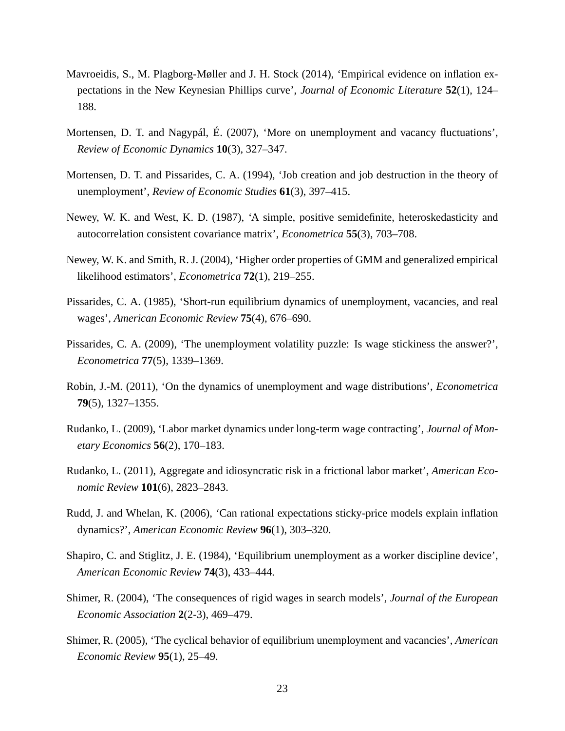- Mavroeidis, S., M. Plagborg-Møller and J. H. Stock (2014), 'Empirical evidence on inflation expectations in the New Keynesian Phillips curve', *Journal of Economic Literature* **52**(1), 124– 188.
- Mortensen, D. T. and Nagypál, É. (2007), 'More on unemployment and vacancy fluctuations', *Review of Economic Dynamics* **10**(3), 327–347.
- Mortensen, D. T. and Pissarides, C. A. (1994), 'Job creation and job destruction in the theory of unemployment', *Review of Economic Studies* **61**(3), 397–415.
- Newey, W. K. and West, K. D. (1987), 'A simple, positive semidefinite, heteroskedasticity and autocorrelation consistent covariance matrix', *Econometrica* **55**(3), 703–708.
- Newey, W. K. and Smith, R. J. (2004), 'Higher order properties of GMM and generalized empirical likelihood estimators', *Econometrica* **72**(1), 219–255.
- Pissarides, C. A. (1985), 'Short-run equilibrium dynamics of unemployment, vacancies, and real wages', *American Economic Review* **75**(4), 676–690.
- Pissarides, C. A. (2009), 'The unemployment volatility puzzle: Is wage stickiness the answer?', *Econometrica* **77**(5), 1339–1369.
- Robin, J.-M. (2011), 'On the dynamics of unemployment and wage distributions', *Econometrica* **79**(5), 1327–1355.
- Rudanko, L. (2009), 'Labor market dynamics under long-term wage contracting', *Journal of Monetary Economics* **56**(2), 170–183.
- Rudanko, L. (2011), Aggregate and idiosyncratic risk in a frictional labor market', *American Economic Review* **101**(6), 2823–2843.
- Rudd, J. and Whelan, K. (2006), 'Can rational expectations sticky-price models explain inflation dynamics?', *American Economic Review* **96**(1), 303–320.
- Shapiro, C. and Stiglitz, J. E. (1984), 'Equilibrium unemployment as a worker discipline device', *American Economic Review* **74**(3), 433–444.
- Shimer, R. (2004), 'The consequences of rigid wages in search models', *Journal of the European Economic Association* **2**(2-3), 469–479.
- Shimer, R. (2005), 'The cyclical behavior of equilibrium unemployment and vacancies', *American Economic Review* **95**(1), 25–49.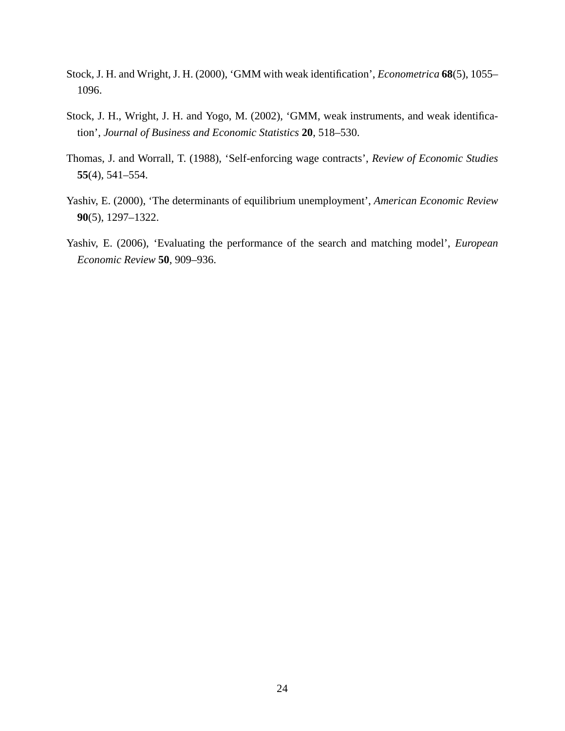- Stock, J. H. and Wright, J. H. (2000), 'GMM with weak identification', *Econometrica* **68**(5), 1055– 1096.
- Stock, J. H., Wright, J. H. and Yogo, M. (2002), 'GMM, weak instruments, and weak identification', *Journal of Business and Economic Statistics* **20**, 518–530.
- Thomas, J. and Worrall, T. (1988), 'Self-enforcing wage contracts', *Review of Economic Studies* **55**(4), 541–554.
- Yashiv, E. (2000), 'The determinants of equilibrium unemployment', *American Economic Review* **90**(5), 1297–1322.
- Yashiv, E. (2006), 'Evaluating the performance of the search and matching model', *European Economic Review* **50**, 909–936.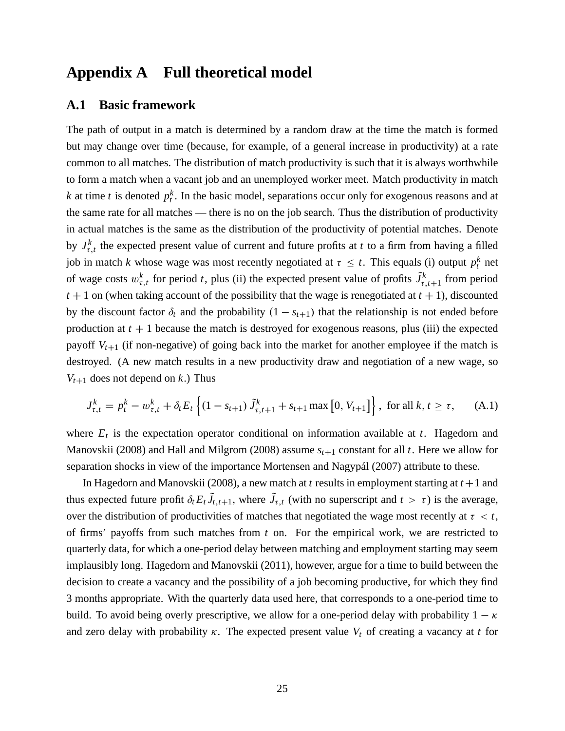# **Appendix A Full theoretical model**

#### **A.1 Basic framework**

The path of output in a match is determined by a random draw at the time the match is formed but may change over time (because, for example, of a general increase in productivity) at a rate common to all matches. The distribution of match productivity is such that it is always worthwhile to form a match when a vacant job and an unemployed worker meet. Match productivity in match *k* at time *t* is denoted  $p_t^k$ . In the basic model, separations occur only for exogenous reasons and at the same rate for all matches — there is no on the job search. Thus the distribution of productivity in actual matches is the same as the distribution of the productivity of potential matches. Denote by  $J_{\tau,t}^k$  the expected present value of current and future profits at *t* to a firm from having a filled job in match *k* whose wage was most recently negotiated at  $\tau \leq t$ . This equals (i) output  $p_t^k$  net of wage costs  $w_{\tau,t}^k$  for period *t*, plus (ii) the expected present value of profits  $\tilde{J}_{\tau}^k$  $\int_{\tau,t+1}^{k}$  from period  $t + 1$  on (when taking account of the possibility that the wage is renegotiated at  $t + 1$ ), discounted by the discount factor  $\delta_t$  and the probability  $(1 - s_{t+1})$  that the relationship is not ended before production at  $t + 1$  because the match is destroyed for exogenous reasons, plus (iii) the expected payoff  $V_{t+1}$  (if non-negative) of going back into the market for another employee if the match is destroyed. (A new match results in a new productivity draw and negotiation of a new wage, so  $V_{t+1}$  does not depend on *k*.) Thus

$$
J_{\tau,t}^k = p_t^k - w_{\tau,t}^k + \delta_t E_t \left\{ (1 - s_{t+1}) \tilde{J}_{\tau,t+1}^k + s_{t+1} \max\left[0, V_{t+1}\right] \right\}, \text{ for all } k, t \ge \tau,
$$
 (A.1)

where  $E_t$  is the expectation operator conditional on information available at  $t$ . Hagedorn and Manovskii (2008) and Hall and Milgrom (2008) assume  $s_{t+1}$  constant for all *t*. Here we allow for separation shocks in view of the importance Mortensen and Nagypál (2007) attribute to these.

In Hagedorn and Manovskii (2008), a new match at  $t$  results in employment starting at  $t + 1$  and thus expected future profit  $\delta_t E_t J_{t,t+1}$ , where  $J_{\tau,t}$  (with no superscript and  $t > \tau$ ) is the average, over the distribution of productivities of matches that negotiated the wage most recently at  $\tau < t$ , of firms' payoffs from such matches from *t* on. For the empirical work, we are restricted to quarterly data, for which a one-period delay between matching and employment starting may seem implausibly long. Hagedorn and Manovskii (2011), however, argue for a time to build between the decision to create a vacancy and the possibility of a job becoming productive, for which they find 3 months appropriate. With the quarterly data used here, that corresponds to a one-period time to build. To avoid being overly prescriptive, we allow for a one-period delay with probability  $1 - \kappa$ and zero delay with probability  $\kappa$ . The expected present value  $V_t$  of creating a vacancy at *t* for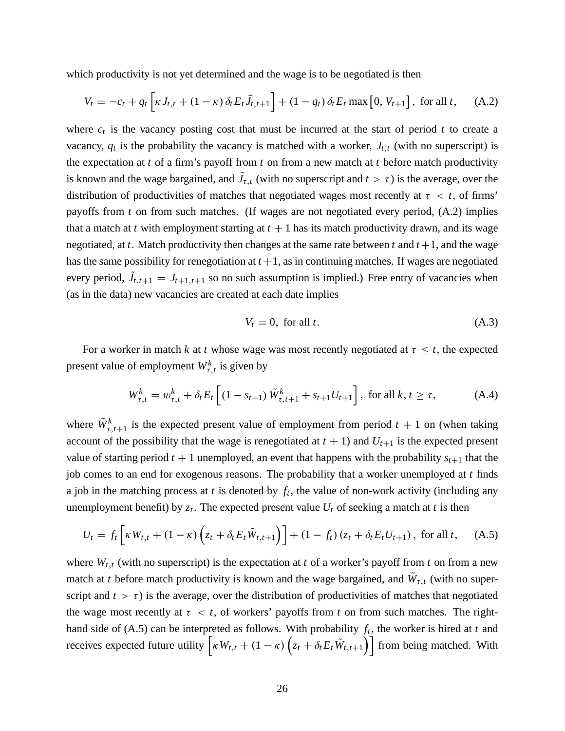which productivity is not yet determined and the wage is to be negotiated is then

$$
V_t = -c_t + q_t \left[ \kappa J_{t,t} + (1 - \kappa) \, \delta_t E_t \tilde{J}_{t,t+1} \right] + (1 - q_t) \, \delta_t E_t \max\left[0, V_{t+1}\right], \text{ for all } t, \qquad (A.2)
$$

where  $c_t$  is the vacancy posting cost that must be incurred at the start of period  $t$  to create a vacancy,  $q_t$  is the probability the vacancy is matched with a worker,  $J_{t,t}$  (with no superscript) is the expectation at *t* of a firm's payoff from *t* on from a new match at *t* before match productivity is known and the wage bargained, and  $J_{\tau,t}$  (with no superscript and  $t > \tau$ ) is the average, over the distribution of productivities of matches that negotiated wages most recently at  $\tau < t$ , of firms' payoffs from *t* on from such matches. (If wages are not negotiated every period, (A.2) implies that a match at *t* with employment starting at  $t + 1$  has its match productivity drawn, and its wage negotiated, at *t*. Match productivity then changes at the same rate between *t* and  $t+1$ , and the wage has the same possibility for renegotiation at  $t + 1$ , as in continuing matches. If wages are negotiated every period,  $J_{t,t+1} = J_{t+1,t+1}$  so no such assumption is implied.) Free entry of vacancies when (as in the data) new vacancies are created at each date implies

$$
V_t = 0, \text{ for all } t. \tag{A.3}
$$

For a worker in match *k* at *t* whose wage was most recently negotiated at  $\tau \leq t$ , the expected present value of employment  $W_{\tau,t}^k$  is given by

$$
W_{\tau,t}^{k} = w_{\tau,t}^{k} + \delta_{t} E_{t} \left[ (1 - s_{t+1}) \tilde{W}_{\tau,t+1}^{k} + s_{t+1} U_{t+1} \right], \text{ for all } k, t \ge \tau,
$$
 (A.4)

where  $\tilde{W}_{\tau}^k$  $\frac{k}{\tau}$ , *t*+1 is the expected present value of employment from period *t* + 1 on (when taking account of the possibility that the wage is renegotiated at  $t + 1$ ) and  $U_{t+1}$  is the expected present value of starting period  $t + 1$  unemployed, an event that happens with the probability  $s_{t+1}$  that the job comes to an end for exogenous reasons. The probability that a worker unemployed at *t* finds a job in the matching process at  $t$  is denoted by  $f_t$ , the value of non-work activity (including any unemployment benefit) by  $z_t$ . The expected present value  $U_t$  of seeking a match at *t* is then

$$
U_t = f_t \left[ \kappa W_{t,t} + (1 - \kappa) \left( z_t + \delta_t E_t \tilde{W}_{t,t+1} \right) \right] + (1 - f_t) \left( z_t + \delta_t E_t U_{t+1} \right), \text{ for all } t, \quad (A.5)
$$

where  $W_{t,t}$  (with no superscript) is the expectation at *t* of a worker's payoff from *t* on from a new match at *t* before match productivity is known and the wage bargained, and  $W_{\tau,t}$  (with no superscript and  $t > \tau$ ) is the average, over the distribution of productivities of matches that negotiated the wage most recently at  $\tau < t$ , of workers' payoffs from t on from such matches. The righthand side of (A.5) can be interpreted as follows. With probability *f<sup>t</sup>* , the worker is hired at *t* and receives expected future utility  $\left[ \kappa W_{t,t} + (1 - \kappa) \left( z_t + \delta_t E_t \tilde{W}_{t,t+1} \right) \right]$  from being matched. With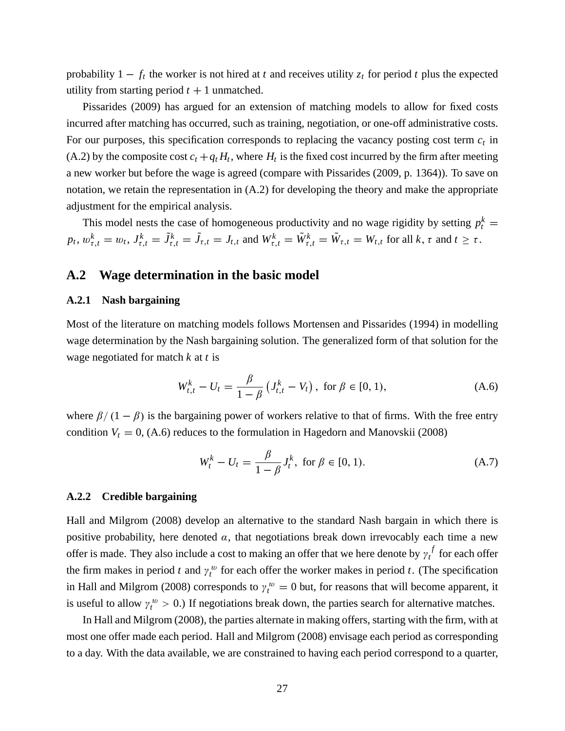probability  $1 - f_t$  the worker is not hired at *t* and receives utility  $z_t$  for period *t* plus the expected utility from starting period  $t + 1$  unmatched.

Pissarides (2009) has argued for an extension of matching models to allow for fixed costs incurred after matching has occurred, such as training, negotiation, or one-off administrative costs. For our purposes, this specification corresponds to replacing the vacancy posting cost term *c<sup>t</sup>* in (A.2) by the composite cost  $c_t + q_t H_t$ , where  $H_t$  is the fixed cost incurred by the firm after meeting a new worker but before the wage is agreed (compare with Pissarides (2009, p. 1364)). To save on notation, we retain the representation in (A.2) for developing the theory and make the appropriate adjustment for the empirical analysis.

This model nests the case of homogeneous productivity and no wage rigidity by setting  $p_t^k =$  $p_t, w_{\tau,t}^k = w_t, J_{\tau,t}^k = \tilde{J}_{\tau,t}^k = \tilde{J}_{\tau,t} = J_{t,t}$  and  $W_{\tau,t}^k = \tilde{W}_{\tau,t}^k = \tilde{W}_{\tau,t} = W_{t,t}$  for all  $k, \tau$  and  $t \geq \tau$ .

### **A.2 Wage determination in the basic model**

#### **A.2.1 Nash bargaining**

Most of the literature on matching models follows Mortensen and Pissarides (1994) in modelling wage determination by the Nash bargaining solution. The generalized form of that solution for the wage negotiated for match *k* at *t* is

$$
W_{t,t}^k - U_t = \frac{\beta}{1 - \beta} \left( J_{t,t}^k - V_t \right), \text{ for } \beta \in [0, 1), \tag{A.6}
$$

where  $\beta/(1-\beta)$  is the bargaining power of workers relative to that of firms. With the free entry condition  $V_t = 0$ , (A.6) reduces to the formulation in Hagedorn and Manovskii (2008)

$$
W_t^k - U_t = \frac{\beta}{1 - \beta} J_t^k, \text{ for } \beta \in [0, 1). \tag{A.7}
$$

#### **A.2.2 Credible bargaining**

Hall and Milgrom (2008) develop an alternative to the standard Nash bargain in which there is positive probability, here denoted  $\alpha$ , that negotiations break down irrevocably each time a new offer is made. They also include a cost to making an offer that we here denote by  $\gamma_t^f$  $t$ <sup> $\int$ </sup> for each offer the firm makes in period *t* and  $\gamma_t^w$  for each offer the worker makes in period *t*. (The specification in Hall and Milgrom (2008) corresponds to  $\gamma_t^w = 0$  but, for reasons that will become apparent, it is useful to allow  $\gamma_t^w > 0$ .) If negotiations break down, the parties search for alternative matches.

In Hall and Milgrom (2008), the parties alternate in making offers, starting with the firm, with at most one offer made each period. Hall and Milgrom (2008) envisage each period as corresponding to a day. With the data available, we are constrained to having each period correspond to a quarter,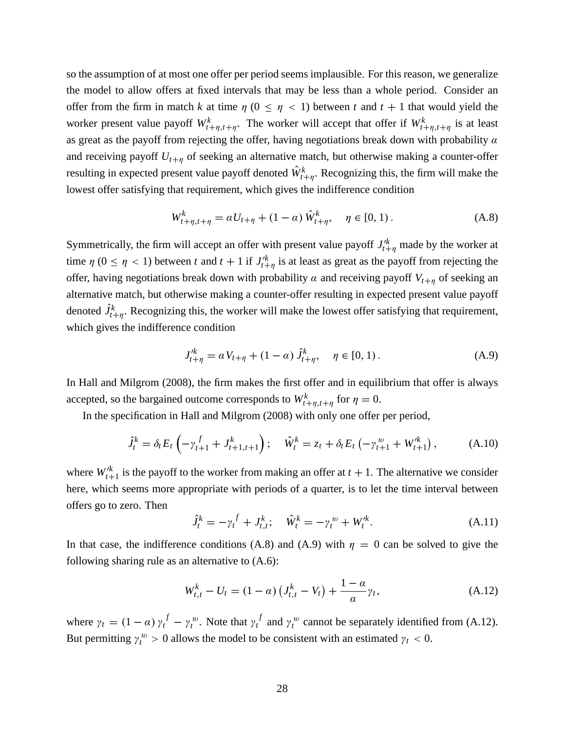so the assumption of at most one offer per period seems implausible. For this reason, we generalize the model to allow offers at fixed intervals that may be less than a whole period. Consider an offer from the firm in match *k* at time  $\eta$  ( $0 \leq \eta$  < 1) between *t* and  $t + 1$  that would yield the worker present value payoff  $W_{t+\eta,t+\eta}^k$ . The worker will accept that offer if  $W_{t+\eta,t+\eta}^k$  is at least as great as the payoff from rejecting the offer, having negotiations break down with probability  $\alpha$ and receiving payoff  $U_{t+n}$  of seeking an alternative match, but otherwise making a counter-offer resulting in expected present value payoff denoted  $\hat{W}_{t+\eta}^k$ . Recognizing this, the firm will make the lowest offer satisfying that requirement, which gives the indifference condition

$$
W_{t+\eta, t+\eta}^{k} = \alpha U_{t+\eta} + (1 - \alpha) \hat{W}_{t+\eta}^{k}, \quad \eta \in [0, 1).
$$
 (A.8)

Symmetrically, the firm will accept an offer with present value payoff  $J'^{k}_{t+\eta}$  made by the worker at time  $\eta$  ( $0 \le \eta < 1$ ) between *t* and  $t + 1$  if  $J'^{k}_{t+\eta}$  is at least as great as the payoff from rejecting the offer, having negotiations break down with probability  $\alpha$  and receiving payoff  $V_{t+\eta}$  of seeking an alternative match, but otherwise making a counter-offer resulting in expected present value payoff denoted  $\hat{J}_{t+\eta}^k$ . Recognizing this, the worker will make the lowest offer satisfying that requirement, which gives the indifference condition

$$
J_{t+\eta}^{/k} = \alpha V_{t+\eta} + (1-\alpha) \hat{J}_{t+\eta}^{k}, \quad \eta \in [0,1).
$$
 (A.9)

In Hall and Milgrom (2008), the firm makes the first offer and in equilibrium that offer is always accepted, so the bargained outcome corresponds to  $W^k_{t+\eta,t+\eta}$  for  $\eta = 0$ .

In the specification in Hall and Milgrom (2008) with only one offer per period,

$$
\hat{J}_t^k = \delta_t E_t \left( -\gamma_{t+1}^f + J_{t+1,t+1}^k \right); \quad \hat{W}_t^k = z_t + \delta_t E_t \left( -\gamma_{t+1}^w + W_{t+1}^k \right), \tag{A.10}
$$

where  $W_{t+1}^k$  is the payoff to the worker from making an offer at  $t + 1$ . The alternative we consider here, which seems more appropriate with periods of a quarter, is to let the time interval between offers go to zero. Then

$$
\hat{J}_t^k = -\gamma_t^f + J_{t,t}^k; \quad \hat{W}_t^k = -\gamma_t^w + W_t^{\prime k}.
$$
 (A.11)

In that case, the indifference conditions (A.8) and (A.9) with  $\eta = 0$  can be solved to give the following sharing rule as an alternative to (A.6):

$$
W_{t,t}^{k} - U_{t} = (1 - \alpha) \left( J_{t,t}^{k} - V_{t} \right) + \frac{1 - \alpha}{\alpha} \gamma_{t}, \tag{A.12}
$$

where  $\gamma_t = (1 - \alpha) \gamma_t^f - \gamma_t^w$ . Note that  $\gamma_t^f$  $t_t$ <sup>t</sup> and  $\gamma_t^w$  cannot be separately identified from (A.12). But permitting  $\gamma_t^w > 0$  allows the model to be consistent with an estimated  $\gamma_t < 0$ .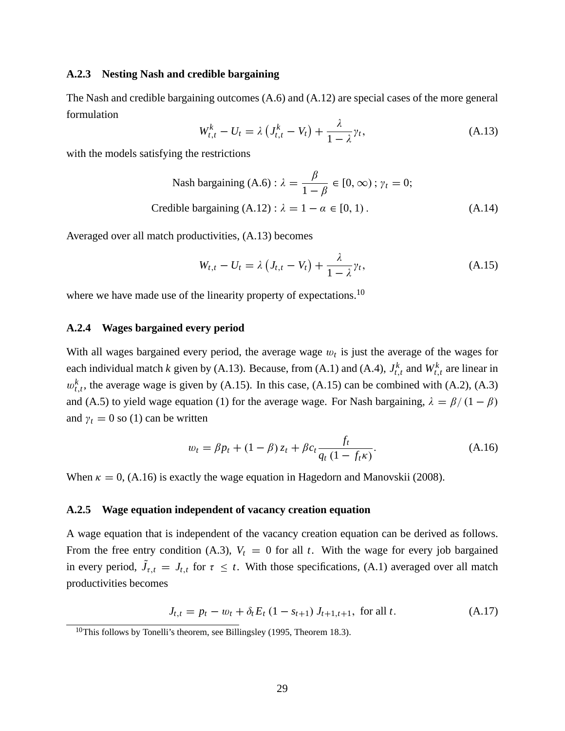#### **A.2.3 Nesting Nash and credible bargaining**

The Nash and credible bargaining outcomes (A.6) and (A.12) are special cases of the more general formulation

$$
W_{t,t}^k - U_t = \lambda \left( J_{t,t}^k - V_t \right) + \frac{\lambda}{1 - \lambda} \gamma_t,
$$
\n(A.13)

with the models satisfying the restrictions

Nash bargaining (A.6) : 
$$
\lambda = \frac{\beta}{1 - \beta} \in [0, \infty)
$$
;  $\gamma_t = 0$ ;  
Credible bargaining (A.12) :  $\lambda = 1 - \alpha \in [0, 1)$ . (A.14)

Averaged over all match productivities, (A.13) becomes

$$
W_{t,t} - U_t = \lambda \left( J_{t,t} - V_t \right) + \frac{\lambda}{1 - \lambda} \gamma_t,
$$
\n(A.15)

where we have made use of the linearity property of expectations.<sup>10</sup>

#### **A.2.4 Wages bargained every period**

With all wages bargained every period, the average wage  $w_t$  is just the average of the wages for each individual match *k* given by (A.13). Because, from (A.1) and (A.4),  $J_{t,t}^k$  and  $W_{t,t}^k$  are linear in  $w_{t,t}^k$ , the average wage is given by (A.15). In this case, (A.15) can be combined with (A.2), (A.3) and (A.5) to yield wage equation (1) for the average wage. For Nash bargaining,  $\lambda = \beta/(1 - \beta)$ and  $\gamma_t = 0$  so (1) can be written

$$
w_t = \beta p_t + (1 - \beta) z_t + \beta c_t \frac{f_t}{q_t (1 - f_t \kappa)}.
$$
 (A.16)

When  $\kappa = 0$ , (A.16) is exactly the wage equation in Hagedorn and Manovskii (2008).

#### **A.2.5 Wage equation independent of vacancy creation equation**

A wage equation that is independent of the vacancy creation equation can be derived as follows. From the free entry condition (A.3),  $V_t = 0$  for all *t*. With the wage for every job bargained in every period,  $J_{\tau,t} = J_{t,t}$  for  $\tau \leq t$ . With those specifications, (A.1) averaged over all match productivities becomes

$$
J_{t,t} = p_t - w_t + \delta_t E_t (1 - s_{t+1}) J_{t+1,t+1}, \text{ for all } t. \tag{A.17}
$$

<sup>&</sup>lt;sup>10</sup>This follows by Tonelli's theorem, see Billingsley (1995, Theorem 18.3).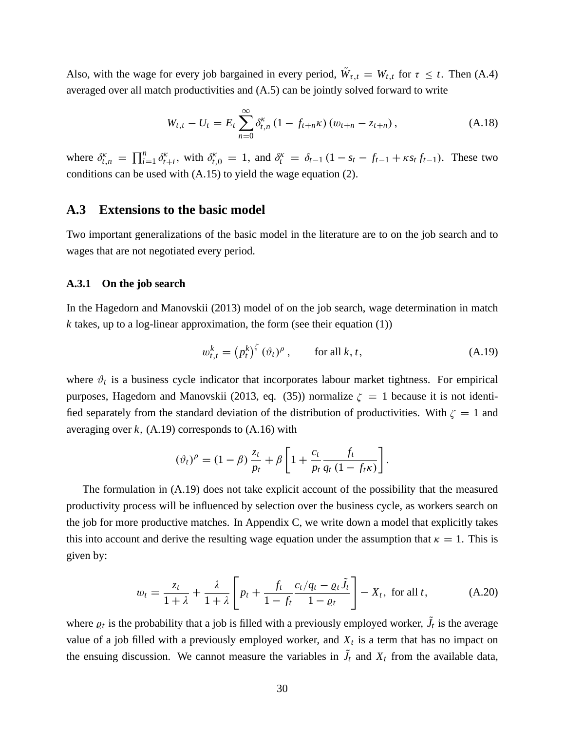Also, with the wage for every job bargained in every period,  $W_{\tau,t} = W_{t,t}$  for  $\tau \leq t$ . Then (A.4) averaged over all match productivities and (A.5) can be jointly solved forward to write

$$
W_{t,t} - U_t = E_t \sum_{n=0}^{\infty} \delta_{t,n}^{\kappa} (1 - f_{t+n} \kappa) (w_{t+n} - z_{t+n}), \qquad (A.18)
$$

where  $\delta_{t,n}^{\kappa} = \prod_{i=1}^{n}$  $\sum_{i=1}^n \delta_t^{\kappa}$ *t*<sub>*t*+*i*</sub>, with  $\delta_{t,0}^{\kappa} = 1$ , and  $\delta_t^{\kappa} = \delta_{t-1} (1 - s_t - f_{t-1} + \kappa s_t f_{t-1})$ . These two conditions can be used with (A.15) to yield the wage equation (2).

### **A.3 Extensions to the basic model**

Two important generalizations of the basic model in the literature are to on the job search and to wages that are not negotiated every period.

#### **A.3.1 On the job search**

In the Hagedorn and Manovskii (2013) model of on the job search, wage determination in match  $k$  takes, up to a log-linear approximation, the form (see their equation  $(1)$ )

$$
w_{t,t}^k = (p_t^k)^{\zeta} (\vartheta_t)^{\rho}, \qquad \text{for all } k, t,
$$
 (A.19)

where  $\vartheta_t$  is a business cycle indicator that incorporates labour market tightness. For empirical purposes, Hagedorn and Manovskii (2013, eq. (35)) normalize  $\zeta = 1$  because it is not identified separately from the standard deviation of the distribution of productivities. With  $\zeta = 1$  and averaging over  $k$ ,  $(A.19)$  corresponds to  $(A.16)$  with

$$
(\vartheta_t)^{\rho} = (1 - \beta) \frac{z_t}{p_t} + \beta \left[ 1 + \frac{c_t}{p_t} \frac{f_t}{q_t (1 - f_t \kappa)} \right].
$$

The formulation in (A.19) does not take explicit account of the possibility that the measured productivity process will be influenced by selection over the business cycle, as workers search on the job for more productive matches. In Appendix C, we write down a model that explicitly takes this into account and derive the resulting wage equation under the assumption that  $\kappa = 1$ . This is given by:

$$
w_t = \frac{z_t}{1+\lambda} + \frac{\lambda}{1+\lambda} \left[ p_t + \frac{f_t}{1-f_t} \frac{c_t/q_t - \varrho_t \tilde{J}_t}{1-\varrho_t} \right] - X_t, \text{ for all } t,
$$
 (A.20)

where  $\rho_t$  is the probability that a job is filled with a previously employed worker,  $J_t$  is the average value of a job filled with a previously employed worker, and  $X_t$  is a term that has no impact on the ensuing discussion. We cannot measure the variables in  $J_t$  and  $X_t$  from the available data,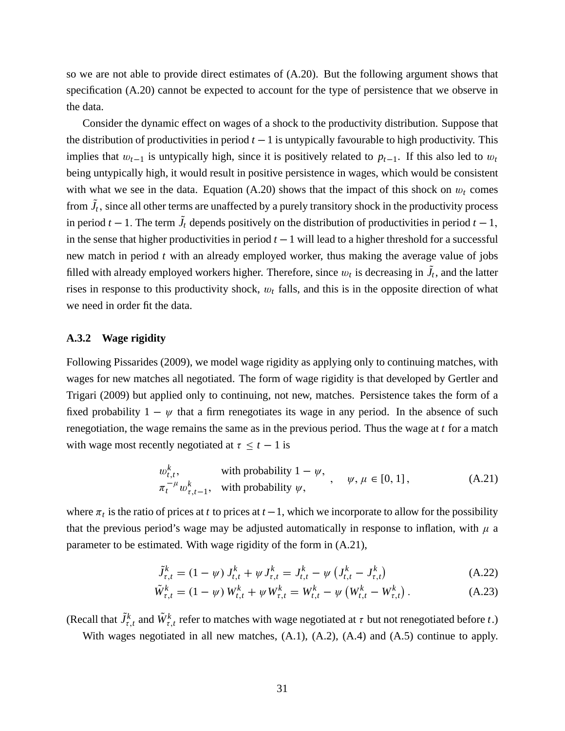so we are not able to provide direct estimates of (A.20). But the following argument shows that specification (A.20) cannot be expected to account for the type of persistence that we observe in the data.

Consider the dynamic effect on wages of a shock to the productivity distribution. Suppose that the distribution of productivities in period  $t - 1$  is untypically favourable to high productivity. This implies that  $w_{t-1}$  is untypically high, since it is positively related to  $p_{t-1}$ . If this also led to  $w_t$ being untypically high, it would result in positive persistence in wages, which would be consistent with what we see in the data. Equation  $(A.20)$  shows that the impact of this shock on  $w_t$  comes from  $J_t$ , since all other terms are unaffected by a purely transitory shock in the productivity process in period  $t - 1$ . The term  $J_t$  depends positively on the distribution of productivities in period  $t - 1$ , in the sense that higher productivities in period  $t - 1$  will lead to a higher threshold for a successful new match in period *t* with an already employed worker, thus making the average value of jobs filled with already employed workers higher. Therefore, since  $w_t$  is decreasing in  $J_t$ , and the latter rises in response to this productivity shock, w*<sup>t</sup>* falls, and this is in the opposite direction of what we need in order fit the data.

#### **A.3.2 Wage rigidity**

Following Pissarides (2009), we model wage rigidity as applying only to continuing matches, with wages for new matches all negotiated. The form of wage rigidity is that developed by Gertler and Trigari (2009) but applied only to continuing, not new, matches. Persistence takes the form of a fixed probability  $1 - \psi$  that a firm renegotiates its wage in any period. In the absence of such renegotiation, the wage remains the same as in the previous period. Thus the wage at *t* for a match with wage most recently negotiated at  $\tau \leq t - 1$  is

$$
w_{t,t}^k, \qquad \text{with probability } 1 - \psi, \qquad \psi, \mu \in [0, 1],
$$
  
\n
$$
\pi_t^{-\mu} w_{\tau, t-1}^k, \quad \text{with probability } \psi,
$$
 (A.21)

where  $\pi_t$  is the ratio of prices at *t* to prices at  $t-1$ , which we incorporate to allow for the possibility that the previous period's wage may be adjusted automatically in response to inflation, with  $\mu$  a parameter to be estimated. With wage rigidity of the form in (A.21),

$$
\tilde{J}_{\tau,t}^k = (1 - \psi) J_{t,t}^k + \psi J_{\tau,t}^k = J_{t,t}^k - \psi \left( J_{t,t}^k - J_{\tau,t}^k \right) \tag{A.22}
$$

$$
\tilde{W}_{\tau,t}^k = (1 - \psi) W_{t,t}^k + \psi W_{\tau,t}^k = W_{t,t}^k - \psi (W_{t,t}^k - W_{\tau,t}^k).
$$
\n(A.23)

(Recall that  $\tilde{J}^k_{\tau,t}$  and  $\tilde{W}^k_{\tau,t}$  refer to matches with wage negotiated at  $\tau$  but not renegotiated before  $t$ .)

With wages negotiated in all new matches, (A.1), (A.2), (A.4) and (A.5) continue to apply.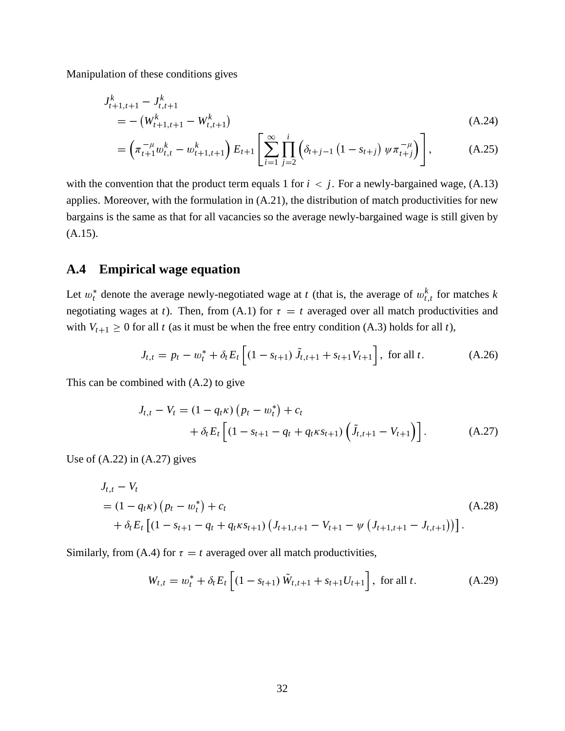Manipulation of these conditions gives

$$
J_{t+1,t+1}^k - J_{t,t+1}^k
$$
  
= - (W\_{t+1,t+1}^k - W\_{t,t+1}^k) (A.24)

$$
= \left(\pi_{t+1}^{-\mu} w_{t,t}^k - w_{t+1,t+1}^k\right) E_{t+1} \left[\sum_{i=1}^{\infty} \prod_{j=2}^i \left(\delta_{t+j-1} \left(1 - s_{t+j}\right) \psi \pi_{t+j}^{-\mu}\right)\right],\tag{A.25}
$$

with the convention that the product term equals 1 for  $i < j$ . For a newly-bargained wage,  $(A.13)$ applies. Moreover, with the formulation in (A.21), the distribution of match productivities for new bargains is the same as that for all vacancies so the average newly-bargained wage is still given by (A.15).

### **A.4 Empirical wage equation**

Let  $w_t^*$  denote the average newly-negotiated wage at *t* (that is, the average of  $w_{t,t}^k$  for matches *k* negotiating wages at *t*). Then, from (A.1) for  $\tau = t$  averaged over all match productivities and with  $V_{t+1} \geq 0$  for all *t* (as it must be when the free entry condition (A.3) holds for all *t*),

$$
J_{t,t} = p_t - w_t^* + \delta_t E_t \left[ (1 - s_{t+1}) \tilde{J}_{t,t+1} + s_{t+1} V_{t+1} \right], \text{ for all } t.
$$
 (A.26)

This can be combined with (A.2) to give

$$
J_{t,t} - V_t = (1 - q_t \kappa) (p_t - w_t^*) + c_t + \delta_t E_t \left[ (1 - s_{t+1} - q_t + q_t \kappa s_{t+1}) (\tilde{J}_{t,t+1} - V_{t+1}) \right].
$$
 (A.27)

Use of  $(A.22)$  in  $(A.27)$  gives

$$
J_{t,t} - V_t
$$
  
=  $(1 - q_t \kappa) (p_t - w_t^*) + c_t$   
+  $\delta_t E_t [(1 - s_{t+1} - q_t + q_t \kappa s_{t+1}) (J_{t+1,t+1} - V_{t+1} - \psi (J_{t+1,t+1} - J_{t,t+1}))].$  (A.28)

Similarly, from (A.4) for  $\tau = t$  averaged over all match productivities,

$$
W_{t,t} = w_t^* + \delta_t E_t \left[ (1 - s_{t+1}) \tilde{W}_{t,t+1} + s_{t+1} U_{t+1} \right], \text{ for all } t.
$$
 (A.29)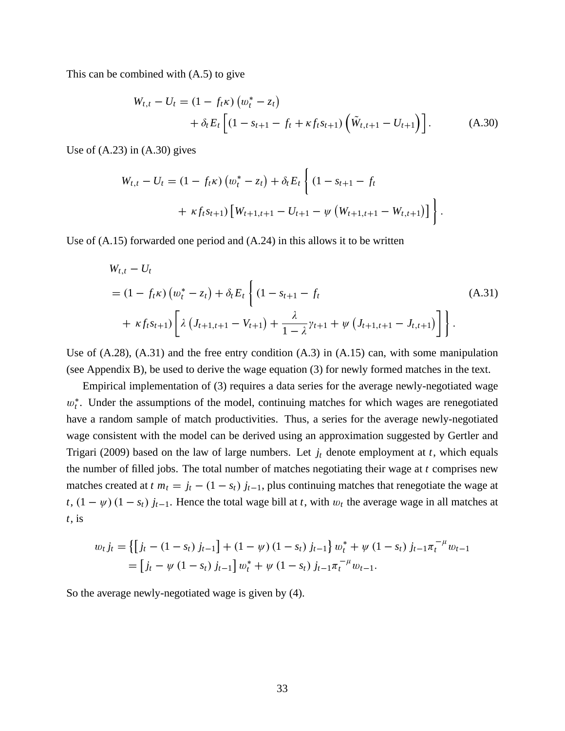This can be combined with (A.5) to give

$$
W_{t,t} - U_t = (1 - f_t \kappa) (w_t^* - z_t)
$$
  
+  $\delta_t E_t \left[ (1 - s_{t+1} - f_t + \kappa f_t s_{t+1}) (\tilde{W}_{t,t+1} - U_{t+1}) \right].$  (A.30)

Use of  $(A.23)$  in  $(A.30)$  gives

$$
W_{t,t} - U_t = (1 - f_t \kappa) \left( w_t^* - z_t \right) + \delta_t E_t \left\{ (1 - s_{t+1} - f_t + \kappa f_t s_{t+1}) \left[ W_{t+1,t+1} - U_{t+1} - \psi \left( W_{t+1,t+1} - W_{t,t+1} \right) \right] \right\}.
$$

Use of (A.15) forwarded one period and (A.24) in this allows it to be written

$$
W_{t,t} - U_t
$$
  
=  $(1 - f_t \kappa) (w_t^* - z_t) + \delta_t E_t \left\{ (1 - s_{t+1} - f_t$   
+  $\kappa f_t s_{t+1}) \left[ \lambda (J_{t+1,t+1} - V_{t+1}) + \frac{\lambda}{1 - \lambda} \gamma_{t+1} + \psi (J_{t+1,t+1} - J_{t,t+1}) \right] \right\}.$  (A.31)

Use of  $(A.28)$ ,  $(A.31)$  and the free entry condition  $(A.3)$  in  $(A.15)$  can, with some manipulation (see Appendix B), be used to derive the wage equation (3) for newly formed matches in the text.

Empirical implementation of (3) requires a data series for the average newly-negotiated wage  $w_t^*$ . Under the assumptions of the model, continuing matches for which wages are renegotiated have a random sample of match productivities. Thus, a series for the average newly-negotiated wage consistent with the model can be derived using an approximation suggested by Gertler and Trigari (2009) based on the law of large numbers. Let *j<sup>t</sup>* denote employment at *t*, which equals the number of filled jobs. The total number of matches negotiating their wage at *t* comprises new matches created at  $t m_t = j_t - (1 - s_t) j_{t-1}$ , plus continuing matches that renegotiate the wage at *t*,  $(1 - \psi) (1 - s_t) j_{t-1}$ . Hence the total wage bill at *t*, with  $w_t$  the average wage in all matches at *t*, is

$$
w_t j_t = \left\{ \left[ j_t - (1 - s_t) j_{t-1} \right] + (1 - \psi) (1 - s_t) j_{t-1} \right\} w_t^* + \psi (1 - s_t) j_{t-1} \pi_t^{-\mu} w_{t-1}
$$
  
= 
$$
\left[ j_t - \psi (1 - s_t) j_{t-1} \right] w_t^* + \psi (1 - s_t) j_{t-1} \pi_t^{-\mu} w_{t-1}.
$$

So the average newly-negotiated wage is given by (4).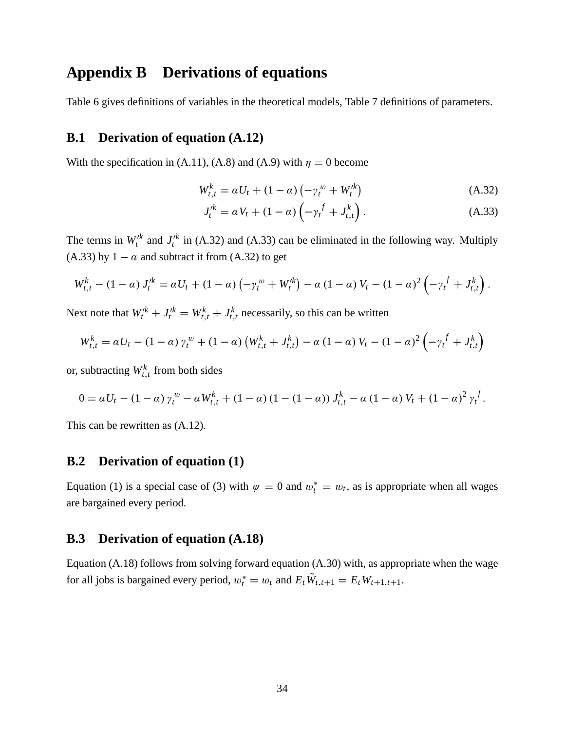# **Appendix B Derivations of equations**

Table 6 gives definitions of variables in the theoretical models, Table 7 definitions of parameters.

### **B.1 Derivation of equation (A.12)**

With the specification in (A.11), (A.8) and (A.9) with  $\eta = 0$  become

$$
W_{t,t}^{k} = \alpha U_t + (1 - \alpha) \left( -\gamma_t^{\,w} + W_t^{\prime k} \right) \tag{A.32}
$$

$$
J_t^{\prime k} = \alpha V_t + (1 - \alpha) \left( -\gamma_t^f + J_{t,t}^k \right). \tag{A.33}
$$

The terms in  $W_t^k$  and  $J_t^k$  in (A.32) and (A.33) can be eliminated in the following way. Multiply (A.33) by  $1 - \alpha$  and subtract it from (A.32) to get

$$
W_{t,t}^{k} - (1 - \alpha) J_{t}^{\prime k} = \alpha U_{t} + (1 - \alpha) \left( -\gamma_{t}^{w} + W_{t}^{\prime k} \right) - \alpha (1 - \alpha) V_{t} - (1 - \alpha)^{2} \left( -\gamma_{t}^{f} + J_{t,t}^{k} \right).
$$

Next note that  $W_t^k + J_t^k = W_{t,t}^k + J_{t,t}^k$  necessarily, so this can be written

$$
W_{t,t}^{k} = \alpha U_{t} - (1 - \alpha) \gamma_{t}^{w} + (1 - \alpha) (W_{t,t}^{k} + J_{t,t}^{k}) - \alpha (1 - \alpha) V_{t} - (1 - \alpha)^{2} \left( -\gamma_{t}^{f} + J_{t,t}^{k} \right)
$$

or, subtracting  $W_{t,t}^k$  from both sides

$$
0 = \alpha U_t - (1 - \alpha) \gamma_t^w - \alpha W_{t,t}^k + (1 - \alpha) (1 - (1 - \alpha)) J_{t,t}^k - \alpha (1 - \alpha) V_t + (1 - \alpha)^2 \gamma_t^f.
$$

This can be rewritten as (A.12).

#### **B.2 Derivation of equation (1)**

Equation (1) is a special case of (3) with  $\psi = 0$  and  $w_t^* = w_t$ , as is appropriate when all wages are bargained every period.

### **B.3 Derivation of equation (A.18)**

Equation (A.18) follows from solving forward equation (A.30) with, as appropriate when the wage for all jobs is bargained every period,  $w_t^* = w_t$  and  $E_t W_{t,t+1} = E_t W_{t+1,t+1}$ .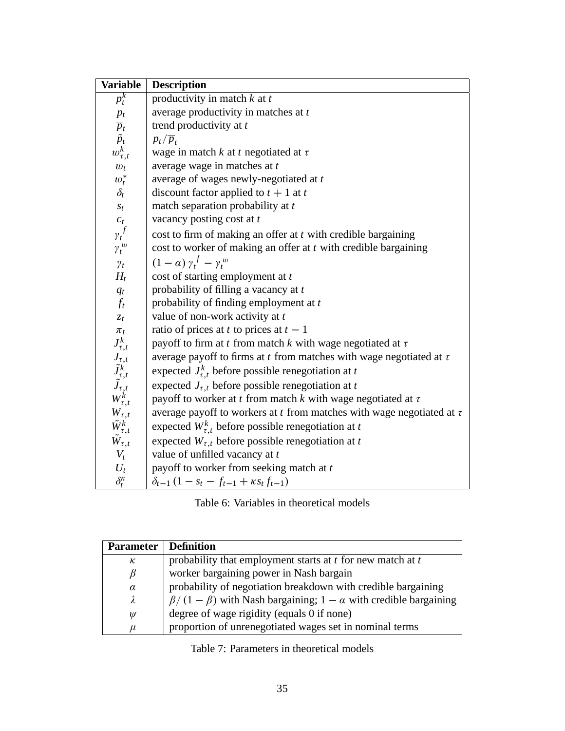| <b>Variable</b>                                                                     | <b>Description</b>                                                           |
|-------------------------------------------------------------------------------------|------------------------------------------------------------------------------|
| $p_t^k$                                                                             | productivity in match $k$ at $t$                                             |
| $p_t$                                                                               | average productivity in matches at t                                         |
| $\overline{p}_t$ $\tilde{p}_t$                                                      | trend productivity at t                                                      |
|                                                                                     | $p_t/\overline{p}_t$                                                         |
| $w_{\tau,t}^k$                                                                      | wage in match $k$ at $t$ negotiated at $\tau$                                |
| $w_t$                                                                               | average wage in matches at t                                                 |
| $w_t^*$                                                                             | average of wages newly-negotiated at t                                       |
| $\delta_t$                                                                          | discount factor applied to $t + 1$ at t                                      |
| $S_t$                                                                               | match separation probability at t                                            |
| $c_t$                                                                               | vacancy posting cost at t                                                    |
| $\gamma_t^f$                                                                        | cost to firm of making an offer at t with credible bargaining                |
| $\gamma_t^{\,w}$                                                                    | cost to worker of making an offer at $t$ with credible bargaining            |
| $\gamma_t$                                                                          | $(1-\alpha)\gamma_t^f - \gamma_t^w$                                          |
| $H_t$                                                                               | cost of starting employment at t                                             |
| $q_t$                                                                               | probability of filling a vacancy at t                                        |
| $f_t$                                                                               | probability of finding employment at t                                       |
| $z_t$                                                                               | value of non-work activity at t                                              |
| $\pi_t$                                                                             | ratio of prices at t to prices at $t-1$                                      |
| $J^k_{\tau,t}$                                                                      | payoff to firm at t from match k with wage negotiated at $\tau$              |
|                                                                                     | average payoff to firms at $t$ from matches with wage negotiated at $\tau$   |
| $J_{\tau,t}$<br>$\tilde{J}_{\tau,t}^k$<br>$\tilde{J}_{\tau,t}$<br>$W_{\tau,t}^k$    | expected $J_{\tau,t}^k$ before possible renegotiation at t                   |
|                                                                                     | expected $J_{\tau,t}$ before possible renegotiation at t                     |
|                                                                                     | payoff to worker at t from match k with wage negotiated at $\tau$            |
|                                                                                     | average payoff to workers at $t$ from matches with wage negotiated at $\tau$ |
| $\begin{array}{c} W_{\tau,t}\ \tilde{W}_{\tau,t}^k\ \tilde{W}_{\tau,t} \end{array}$ | expected $W_{\tau,t}^k$ before possible renegotiation at t                   |
|                                                                                     | expected $W_{\tau,t}$ before possible renegotiation at t                     |
| $V_t$                                                                               | value of unfilled vacancy at t                                               |
| $U_t$                                                                               | payoff to worker from seeking match at t                                     |
| $\delta_t^{\kappa}$                                                                 | $\delta_{t-1} (1 - s_t - f_{t-1} + \kappa s_t f_{t-1})$                      |

| Table 6: Variables in theoretical models |
|------------------------------------------|
|                                          |

| <b>Parameter</b> | Definition                                                                  |
|------------------|-----------------------------------------------------------------------------|
| к                | probability that employment starts at $t$ for new match at $t$              |
| $\beta$          | worker bargaining power in Nash bargain                                     |
| $\alpha$         | probability of negotiation breakdown with credible bargaining               |
| λ                | $\beta/(1-\beta)$ with Nash bargaining; $1-\alpha$ with credible bargaining |
| $\psi$           | degree of wage rigidity (equals 0 if none)                                  |
| $\mu$            | proportion of unrenegotiated wages set in nominal terms                     |

Table 7: Parameters in theoretical models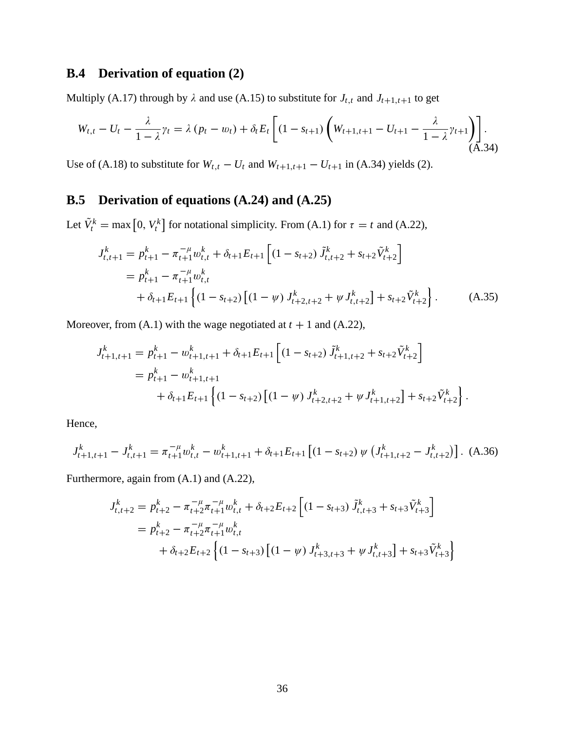## **B.4 Derivation of equation (2)**

Multiply (A.17) through by  $\lambda$  and use (A.15) to substitute for  $J_{t,t}$  and  $J_{t+1,t+1}$  to get

$$
W_{t,t} - U_t - \frac{\lambda}{1 - \lambda} \gamma_t = \lambda (p_t - w_t) + \delta_t E_t \left[ (1 - s_{t+1}) \left( W_{t+1,t+1} - U_{t+1} - \frac{\lambda}{1 - \lambda} \gamma_{t+1} \right) \right].
$$
\n(A.34)

Use of (A.18) to substitute for  $W_{t,t} - U_t$  and  $W_{t+1,t+1} - U_{t+1}$  in (A.34) yields (2).

## **B.5 Derivation of equations (A.24) and (A.25)**

Let  $\tilde{V}_t^k = \max\left[0, V_t^k\right]$  for notational simplicity. From (A.1) for  $\tau = t$  and (A.22),

$$
J_{t,t+1}^{k} = p_{t+1}^{k} - \pi_{t+1}^{-\mu} w_{t,t}^{k} + \delta_{t+1} E_{t+1} \left[ (1 - s_{t+2}) \tilde{J}_{t,t+2}^{k} + s_{t+2} \tilde{V}_{t+2}^{k} \right]
$$
  
=  $p_{t+1}^{k} - \pi_{t+1}^{-\mu} w_{t,t}^{k}$   
+  $\delta_{t+1} E_{t+1} \left\{ (1 - s_{t+2}) \left[ (1 - \psi) J_{t+2,t+2}^{k} + \psi J_{t,t+2}^{k} \right] + s_{t+2} \tilde{V}_{t+2}^{k} \right\}.$  (A.35)

Moreover, from  $(A.1)$  with the wage negotiated at  $t + 1$  and  $(A.22)$ ,

$$
J_{t+1,t+1}^{k} = p_{t+1}^{k} - w_{t+1,t+1}^{k} + \delta_{t+1} E_{t+1} \left[ (1 - s_{t+2}) \tilde{J}_{t+1,t+2}^{k} + s_{t+2} \tilde{V}_{t+2}^{k} \right]
$$
  
=  $p_{t+1}^{k} - w_{t+1,t+1}^{k}$   
+  $\delta_{t+1} E_{t+1} \left\{ (1 - s_{t+2}) \left[ (1 - \psi) J_{t+2,t+2}^{k} + \psi J_{t+1,t+2}^{k} \right] + s_{t+2} \tilde{V}_{t+2}^{k} \right\}.$ 

Hence,

$$
J_{t+1,t+1}^k - J_{t,t+1}^k = \pi_{t+1}^{-\mu} w_{t,t}^k - w_{t+1,t+1}^k + \delta_{t+1} E_{t+1} \left[ (1 - s_{t+2}) \, \psi \left( J_{t+1,t+2}^k - J_{t,t+2}^k \right) \right]. \tag{A.36}
$$

Furthermore, again from (A.1) and (A.22),

$$
J_{t,t+2}^{k} = p_{t+2}^{k} - \pi_{t+2}^{-\mu} \pi_{t+1}^{-\mu} w_{t,t}^{k} + \delta_{t+2} E_{t+2} \left[ (1 - s_{t+3}) \tilde{J}_{t,t+3}^{k} + s_{t+3} \tilde{V}_{t+3}^{k} \right]
$$
  
=  $p_{t+2}^{k} - \pi_{t+2}^{-\mu} \pi_{t+1}^{-\mu} w_{t,t}^{k}$   
+  $\delta_{t+2} E_{t+2} \left\{ (1 - s_{t+3}) \left[ (1 - \psi) J_{t+3,t+3}^{k} + \psi J_{t,t+3}^{k} \right] + s_{t+3} \tilde{V}_{t+3}^{k} \right\}$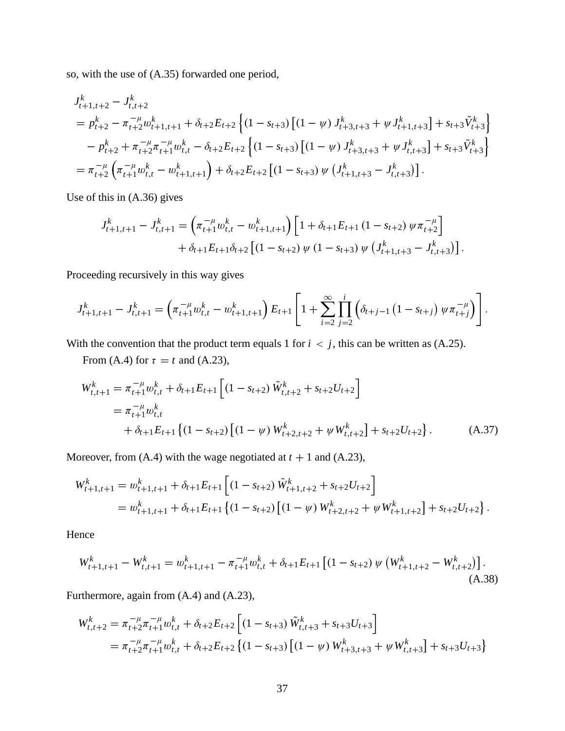so, with the use of (A.35) forwarded one period,

$$
J_{t+1,t+2}^{k} - J_{t,t+2}^{k}
$$
  
=  $p_{t+2}^{k} - \pi_{t+2}^{-\mu} w_{t+1,t+1}^{k} + \delta_{t+2} E_{t+2} \left\{ (1 - s_{t+3}) \left[ (1 - \psi) J_{t+3,t+3}^{k} + \psi J_{t+1,t+3}^{k} \right] + s_{t+3} \tilde{V}_{t+3}^{k} \right\}$   
-  $p_{t+2}^{k} + \pi_{t+2}^{-\mu} \pi_{t+1}^{-\mu} w_{t,t}^{k} - \delta_{t+2} E_{t+2} \left\{ (1 - s_{t+3}) \left[ (1 - \psi) J_{t+3,t+3}^{k} + \psi J_{t,t+3}^{k} \right] + s_{t+3} \tilde{V}_{t+3}^{k} \right\}$   
=  $\pi_{t+2}^{-\mu} \left( \pi_{t+1}^{-\mu} w_{t,t}^{k} - w_{t+1,t+1}^{k} \right) + \delta_{t+2} E_{t+2} \left[ (1 - s_{t+3}) \psi \left( J_{t+1,t+3}^{k} - J_{t,t+3}^{k} \right) \right].$ 

Use of this in (A.36) gives

$$
J_{t+1,t+1}^{k} - J_{t,t+1}^{k} = \left(\pi_{t+1}^{-\mu} w_{t,t}^{k} - w_{t+1,t+1}^{k}\right) \left[1 + \delta_{t+1} E_{t+1} \left(1 - s_{t+2}\right) \psi \pi_{t+2}^{-\mu}\right] + \delta_{t+1} E_{t+1} \delta_{t+2} \left[\left(1 - s_{t+2}\right) \psi \left(1 - s_{t+3}\right) \psi \left(J_{t+1,t+3}^{k} - J_{t,t+3}^{k}\right)\right].
$$

Proceeding recursively in this way gives

$$
J_{t+1,t+1}^k - J_{t,t+1}^k = \left(\pi_{t+1}^{-\mu} w_{t,t}^k - w_{t+1,t+1}^k\right) E_{t+1} \left[1 + \sum_{i=2}^{\infty} \prod_{j=2}^i \left(\delta_{t+j-1} \left(1 - s_{t+j}\right) \psi \pi_{t+j}^{-\mu}\right)\right].
$$

With the convention that the product term equals 1 for  $i < j$ , this can be written as (A.25).

From (A.4) for  $\tau = t$  and (A.23),

$$
W_{t,t+1}^{k} = \pi_{t+1}^{-\mu} w_{t,t}^{k} + \delta_{t+1} E_{t+1} \left[ (1 - s_{t+2}) \tilde{W}_{t,t+2}^{k} + s_{t+2} U_{t+2} \right]
$$
  
=  $\pi_{t+1}^{-\mu} w_{t,t}^{k}$   
+  $\delta_{t+1} E_{t+1} \left\{ (1 - s_{t+2}) \left[ (1 - \psi) W_{t+2,t+2}^{k} + \psi W_{t,t+2}^{k} \right] + s_{t+2} U_{t+2} \right\}.$  (A.37)

Moreover, from  $(A.4)$  with the wage negotiated at  $t + 1$  and  $(A.23)$ ,

$$
W_{t+1,t+1}^{k} = w_{t+1,t+1}^{k} + \delta_{t+1} E_{t+1} \left[ (1 - s_{t+2}) \tilde{W}_{t+1,t+2}^{k} + s_{t+2} U_{t+2} \right]
$$
  
= 
$$
w_{t+1,t+1}^{k} + \delta_{t+1} E_{t+1} \left\{ (1 - s_{t+2}) \left[ (1 - \psi) W_{t+2,t+2}^{k} + \psi W_{t+1,t+2}^{k} \right] + s_{t+2} U_{t+2} \right\}.
$$

Hence

$$
W_{t+1,t+1}^{k} - W_{t,t+1}^{k} = w_{t+1,t+1}^{k} - \pi_{t+1}^{-\mu} w_{t,t}^{k} + \delta_{t+1} E_{t+1} \left[ (1 - s_{t+2}) \, \psi \left( W_{t+1,t+2}^{k} - W_{t,t+2}^{k} \right) \right]. \tag{A.38}
$$

Furthermore, again from (A.4) and (A.23),

$$
W_{t,t+2}^{k} = \pi_{t+2}^{-\mu} \pi_{t+1}^{-\mu} w_{t,t}^{k} + \delta_{t+2} E_{t+2} \left[ (1 - s_{t+3}) \tilde{W}_{t,t+3}^{k} + s_{t+3} U_{t+3} \right]
$$
  
=  $\pi_{t+2}^{-\mu} \pi_{t+1}^{-\mu} w_{t,t}^{k} + \delta_{t+2} E_{t+2} \left\{ (1 - s_{t+3}) \left[ (1 - \psi) W_{t+3,t+3}^{k} + \psi W_{t,t+3}^{k} \right] + s_{t+3} U_{t+3} \right\}$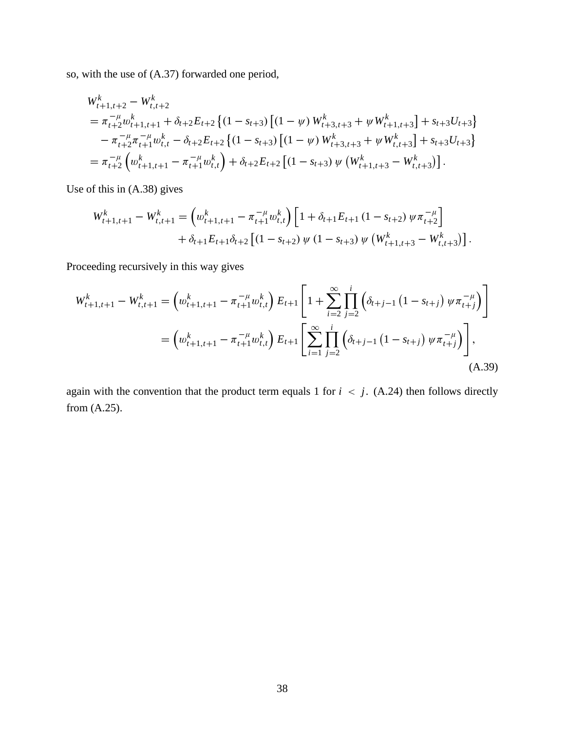so, with the use of (A.37) forwarded one period,

$$
W_{t+1,t+2}^{k} - W_{t,t+2}^{k}
$$
  
=  $\pi_{t+2}^{-\mu} w_{t+1,t+1}^{k} + \delta_{t+2} E_{t+2} \{ (1 - s_{t+3}) [ (1 - \psi) W_{t+3,t+3}^{k} + \psi W_{t+1,t+3}^{k}] + s_{t+3} U_{t+3} \}$   
 $- \pi_{t+2}^{-\mu} \pi_{t+1}^{-\mu} w_{t,t}^{k} - \delta_{t+2} E_{t+2} \{ (1 - s_{t+3}) [ (1 - \psi) W_{t+3,t+3}^{k} + \psi W_{t,t+3}^{k}] + s_{t+3} U_{t+3} \}$   
=  $\pi_{t+2}^{-\mu} \left( w_{t+1,t+1}^{k} - \pi_{t+1}^{-\mu} w_{t,t}^{k} \right) + \delta_{t+2} E_{t+2} [ (1 - s_{t+3}) \psi (W_{t+1,t+3}^{k} - W_{t,t+3}^{k}) ].$ 

Use of this in (A.38) gives

$$
W_{t+1,t+1}^{k} - W_{t,t+1}^{k} = \left( w_{t+1,t+1}^{k} - \pi_{t+1}^{-\mu} w_{t,t}^{k} \right) \left[ 1 + \delta_{t+1} E_{t+1} \left( 1 - s_{t+2} \right) \psi \pi_{t+2}^{-\mu} \right] + \delta_{t+1} E_{t+1} \delta_{t+2} \left[ \left( 1 - s_{t+2} \right) \psi \left( 1 - s_{t+3} \right) \psi \left( W_{t+1,t+3}^{k} - W_{t,t+3}^{k} \right) \right].
$$

Proceeding recursively in this way gives

$$
W_{t+1,t+1}^{k} - W_{t,t+1}^{k} = \left( w_{t+1,t+1}^{k} - \pi_{t+1}^{-\mu} w_{t,t}^{k} \right) E_{t+1} \left[ 1 + \sum_{i=2}^{\infty} \prod_{j=2}^{i} \left( \delta_{t+j-1} \left( 1 - s_{t+j} \right) \psi \pi_{t+j}^{-\mu} \right) \right]
$$
  
= 
$$
\left( w_{t+1,t+1}^{k} - \pi_{t+1}^{-\mu} w_{t,t}^{k} \right) E_{t+1} \left[ \sum_{i=1}^{\infty} \prod_{j=2}^{i} \left( \delta_{t+j-1} \left( 1 - s_{t+j} \right) \psi \pi_{t+j}^{-\mu} \right) \right],
$$
(A.39)

again with the convention that the product term equals 1 for  $i < j$ . (A.24) then follows directly from (A.25).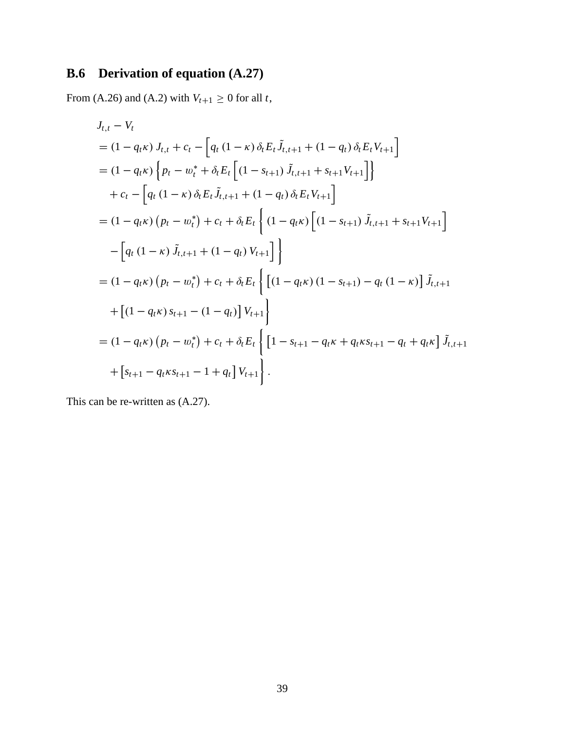# **B.6 Derivation of equation (A.27)**

From (A.26) and (A.2) with  $V_{t+1} \ge 0$  for all *t*,

$$
J_{t,t} - V_t
$$
  
\n=  $(1 - q_t \kappa) J_{t,t} + c_t - [q_t (1 - \kappa) \delta_t E_t \tilde{J}_{t,t+1} + (1 - q_t) \delta_t E_t V_{t+1}]$   
\n=  $(1 - q_t \kappa) \{ p_t - w_t^* + \delta_t E_t [(1 - s_{t+1}) \tilde{J}_{t,t+1} + s_{t+1} V_{t+1}] \}$   
\n+  $c_t - [q_t (1 - \kappa) \delta_t E_t \tilde{J}_{t,t+1} + (1 - q_t) \delta_t E_t V_{t+1}]$   
\n=  $(1 - q_t \kappa) (p_t - w_t^*) + c_t + \delta_t E_t \{ (1 - q_t \kappa) [(1 - s_{t+1}) \tilde{J}_{t,t+1} + s_{t+1} V_{t+1}] \} - [q_t (1 - \kappa) \tilde{J}_{t,t+1} + (1 - q_t) V_{t+1}] \}$   
\n=  $(1 - q_t \kappa) (p_t - w_t^*) + c_t + \delta_t E_t \{ [(1 - q_t \kappa) (1 - s_{t+1}) - q_t (1 - \kappa)] \tilde{J}_{t,t+1} + [(1 - q_t \kappa) s_{t+1} - (1 - q_t)] V_{t+1} \}$   
\n=  $(1 - q_t \kappa) (p_t - w_t^*) + c_t + \delta_t E_t \{ [1 - s_{t+1} - q_t \kappa + q_t \kappa s_{t+1} - q_t + q_t \kappa] \tilde{J}_{t,t+1} + [s_{t+1} - q_t \kappa s_{t+1} - 1 + q_t] V_{t+1} \}.$ 

This can be re-written as (A.27).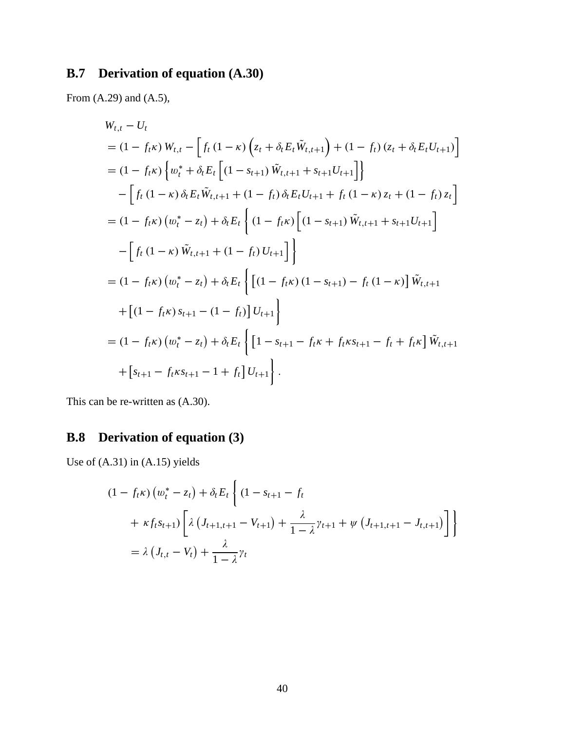# **B.7 Derivation of equation (A.30)**

From (A.29) and (A.5),

$$
W_{t,t} - U_t
$$
  
\n= (1 - f<sub>t</sub>κ)  $W_{t,t} - \left[ f_t (1 - \kappa) \left( z_t + \delta_t E_t \tilde{W}_{t,t+1} \right) + (1 - f_t) (z_t + \delta_t E_t U_{t+1}) \right]$   
\n= (1 - f<sub>t</sub>κ)  $\left\{ w_t^* + \delta_t E_t \left[ (1 - s_{t+1}) \tilde{W}_{t,t+1} + s_{t+1} U_{t+1} \right] \right\}$   
\n $- \left[ f_t (1 - \kappa) \delta_t E_t \tilde{W}_{t,t+1} + (1 - f_t) \delta_t E_t U_{t+1} + f_t (1 - \kappa) z_t + (1 - f_t) z_t \right]$   
\n= (1 - f<sub>t</sub>κ)  $(w_t^* - z_t) + \delta_t E_t \left\{ (1 - f_t \kappa) \left[ (1 - s_{t+1}) \tilde{W}_{t,t+1} + s_{t+1} U_{t+1} \right] \right\}$   
\n $- \left[ f_t (1 - \kappa) \tilde{W}_{t,t+1} + (1 - f_t) U_{t+1} \right] \right\}$   
\n= (1 - f<sub>t</sub>κ)  $(w_t^* - z_t) + \delta_t E_t \left\{ \left[ (1 - f_t \kappa) (1 - s_{t+1}) - f_t (1 - \kappa) \right] \tilde{W}_{t,t+1} + \left[ (1 - f_t \kappa) s_{t+1} - (1 - f_t) \right] U_{t+1} \right\}$   
\n= (1 - f<sub>t</sub>κ)  $(w_t^* - z_t) + \delta_t E_t \left\{ \left[ 1 - s_{t+1} - f_t \kappa + f_t \kappa_{t+1} - f_t + f_t \kappa \right] \tilde{W}_{t,t+1} + \left[ s_{t+1} - f_t \kappa s_{t+1} - 1 + f_t \right] U_{t+1} \right\}.$ 

This can be re-written as (A.30).

# **B.8 Derivation of equation (3)**

Use of (A.31) in (A.15) yields

$$
(1 - f_t \kappa) (w_t^* - z_t) + \delta_t E_t \left\{ (1 - s_{t+1} - f_t + \kappa f_t s_{t+1}) \left[ \lambda (J_{t+1, t+1} - V_{t+1}) + \frac{\lambda}{1 - \lambda} \gamma_{t+1} + \psi (J_{t+1, t+1} - J_{t, t+1}) \right] \right\}
$$
  
=  $\lambda (J_{t, t} - V_t) + \frac{\lambda}{1 - \lambda} \gamma_t$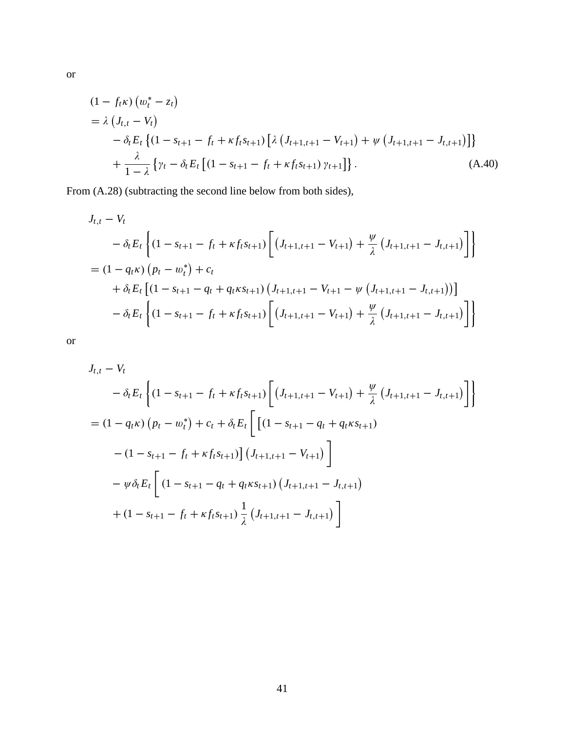$$
(1 - f_t \kappa) (w_t^* - z_t)
$$
  
=  $\lambda (J_{t,t} - V_t)$   

$$
- \delta_t E_t \{ (1 - s_{t+1} - f_t + \kappa f_t s_{t+1}) [\lambda (J_{t+1,t+1} - V_{t+1}) + \psi (J_{t+1,t+1} - J_{t,t+1})] \}
$$
  

$$
+ \frac{\lambda}{1 - \lambda} \{ \gamma_t - \delta_t E_t [ (1 - s_{t+1} - f_t + \kappa f_t s_{t+1}) \gamma_{t+1} ] \}.
$$
 (A.40)

From (A.28) (subtracting the second line below from both sides),

$$
J_{t,t} - V_t
$$
  
\n
$$
- \delta_t E_t \left\{ (1 - s_{t+1} - f_t + \kappa f_t s_{t+1}) \left[ (J_{t+1,t+1} - V_{t+1}) + \frac{\psi}{\lambda} (J_{t+1,t+1} - J_{t,t+1}) \right] \right\}
$$
  
\n
$$
= (1 - q_t \kappa) (p_t - w_t^*) + c_t
$$
  
\n
$$
+ \delta_t E_t \left[ (1 - s_{t+1} - q_t + q_t \kappa s_{t+1}) (J_{t+1,t+1} - V_{t+1} - \psi (J_{t+1,t+1} - J_{t,t+1})) \right]
$$
  
\n
$$
- \delta_t E_t \left\{ (1 - s_{t+1} - f_t + \kappa f_t s_{t+1}) \left[ (J_{t+1,t+1} - V_{t+1}) + \frac{\psi}{\lambda} (J_{t+1,t+1} - J_{t,t+1}) \right] \right\}
$$

or

$$
J_{t,t} - V_t
$$
  
\n
$$
- \delta_t E_t \left\{ (1 - s_{t+1} - f_t + \kappa f_t s_{t+1}) \left[ (J_{t+1,t+1} - V_{t+1}) + \frac{\psi}{\lambda} (J_{t+1,t+1} - J_{t,t+1}) \right] \right\}
$$
  
\n
$$
= (1 - q_t \kappa) (p_t - w_t^*) + c_t + \delta_t E_t \left[ \left[ (1 - s_{t+1} - q_t + q_t \kappa s_{t+1}) - (1 - s_{t+1} - f_t + \kappa f_t s_{t+1}) \right] (J_{t+1,t+1} - V_{t+1}) \right]
$$
  
\n
$$
- \psi \delta_t E_t \left[ (1 - s_{t+1} - q_t + q_t \kappa s_{t+1}) (J_{t+1,t+1} - J_{t,t+1}) + (1 - s_{t+1} - f_t + \kappa f_t s_{t+1}) \frac{1}{\lambda} (J_{t+1,t+1} - J_{t,t+1}) \right]
$$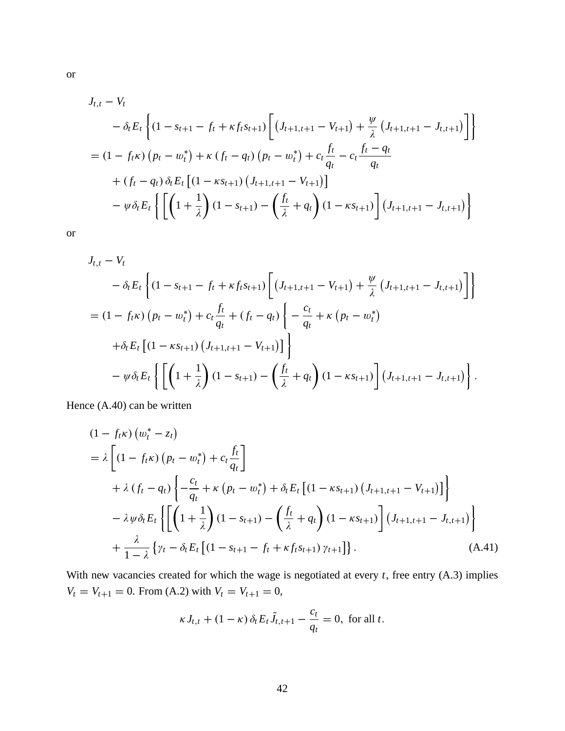$$
J_{t,t} - V_t
$$
  
\n
$$
- \delta_t E_t \left\{ (1 - s_{t+1} - f_t + \kappa f_t s_{t+1}) \left[ (J_{t+1,t+1} - V_{t+1}) + \frac{\psi}{\lambda} (J_{t+1,t+1} - J_{t,t+1}) \right] \right\}
$$
  
\n
$$
= (1 - f_t \kappa) (p_t - w_t^*) + \kappa (f_t - q_t) (p_t - w_t^*) + c_t \frac{f_t}{q_t} - c_t \frac{f_t - q_t}{q_t}
$$
  
\n
$$
+ (f_t - q_t) \delta_t E_t \left[ (1 - \kappa s_{t+1}) (J_{t+1,t+1} - V_{t+1}) \right]
$$
  
\n
$$
- \psi \delta_t E_t \left\{ \left[ \left( 1 + \frac{1}{\lambda} \right) (1 - s_{t+1}) - \left( \frac{f_t}{\lambda} + q_t \right) (1 - \kappa s_{t+1}) \right] (J_{t+1,t+1} - J_{t,t+1}) \right\}
$$

or

$$
J_{t,t} - V_t
$$
  
\n
$$
- \delta_t E_t \left\{ (1 - s_{t+1} - f_t + \kappa f_t s_{t+1}) \left[ (J_{t+1,t+1} - V_{t+1}) + \frac{\psi}{\lambda} (J_{t+1,t+1} - J_{t,t+1}) \right] \right\}
$$
  
\n
$$
= (1 - f_t \kappa) (p_t - w_t^*) + c_t \frac{f_t}{q_t} + (f_t - q_t) \left\{ - \frac{c_t}{q_t} + \kappa (p_t - w_t^*) \right\}
$$
  
\n
$$
+ \delta_t E_t \left[ (1 - \kappa s_{t+1}) (J_{t+1,t+1} - V_{t+1}) \right] \right\}
$$
  
\n
$$
- \psi \delta_t E_t \left\{ \left[ \left( 1 + \frac{1}{\lambda} \right) (1 - s_{t+1}) - \left( \frac{f_t}{\lambda} + q_t \right) (1 - \kappa s_{t+1}) \right] (J_{t+1,t+1} - J_{t,t+1}) \right\}.
$$

Hence (A.40) can be written

$$
(1 - f_t \kappa) (w_t^* - z_t)
$$
  
=  $\lambda \left[ (1 - f_t \kappa) (p_t - w_t^*) + c_t \frac{f_t}{q_t} \right]$   
+  $\lambda (f_t - q_t) \left\{ -\frac{c_t}{q_t} + \kappa (p_t - w_t^*) + \delta_t E_t \left[ (1 - \kappa s_{t+1}) (J_{t+1, t+1} - V_{t+1}) \right] \right\}$   
-  $\lambda \psi \delta_t E_t \left\{ \left[ \left( 1 + \frac{1}{\lambda} \right) (1 - s_{t+1}) - \left( \frac{f_t}{\lambda} + q_t \right) (1 - \kappa s_{t+1}) \right] (J_{t+1, t+1} - J_{t, t+1}) \right\}$   
+  $\frac{\lambda}{1 - \lambda} \left\{ \gamma_t - \delta_t E_t \left[ (1 - s_{t+1} - f_t + \kappa f_t s_{t+1}) \gamma_{t+1} \right] \right\}.$  (A.41)

With new vacancies created for which the wage is negotiated at every *t*, free entry (A.3) implies  $V_t = V_{t+1} = 0$ . From (A.2) with  $V_t = V_{t+1} = 0$ ,

$$
\kappa J_{t,t} + (1 - \kappa) \, \delta_t E_t \tilde{J}_{t,t+1} - \frac{c_t}{q_t} = 0, \text{ for all } t.
$$

42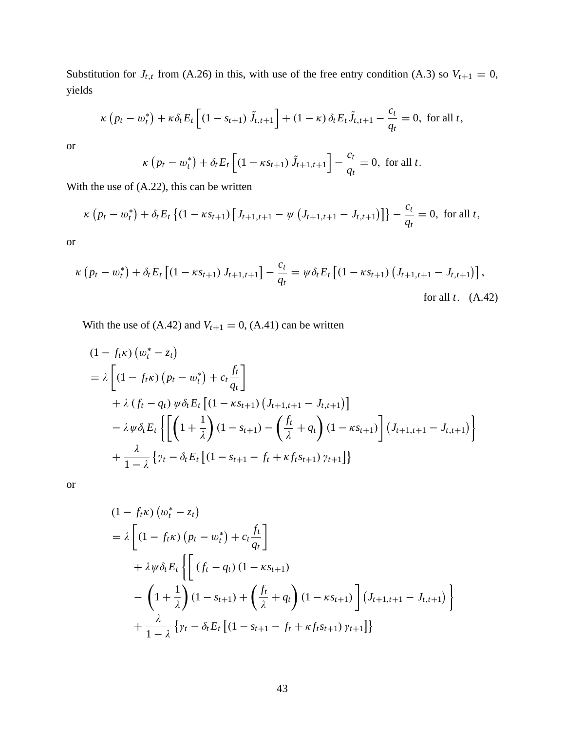Substitution for  $J_{t,t}$  from (A.26) in this, with use of the free entry condition (A.3) so  $V_{t+1} = 0$ , yields

$$
\kappa (p_t - w_t^*) + \kappa \delta_t E_t \left[ (1 - s_{t+1}) \tilde{J}_{t,t+1} \right] + (1 - \kappa) \delta_t E_t \tilde{J}_{t,t+1} - \frac{c_t}{q_t} = 0, \text{ for all } t,
$$

or

$$
\kappa (p_t - w_t^*) + \delta_t E_t \left[ (1 - \kappa s_{t+1}) \tilde{J}_{t+1, t+1} \right] - \frac{c_t}{q_t} = 0
$$
, for all  $t$ .

With the use of (A.22), this can be written

$$
\kappa (p_t - w_t^*) + \delta_t E_t \left\{ (1 - \kappa s_{t+1}) \left[ J_{t+1,t+1} - \psi \left( J_{t+1,t+1} - J_{t,t+1} \right) \right] \right\} - \frac{c_t}{q_t} = 0, \text{ for all } t,
$$

or

$$
\kappa (p_t - w_t^*) + \delta_t E_t \left[ (1 - \kappa s_{t+1}) J_{t+1, t+1} \right] - \frac{c_t}{q_t} = \psi \delta_t E_t \left[ (1 - \kappa s_{t+1}) (J_{t+1, t+1} - J_{t, t+1}) \right],
$$
  
for all  $t$ . (A.42)

With the use of  $(A.42)$  and  $V_{t+1} = 0$ ,  $(A.41)$  can be written

$$
(1 - f_t \kappa) (w_t^* - z_t)
$$
  
=  $\lambda \left[ (1 - f_t \kappa) (p_t - w_t^*) + c_t \frac{f_t}{q_t} \right]$   
+  $\lambda (f_t - q_t) \psi \delta_t E_t \left[ (1 - \kappa s_{t+1}) (J_{t+1,t+1} - J_{t,t+1}) \right]$   
-  $\lambda \psi \delta_t E_t \left\{ \left[ \left( 1 + \frac{1}{\lambda} \right) (1 - s_{t+1}) - \left( \frac{f_t}{\lambda} + q_t \right) (1 - \kappa s_{t+1}) \right] (J_{t+1,t+1} - J_{t,t+1}) \right\}$   
+  $\frac{\lambda}{1 - \lambda} \left\{ \gamma_t - \delta_t E_t \left[ (1 - s_{t+1} - f_t + \kappa f_t s_{t+1}) \gamma_{t+1} \right] \right\}$ 

$$
(1 - f_t \kappa) (w_t^* - z_t)
$$
  
=  $\lambda \left[ (1 - f_t \kappa) (p_t - w_t^*) + c_t \frac{f_t}{q_t} \right]$   
+  $\lambda \psi \delta_t E_t \left\{ \left[ (f_t - q_t) (1 - \kappa s_{t+1}) - \left( 1 + \frac{1}{\lambda} \right) (1 - s_{t+1}) + \left( \frac{f_t}{\lambda} + q_t \right) (1 - \kappa s_{t+1}) \right] (J_{t+1,t+1} - J_{t,t+1}) \right\}$   
+  $\frac{\lambda}{1 - \lambda} \left\{ \gamma_t - \delta_t E_t \left[ (1 - s_{t+1} - f_t + \kappa f_t s_{t+1}) \gamma_{t+1} \right] \right\}$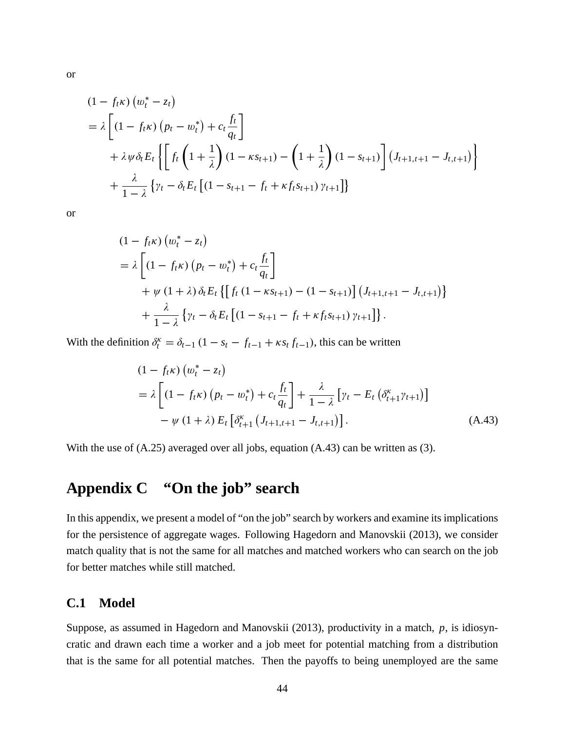$$
(1 - f_t \kappa) (w_t^* - z_t)
$$
  
=  $\lambda \left[ (1 - f_t \kappa) (p_t - w_t^*) + c_t \frac{f_t}{q_t} \right]$   
+  $\lambda \psi \delta_t E_t \left\{ \left[ f_t \left( 1 + \frac{1}{\lambda} \right) (1 - \kappa s_{t+1}) - \left( 1 + \frac{1}{\lambda} \right) (1 - s_{t+1}) \right] (J_{t+1, t+1} - J_{t, t+1}) \right\}$   
+  $\frac{\lambda}{1 - \lambda} \left\{ \gamma_t - \delta_t E_t \left[ (1 - s_{t+1} - f_t + \kappa f_t s_{t+1}) \gamma_{t+1} \right] \right\}$ 

or

$$
(1 - f_t \kappa) (w_t^* - z_t)
$$
  
=  $\lambda \left[ (1 - f_t \kappa) (p_t - w_t^*) + c_t \frac{f_t}{q_t} \right]$   
+  $\psi (1 + \lambda) \delta_t E_t \{ [f_t (1 - \kappa s_{t+1}) - (1 - s_{t+1})] (J_{t+1, t+1} - J_{t, t+1}) \} + \frac{\lambda}{1 - \lambda} \{ \gamma_t - \delta_t E_t [ (1 - s_{t+1} - f_t + \kappa f_t s_{t+1}) \gamma_{t+1} ] \}.$ 

With the definition  $\delta_t^k = \delta_{t-1} (1 - s_t - f_{t-1} + \kappa s_t f_{t-1})$ , this can be written

$$
(1 - f_t \kappa) (w_t^* - z_t)
$$
  
=  $\lambda \left[ (1 - f_t \kappa) (p_t - w_t^*) + c_t \frac{f_t}{q_t} \right] + \frac{\lambda}{1 - \lambda} [ \gamma_t - E_t ( \delta_{t+1}^{\kappa} \gamma_{t+1} ) ]$   
-  $\psi (1 + \lambda) E_t [\delta_{t+1}^{\kappa} (J_{t+1,t+1} - J_{t,t+1}) ].$  (A.43)

With the use of  $(A.25)$  averaged over all jobs, equation  $(A.43)$  can be written as  $(3)$ .

# **Appendix C "On the job" search**

In this appendix, we present a model of "on the job" search by workers and examine its implications for the persistence of aggregate wages. Following Hagedorn and Manovskii (2013), we consider match quality that is not the same for all matches and matched workers who can search on the job for better matches while still matched.

### **C.1 Model**

Suppose, as assumed in Hagedorn and Manovskii (2013), productivity in a match, *p*, is idiosyncratic and drawn each time a worker and a job meet for potential matching from a distribution that is the same for all potential matches. Then the payoffs to being unemployed are the same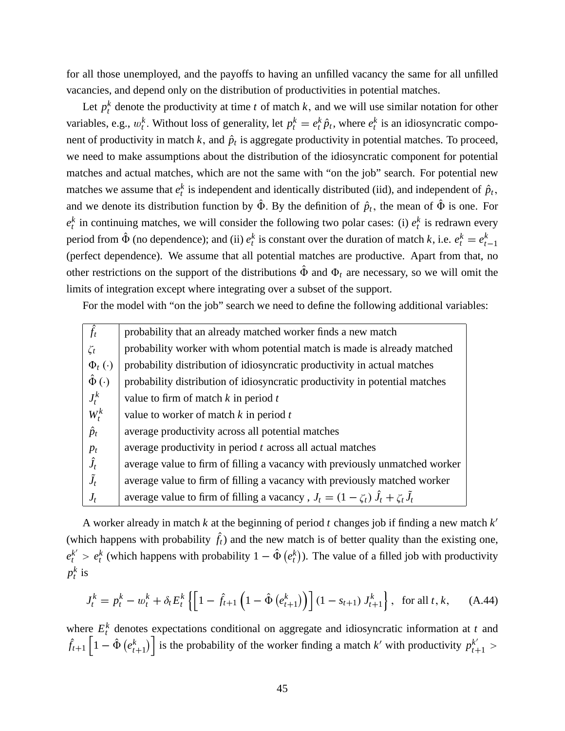for all those unemployed, and the payoffs to having an unfilled vacancy the same for all unfilled vacancies, and depend only on the distribution of productivities in potential matches.

Let  $p_t^k$  denote the productivity at time *t* of match *k*, and we will use similar notation for other variables, e.g.,  $w_t^k$ . Without loss of generality, let  $p_t^k = e_t^k \hat{p}_t$ , where  $e_t^k$  is an idiosyncratic component of productivity in match *k*, and  $\hat{p}_t$  is aggregate productivity in potential matches. To proceed, we need to make assumptions about the distribution of the idiosyncratic component for potential matches and actual matches, which are not the same with "on the job" search. For potential new matches we assume that  $e_t^k$  is independent and identically distributed (iid), and independent of  $\hat{p}_t$ , and we denote its distribution function by  $\hat{\Phi}$ . By the definition of  $\hat{p}_t$ , the mean of  $\hat{\Phi}$  is one. For  $e_t^k$  in continuing matches, we will consider the following two polar cases: (i)  $e_t^k$  is redrawn every period from  $\hat{\Phi}$  (no dependence); and (ii)  $e_t^k$  is constant over the duration of match *k*, i.e.  $e_t^k = e_t^k$  $t-1$ (perfect dependence). We assume that all potential matches are productive. Apart from that, no other restrictions on the support of the distributions  $\hat{\Phi}$  and  $\Phi_t$  are necessary, so we will omit the limits of integration except where integrating over a subset of the support.

For the model with "on the job" search we need to define the following additional variables:

| $\hat{f}_t$         | probability that an already matched worker finds a new match                                    |
|---------------------|-------------------------------------------------------------------------------------------------|
| $\zeta_t$           | probability worker with whom potential match is made is already matched                         |
| $\Phi_t(\cdot)$     | probability distribution of idiosyncratic productivity in actual matches                        |
| $\hat{\Phi}(\cdot)$ | probability distribution of idiosyncratic productivity in potential matches                     |
| $J_t^k$             | value to firm of match $k$ in period $t$                                                        |
| $W_t^k$             | value to worker of match $k$ in period $t$                                                      |
| $\hat{p}_t$         | average productivity across all potential matches                                               |
| $p_t$               | average productivity in period $t$ across all actual matches                                    |
| $\hat{J}_t$         | average value to firm of filling a vacancy with previously unmatched worker                     |
| $\tilde{J}_t$       | average value to firm of filling a vacancy with previously matched worker                       |
| $J_t$               | average value to firm of filling a vacancy, $J_t = (1 - \zeta_t) \hat{J}_t + \zeta_t \hat{J}_t$ |
|                     |                                                                                                 |

A worker already in match *k* at the beginning of period *t* changes job if finding a new match *k* 0 (which happens with probability  $\hat{f}_t$ ) and the new match is of better quality than the existing one,  $e_t^{k'} > e_t^{k}$  (which happens with probability  $1 - \hat{\Phi}(e_t^{k})$ ). The value of a filled job with productivity  $p_t^k$  is

$$
J_t^k = p_t^k - w_t^k + \delta_t E_t^k \left\{ \left[ 1 - \hat{f}_{t+1} \left( 1 - \hat{\Phi} \left( e_{t+1}^k \right) \right) \right] (1 - s_{t+1}) J_{t+1}^k \right\}, \text{ for all } t, k,
$$
 (A.44)

where  $E_t^k$  denotes expectations conditional on aggregate and idiosyncratic information at *t* and  $\hat{f}_{t+1} \left[ 1 - \hat{\Phi} \left( e_t^k \right) \right]$  $t+1$ ) is the probability of the worker finding a match *k*' with productivity  $p_{t+1}^{k'}$  >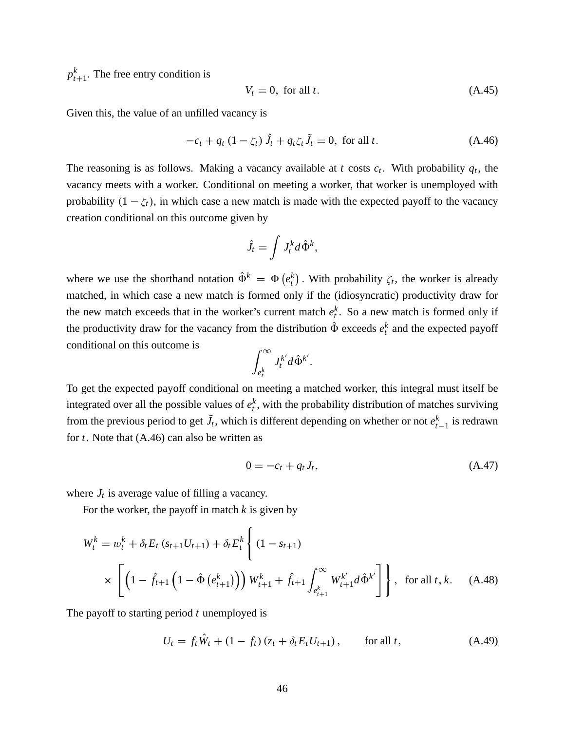$p_t^k$  $t_{t+1}^k$ . The free entry condition is

$$
V_t = 0, \text{ for all } t. \tag{A.45}
$$

Given this, the value of an unfilled vacancy is

$$
-c_t + q_t (1 - \zeta_t) \hat{J}_t + q_t \zeta_t \tilde{J}_t = 0, \text{ for all } t. \tag{A.46}
$$

The reasoning is as follows. Making a vacancy available at *t* costs  $c_t$ . With probability  $q_t$ , the vacancy meets with a worker. Conditional on meeting a worker, that worker is unemployed with probability  $(1 - \zeta_t)$ , in which case a new match is made with the expected payoff to the vacancy creation conditional on this outcome given by

$$
\hat{J}_t = \int J_t^k d\hat{\Phi}^k,
$$

where we use the shorthand notation  $\hat{\Phi}^k = \Phi(e_t^k)$ . With probability  $\zeta_t$ , the worker is already matched, in which case a new match is formed only if the (idiosyncratic) productivity draw for the new match exceeds that in the worker's current match  $e_t^k$ . So a new match is formed only if the productivity draw for the vacancy from the distribution  $\hat{\Phi}$  exceeds  $e_t^k$  and the expected payoff conditional on this outcome is

$$
\int_{e_t^k}^{\infty} J_t^{k'} d\hat{\Phi}^{k'}.
$$

To get the expected payoff conditional on meeting a matched worker, this integral must itself be integrated over all the possible values of  $e_t^k$ , with the probability distribution of matches surviving from the previous period to get  $\tilde{J}_t$ , which is different depending on whether or not  $e^k_t$  $_{t-1}^k$  is redrawn for *t*. Note that (A.46) can also be written as

$$
0 = -c_t + q_t J_t, \tag{A.47}
$$

where  $J_t$  is average value of filling a vacancy.

For the worker, the payoff in match *k* is given by

$$
W_t^k = w_t^k + \delta_t E_t (s_{t+1} U_{t+1}) + \delta_t E_t^k \left\{ (1 - s_{t+1})
$$
  
 
$$
\times \left[ \left( 1 - \hat{f}_{t+1} \left( 1 - \hat{\Phi} \left( e_{t+1}^k \right) \right) \right) W_{t+1}^k + \hat{f}_{t+1} \int_{e_{t+1}^k}^{\infty} W_{t+1}^{k'} d\hat{\Phi}^{k'} \right] \right\}, \text{ for all } t, k. \quad (A.48)
$$

The payoff to starting period *t* unemployed is

$$
U_t = f_t \hat{W}_t + (1 - f_t) (z_t + \delta_t E_t U_{t+1}), \quad \text{for all } t,
$$
 (A.49)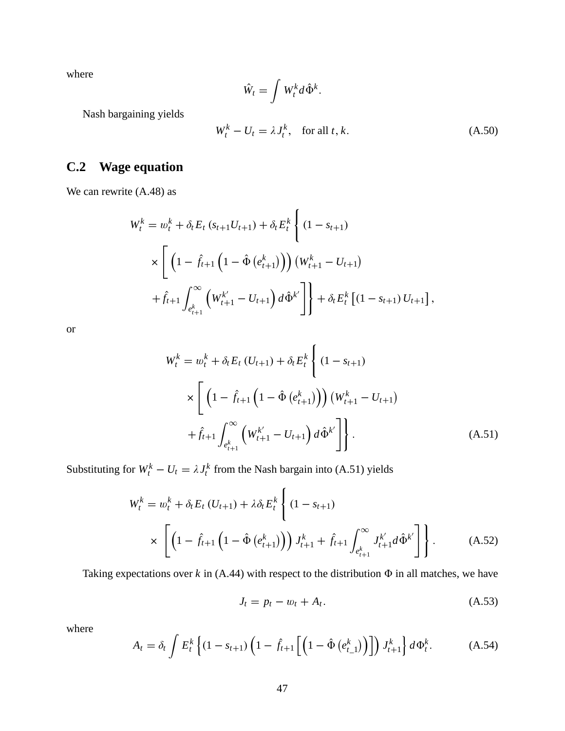where

$$
\hat{W}_t = \int W_t^k d\hat{\Phi}^k
$$

:

Nash bargaining yields

$$
W_t^k - U_t = \lambda J_t^k, \quad \text{for all } t, k. \tag{A.50}
$$

## **C.2 Wage equation**

We can rewrite (A.48) as

$$
W_t^k = w_t^k + \delta_t E_t (s_{t+1} U_{t+1}) + \delta_t E_t^k \left\{ (1 - s_{t+1})
$$
  
 
$$
\times \left[ \left( 1 - \hat{f}_{t+1} \left( 1 - \hat{\Phi} \left( e_{t+1}^k \right) \right) \right) \left( W_{t+1}^k - U_{t+1} \right) \right.
$$
  
 
$$
+ \hat{f}_{t+1} \int_{e_{t+1}^k}^{\infty} \left( W_{t+1}^{k'} - U_{t+1} \right) d\hat{\Phi}^{k'} \right] \right\} + \delta_t E_t^k \left[ (1 - s_{t+1}) U_{t+1} \right],
$$

or

$$
W_t^k = w_t^k + \delta_t E_t (U_{t+1}) + \delta_t E_t^k \left\{ (1 - s_{t+1})
$$
  
 
$$
\times \left[ \left( 1 - \hat{f}_{t+1} \left( 1 - \hat{\Phi} \left( e_{t+1}^k \right) \right) \right) \left( W_{t+1}^k - U_{t+1} \right) \right.
$$
  
 
$$
+ \hat{f}_{t+1} \int_{e_{t+1}^k}^{\infty} \left( W_{t+1}^{k'} - U_{t+1} \right) d\hat{\Phi}^{k'} \right] \bigg\}.
$$
 (A.51)

Substituting for  $W_t^k - U_t = \lambda J_t^k$  from the Nash bargain into (A.51) yields

$$
W_t^k = w_t^k + \delta_t E_t (U_{t+1}) + \lambda \delta_t E_t^k \left\{ (1 - s_{t+1}) \times \left[ \left( 1 - \hat{f}_{t+1} \left( 1 - \hat{\Phi} \left( e_{t+1}^k \right) \right) \right) J_{t+1}^k + \hat{f}_{t+1} \int_{e_{t+1}^k}^{\infty} J_{t+1}^{k'} d\hat{\Phi}^{k'} \right] \right\}.
$$
 (A.52)

Taking expectations over  $k$  in (A.44) with respect to the distribution  $\Phi$  in all matches, we have

$$
J_t = p_t - w_t + A_t. \tag{A.53}
$$

where

$$
A_t = \delta_t \int E_t^k \left\{ (1 - s_{t+1}) \left( 1 - \hat{f}_{t+1} \left[ \left( 1 - \hat{\Phi} \left( e_{t-1}^k \right) \right) \right] \right) J_{t+1}^k \right\} d\Phi_t^k.
$$
 (A.54)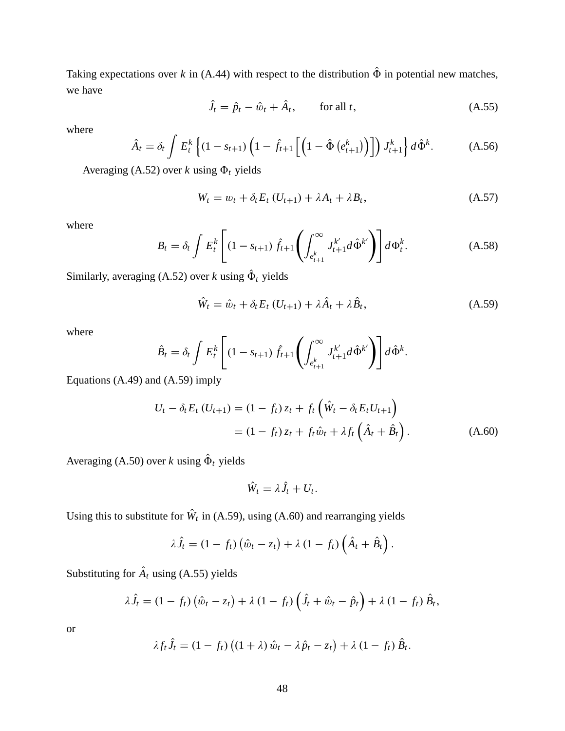Taking expectations over  $k$  in (A.44) with respect to the distribution  $\hat{\Phi}$  in potential new matches, we have

$$
\hat{J}_t = \hat{p}_t - \hat{w}_t + \hat{A}_t, \qquad \text{for all } t,
$$
\n(A.55)

where

$$
\hat{A}_t = \delta_t \int E_t^k \left\{ (1 - s_{t+1}) \left( 1 - \hat{f}_{t+1} \left[ \left( 1 - \hat{\Phi} \left( e_{t+1}^k \right) \right) \right] \right) J_{t+1}^k \right\} d\hat{\Phi}^k. \tag{A.56}
$$

Averaging (A.52) over *k* using  $\Phi_t$  yields

$$
W_t = w_t + \delta_t E_t (U_{t+1}) + \lambda A_t + \lambda B_t, \qquad (A.57)
$$

where

$$
B_t = \delta_t \int E_t^k \left[ (1 - s_{t+1}) \hat{f}_{t+1} \left( \int_{e_{t+1}^k}^{\infty} J_{t+1}^{k'} d\hat{\Phi}^{k'} \right) \right] d\Phi_t^k.
$$
 (A.58)

Similarly, averaging (A.52) over *k* using  $\Phi_t$  yields

$$
\hat{W}_t = \hat{w}_t + \delta_t E_t (U_{t+1}) + \lambda \hat{A}_t + \lambda \hat{B}_t,
$$
\n(A.59)

where

$$
\hat{B}_t = \delta_t \int E_t^k \left[ (1 - s_{t+1}) \hat{f}_{t+1} \left( \int_{e_{t+1}^k}^{\infty} J_{t+1}^{k'} d\hat{\Phi}^{k'} \right) \right] d\hat{\Phi}^k.
$$

Equations (A.49) and (A.59) imply

$$
U_t - \delta_t E_t (U_{t+1}) = (1 - f_t) z_t + f_t (\hat{W}_t - \delta_t E_t U_{t+1})
$$
  
=  $(1 - f_t) z_t + f_t \hat{w}_t + \lambda f_t (\hat{A}_t + \hat{B}_t).$  (A.60)

Averaging (A.50) over *k* using  $\Phi_t$  yields

$$
\hat{W}_t = \lambda \hat{J}_t + U_t.
$$

Using this to substitute for  $W_t$  in (A.59), using (A.60) and rearranging yields

$$
\lambda \hat{J}_t = (1 - f_t) \left( \hat{w}_t - z_t \right) + \lambda (1 - f_t) \left( \hat{A}_t + \hat{B}_t \right).
$$

Substituting for  $A_t$  using (A.55) yields

$$
\lambda \hat{J}_t = (1 - f_t) \left( \hat{w}_t - z_t \right) + \lambda (1 - f_t) \left( \hat{J}_t + \hat{w}_t - \hat{p}_t \right) + \lambda (1 - f_t) \hat{B}_t,
$$

$$
\lambda f_t \hat{J}_t = (1 - f_t) \left( (1 + \lambda) \hat{w}_t - \lambda \hat{p}_t - z_t \right) + \lambda (1 - f_t) \hat{B}_t.
$$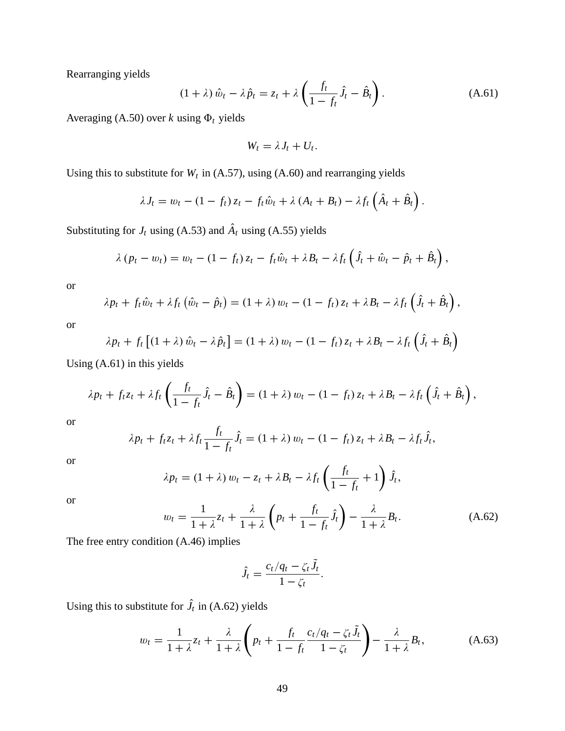Rearranging yields

$$
(1+\lambda)\,\hat{w}_t - \lambda\,\hat{p}_t = z_t + \lambda\left(\frac{f_t}{1-f_t}\hat{J}_t - \hat{B}_t\right). \tag{A.61}
$$

Averaging (A.50) over *k* using  $\Phi_t$  yields

$$
W_t = \lambda J_t + U_t.
$$

Using this to substitute for  $W_t$  in (A.57), using (A.60) and rearranging yields

$$
\lambda J_t = w_t - (1 - f_t) z_t - f_t \hat{w}_t + \lambda (A_t + B_t) - \lambda f_t \left( \hat{A}_t + \hat{B}_t \right).
$$

Substituting for  $J_t$  using (A.53) and  $A_t$  using (A.55) yields

$$
\lambda (p_t - w_t) = w_t - (1 - f_t) z_t - f_t \hat{w}_t + \lambda B_t - \lambda f_t \left( \hat{J}_t + \hat{w}_t - \hat{p}_t + \hat{B}_t \right),
$$

or

$$
\lambda p_t + f_t \hat{w}_t + \lambda f_t \left( \hat{w}_t - \hat{p}_t \right) = (1 + \lambda) w_t - (1 - f_t) z_t + \lambda B_t - \lambda f_t \left( \hat{J}_t + \hat{B}_t \right),
$$

or

$$
\lambda p_t + f_t \left[ (1 + \lambda) \hat{w}_t - \lambda \hat{p}_t \right] = (1 + \lambda) w_t - (1 - f_t) z_t + \lambda B_t - \lambda f_t \left( \hat{J}_t + \hat{B}_t \right)
$$

Using (A.61) in this yields

$$
\lambda p_t + f_t z_t + \lambda f_t \left( \frac{f_t}{1 - f_t} \hat{J}_t - \hat{B}_t \right) = (1 + \lambda) w_t - (1 - f_t) z_t + \lambda B_t - \lambda f_t \left( \hat{J}_t + \hat{B}_t \right),
$$

or

$$
\lambda p_t + f_t z_t + \lambda f_t \frac{f_t}{1 - f_t} \hat{J}_t = (1 + \lambda) w_t - (1 - f_t) z_t + \lambda B_t - \lambda f_t \hat{J}_t,
$$

or

$$
\lambda p_t = (1 + \lambda) w_t - z_t + \lambda B_t - \lambda f_t \left( \frac{f_t}{1 - f_t} + 1 \right) \hat{J}_t,
$$

or

$$
w_t = \frac{1}{1+\lambda} z_t + \frac{\lambda}{1+\lambda} \left( p_t + \frac{f_t}{1-f_t} \hat{J}_t \right) - \frac{\lambda}{1+\lambda} B_t.
$$
 (A.62)

The free entry condition (A.46) implies

$$
\hat{J}_t = \frac{c_t/q_t - \zeta_t J_t}{1 - \zeta_t}.
$$

Using this to substitute for  $J_t$  in (A.62) yields

$$
w_t = \frac{1}{1+\lambda} z_t + \frac{\lambda}{1+\lambda} \left( p_t + \frac{f_t}{1-f_t} \frac{c_t/q_t - \zeta_t \tilde{J}_t}{1-\zeta_t} \right) - \frac{\lambda}{1+\lambda} B_t,
$$
 (A.63)

 $\sim$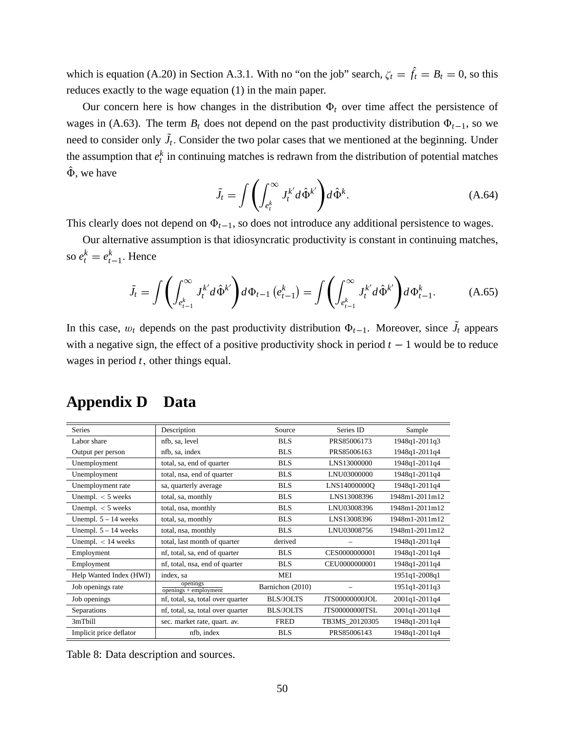which is equation (A.20) in Section A.3.1. With no "on the job" search,  $\zeta_t = \hat{f}_t = B_t = 0$ , so this reduces exactly to the wage equation (1) in the main paper.

Our concern here is how changes in the distribution  $\Phi_t$  over time affect the persistence of wages in (A.63). The term  $B_t$  does not depend on the past productivity distribution  $\Phi_{t-1}$ , so we need to consider only  $J_t$ . Consider the two polar cases that we mentioned at the beginning. Under the assumption that  $e_t^k$  in continuing matches is redrawn from the distribution of potential matches  $\hat{\Phi}$ , we have

$$
\tilde{J}_t = \int \left( \int_{e_t^k}^{\infty} J_t^{k'} d\hat{\Phi}^{k'} \right) d\hat{\Phi}^k.
$$
 (A.64)

This clearly does not depend on  $\Phi_{t-1}$ , so does not introduce any additional persistence to wages.

Our alternative assumption is that idiosyncratic productivity is constant in continuing matches, so  $e_t^k = e_t^k$  $_{t-1}^k$ . Hence

$$
\tilde{J}_t = \int \left( \int_{e_{t-1}^k}^{\infty} J_t^{k'} d\hat{\Phi}^{k'} \right) d\Phi_{t-1} (e_{t-1}^k) = \int \left( \int_{e_{t-1}^k}^{\infty} J_t^{k'} d\hat{\Phi}^{k'} \right) d\Phi_{t-1}^k.
$$
 (A.65)

In this case,  $w_t$  depends on the past productivity distribution  $\Phi_{t-1}$ . Moreover, since  $J_t$  appears with a negative sign, the effect of a positive productivity shock in period  $t - 1$  would be to reduce wages in period *t*; other things equal.

| <b>Series</b>           | Description                         | Source           | Series ID             | Sample         |
|-------------------------|-------------------------------------|------------------|-----------------------|----------------|
| Labor share             | nfb, sa, level                      | <b>BLS</b>       | PRS85006173           | 1948q1-2011q3  |
| Output per person       | nfb, sa, index                      | <b>BLS</b>       | PRS85006163           | 1948q1-2011q4  |
| Unemployment            | total, sa, end of quarter           | <b>BLS</b>       | LNS13000000           | 1948q1-2011q4  |
| Unemployment            | total, nsa, end of quarter          | <b>BLS</b>       | LNU03000000           | 1948q1-2011q4  |
| Unemployment rate       | sa, quarterly average               | <b>BLS</b>       | LNS14000000O          | 1948q1-2011q4  |
| Unempl. $<$ 5 weeks     | total, sa, monthly                  | <b>BLS</b>       | LNS13008396           | 1948m1-2011m12 |
| Unempl. $<$ 5 weeks     | total, nsa, monthly                 | <b>BLS</b>       | LNU03008396           | 1948m1-2011m12 |
| Unempl. $5 - 14$ weeks  | total, sa, monthly                  | <b>BLS</b>       | LNS13008396           | 1948m1-2011m12 |
| Unempl. $5 - 14$ weeks  | total, nsa, monthly                 | <b>BLS</b>       | LNU03008756           | 1948m1-2011m12 |
| Unempl. $< 14$ weeks    | total, last month of quarter        | derived          |                       | 1948q1-2011q4  |
| Employment              | nf, total, sa, end of quarter       | <b>BLS</b>       | CES0000000001         | 1948q1-2011q4  |
| Employment              | nf, total, nsa, end of quarter      | <b>BLS</b>       | CEU0000000001         | 1948q1-2011q4  |
| Help Wanted Index (HWI) | index, sa                           | <b>MEI</b>       |                       | 1951q1-2008q1  |
| Job openings rate       | openings<br>$openings + employment$ | Barnichon (2010) |                       | 1951q1-2011q3  |
| Job openings            | nf, total, sa, total over quarter   | <b>BLS/JOLTS</b> | <b>JTS00000000JOL</b> | 2001q1-2011q4  |
| Separations             | nf, total, sa, total over quarter   | <b>BLS/JOLTS</b> | <b>JTS00000000TSL</b> | 2001q1-2011q4  |
| 3mTbill                 | sec. market rate, quart. av.        | <b>FRED</b>      | TB3MS_20120305        | 1948q1-2011q4  |
| Implicit price deflator | nfb, index                          | <b>BLS</b>       | PRS85006143           | 1948q1-2011q4  |
|                         |                                     |                  |                       |                |

# **Appendix D Data**

Table 8: Data description and sources.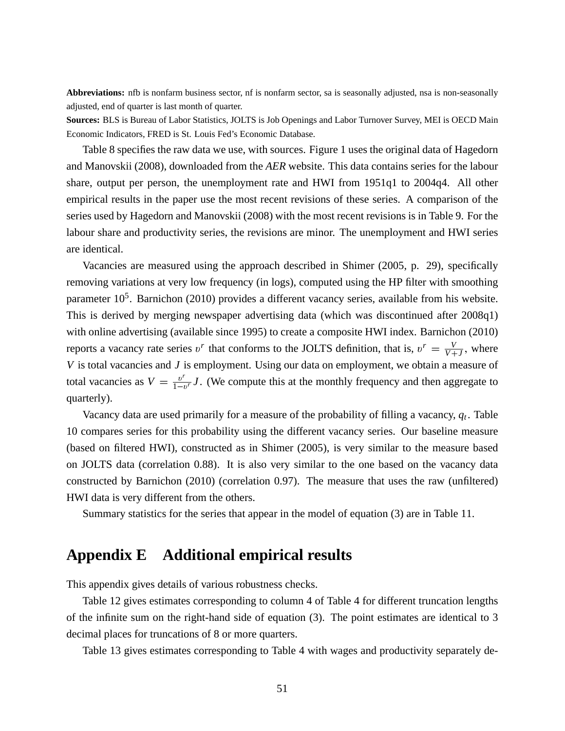**Abbreviations:** nfb is nonfarm business sector, nf is nonfarm sector, sa is seasonally adjusted, nsa is non-seasonally adjusted, end of quarter is last month of quarter.

**Sources:** BLS is Bureau of Labor Statistics, JOLTS is Job Openings and Labor Turnover Survey, MEI is OECD Main Economic Indicators, FRED is St. Louis Fed's Economic Database.

Table 8 specifies the raw data we use, with sources. Figure 1 uses the original data of Hagedorn and Manovskii (2008), downloaded from the *AER* website. This data contains series for the labour share, output per person, the unemployment rate and HWI from 1951q1 to 2004q4. All other empirical results in the paper use the most recent revisions of these series. A comparison of the series used by Hagedorn and Manovskii (2008) with the most recent revisions is in Table 9. For the labour share and productivity series, the revisions are minor. The unemployment and HWI series are identical.

Vacancies are measured using the approach described in Shimer (2005, p. 29), specifically removing variations at very low frequency (in logs), computed using the HP filter with smoothing parameter 10<sup>5</sup>. Barnichon (2010) provides a different vacancy series, available from his website. This is derived by merging newspaper advertising data (which was discontinued after 2008q1) with online advertising (available since 1995) to create a composite HWI index. Barnichon (2010) reports a vacancy rate series  $v^r$  that conforms to the JOLTS definition, that is,  $v^r = \frac{v}{v+1}$  $\frac{V}{V+J}$ , where *V* is total vacancies and *J* is employment. Using our data on employment, we obtain a measure of total vacancies as  $V = \frac{v^r}{1 - v^r}$  $\frac{v'}{1-v'}$  *J*. (We compute this at the monthly frequency and then aggregate to quarterly).

Vacancy data are used primarily for a measure of the probability of filling a vacancy, *q<sup>t</sup>* . Table 10 compares series for this probability using the different vacancy series. Our baseline measure (based on filtered HWI), constructed as in Shimer (2005), is very similar to the measure based on JOLTS data (correlation 0.88). It is also very similar to the one based on the vacancy data constructed by Barnichon (2010) (correlation 0.97). The measure that uses the raw (unfiltered) HWI data is very different from the others.

Summary statistics for the series that appear in the model of equation (3) are in Table 11.

# **Appendix E Additional empirical results**

This appendix gives details of various robustness checks.

Table 12 gives estimates corresponding to column 4 of Table 4 for different truncation lengths of the infinite sum on the right-hand side of equation (3). The point estimates are identical to 3 decimal places for truncations of 8 or more quarters.

Table 13 gives estimates corresponding to Table 4 with wages and productivity separately de-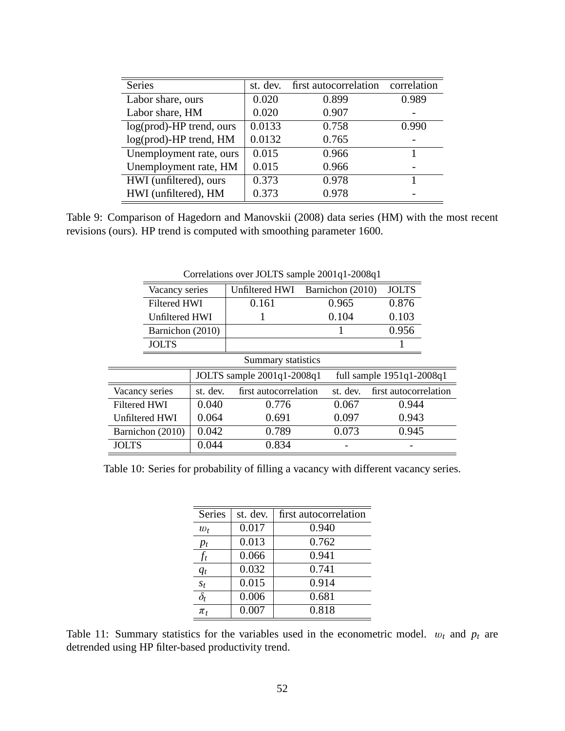| <b>Series</b>               | st. dev. | first autocorrelation | correlation |
|-----------------------------|----------|-----------------------|-------------|
| Labor share, ours           | 0.020    | 0.899                 | 0.989       |
| Labor share, HM             | 0.020    | 0.907                 |             |
| $log(pred)$ -HP trend, ours | 0.0133   | 0.758                 | 0.990       |
| log(prod)-HP trend, HM      | 0.0132   | 0.765                 |             |
| Unemployment rate, ours     | 0.015    | 0.966                 |             |
| Unemployment rate, HM       | 0.015    | 0.966                 |             |
| HWI (unfiltered), ours      | 0.373    | 0.978                 |             |
| HWI (unfiltered), HM        | 0.373    | 0.978                 |             |

Table 9: Comparison of Hagedorn and Manovskii (2008) data series (HM) with the most recent revisions (ours). HP trend is computed with smoothing parameter 1600.

|                                                           | Vacancy series      |          | <b>Unfiltered HWI</b> | Barnichon (2010) | <b>JOLTS</b>          |  |
|-----------------------------------------------------------|---------------------|----------|-----------------------|------------------|-----------------------|--|
|                                                           | <b>Filtered HWI</b> |          | 0.161                 | 0.965            | 0.876                 |  |
|                                                           | Unfiltered HWI      |          |                       | 0.104            | 0.103                 |  |
|                                                           | Barnichon (2010)    |          |                       |                  | 0.956                 |  |
|                                                           | <b>JOLTS</b>        |          |                       |                  |                       |  |
|                                                           |                     |          | Summary statistics    |                  |                       |  |
| JOLTS sample 2001q1-2008q1<br>full sample $1951q1-2008q1$ |                     |          |                       |                  |                       |  |
| Vacancy series                                            |                     | st. dev. | first autocorrelation | st. dev.         | first autocorrelation |  |
| <b>Filtered HWI</b>                                       |                     | 0.040    | 0.776                 | 0.067            | 0.944                 |  |
| Unfiltered HWI                                            |                     |          |                       |                  |                       |  |
|                                                           |                     | 0.064    | 0.691                 | 0.097            | 0.943                 |  |
|                                                           | Barnichon (2010)    | 0.042    | 0.789                 | 0.073            | 0.945                 |  |

Correlations over JOLTS sample 2001q1-2008q1

Table 10: Series for probability of filling a vacancy with different vacancy series.

| <b>Series</b> | st. dev.           | first autocorrelation |
|---------------|--------------------|-----------------------|
| $w_t$         | 0.017              | 0.940                 |
| $p_t$         | 0.013              | 0.762                 |
| $f_t$         | 0.066              | 0.941                 |
| $q_t$         | 0.032              | 0.741                 |
| $S_t$         | $\overline{0.015}$ | 0.914                 |
| $\delta_t$    | 0.006              | 0.681                 |
| $\pi_t$       | 0.007              | 0.818                 |

Table 11: Summary statistics for the variables used in the econometric model.  $w_t$  and  $p_t$  are detrended using HP filter-based productivity trend.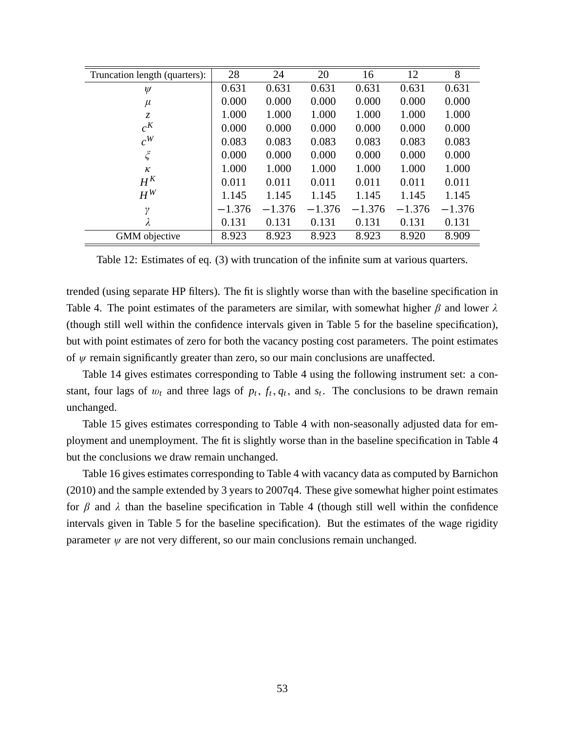| Truncation length (quarters): | 28       | 24       | 20       | 16       | 12       | 8        |
|-------------------------------|----------|----------|----------|----------|----------|----------|
| $\psi$                        | 0.631    | 0.631    | 0.631    | 0.631    | 0.631    | 0.631    |
| $\mu$                         | 0.000    | 0.000    | 0.000    | 0.000    | 0.000    | 0.000    |
| $\mathcal{Z}$                 | 1.000    | 1.000    | 1.000    | 1.000    | 1.000    | 1.000    |
| $c^{K}$                       | 0.000    | 0.000    | 0.000    | 0.000    | 0.000    | 0.000    |
| $c^W$                         | 0.083    | 0.083    | 0.083    | 0.083    | 0.083    | 0.083    |
| $\boldsymbol{\xi}$            | 0.000    | 0.000    | 0.000    | 0.000    | 0.000    | 0.000    |
| ĸ                             | 1.000    | 1.000    | 1.000    | 1.000    | 1.000    | 1.000    |
| $H^K$                         | 0.011    | 0.011    | 0.011    | 0.011    | 0.011    | 0.011    |
| $H^W$                         | 1.145    | 1.145    | 1.145    | 1.145    | 1.145    | 1.145    |
| γ                             | $-1.376$ | $-1.376$ | $-1.376$ | $-1.376$ | $-1.376$ | $-1.376$ |
| λ                             | 0.131    | 0.131    | 0.131    | 0.131    | 0.131    | 0.131    |
| GMM objective                 | 8.923    | 8.923    | 8.923    | 8.923    | 8.920    | 8.909    |

Table 12: Estimates of eq. (3) with truncation of the infinite sum at various quarters.

trended (using separate HP filters). The fit is slightly worse than with the baseline specification in Table 4. The point estimates of the parameters are similar, with somewhat higher  $\beta$  and lower  $\lambda$ (though still well within the confidence intervals given in Table 5 for the baseline specification), but with point estimates of zero for both the vacancy posting cost parameters. The point estimates of  $\psi$  remain significantly greater than zero, so our main conclusions are unaffected.

Table 14 gives estimates corresponding to Table 4 using the following instrument set: a constant, four lags of  $w_t$  and three lags of  $p_t$ ,  $f_t$ ,  $q_t$ , and  $s_t$ . The conclusions to be drawn remain unchanged.

Table 15 gives estimates corresponding to Table 4 with non-seasonally adjusted data for employment and unemployment. The fit is slightly worse than in the baseline specification in Table 4 but the conclusions we draw remain unchanged.

Table 16 gives estimates corresponding to Table 4 with vacancy data as computed by Barnichon (2010) and the sample extended by 3 years to 2007q4. These give somewhat higher point estimates for  $\beta$  and  $\lambda$  than the baseline specification in Table 4 (though still well within the confidence intervals given in Table 5 for the baseline specification). But the estimates of the wage rigidity parameter  $\psi$  are not very different, so our main conclusions remain unchanged.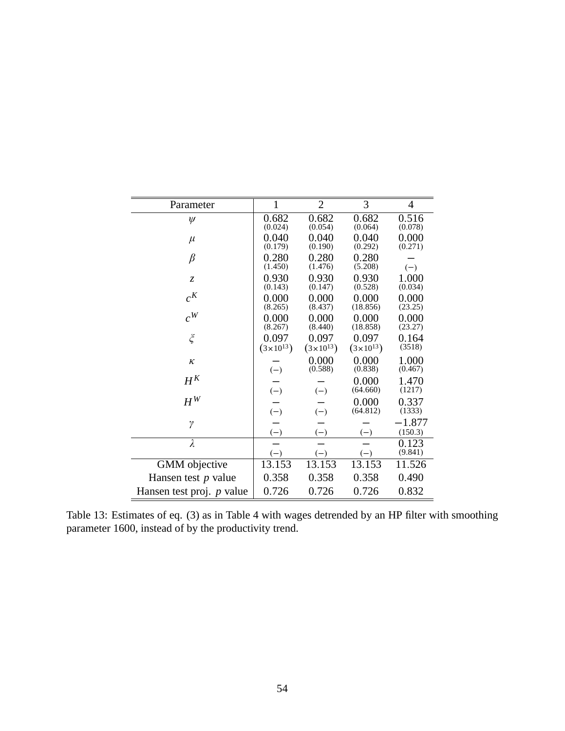| Parameter                   | 1                    | $\overline{2}$       | 3                    | $\overline{4}$ |
|-----------------------------|----------------------|----------------------|----------------------|----------------|
| $\psi$                      | 0.682                | 0.682                | 0.682                | 0.516          |
|                             | (0.024)              | (0.054)              | (0.064)              | (0.078)        |
| $\mu$                       | 0.040                | 0.040                | 0.040                | 0.000          |
|                             | (0.179)              | (0.190)              | (0.292)              | (0.271)        |
| $\beta$                     | 0.280                | 0.280                | 0.280                |                |
|                             | (1.450)              | (1.476)              | (5.208)              | $(-)$          |
| $\overline{z}$              | 0.930                | 0.930                | 0.930                | 1.000          |
|                             | (0.143)              | (0.147)              | (0.528)              | (0.034)        |
| $c^{K}$                     | 0.000                | 0.000                | 0.000                | 0.000          |
|                             | (8.265)              | (8.437)              | (18.856)             | (23.25)        |
| $c^W$                       | 0.000                | 0.000                | 0.000                | 0.000          |
|                             | (8.267)              | (8.440)              | (18.858)             | (23.27)        |
| $\zeta$                     | 0.097                | 0.097                | 0.097                | 0.164          |
|                             | $(3 \times 10^{13})$ | $(3 \times 10^{13})$ | $(3 \times 10^{13})$ | (3518)         |
| $\kappa$                    |                      | 0.000                | 0.000                | 1.000          |
|                             | $(-)$                | (0.588)              | (0.838)              | (0.467)        |
| $H^K$                       |                      |                      | 0.000                | 1.470          |
|                             | $(-)$                | $(-)$                | (64.660)             | (1217)         |
| $H^W$                       |                      |                      | 0.000                | 0.337          |
|                             | $(-)$                | $(-)$                | (64.812)             | (1333)         |
| $\gamma$                    |                      |                      |                      | $-1.877$       |
|                             | $(-)$                | $(-)$                | $(-)$                | (150.3)        |
| $\lambda$                   |                      |                      |                      | 0.123          |
|                             | $(-)$                | $(-)$                | $(-)$                | (9.841)        |
| GMM objective               | 13.153               | 13.153               | 13.153               | 11.526         |
| Hansen test $p$ value       | 0.358                | 0.358                | 0.358                | 0.490          |
| Hansen test proj. $p$ value | 0.726                | 0.726                | 0.726                | 0.832          |

Table 13: Estimates of eq. (3) as in Table 4 with wages detrended by an HP filter with smoothing parameter 1600, instead of by the productivity trend.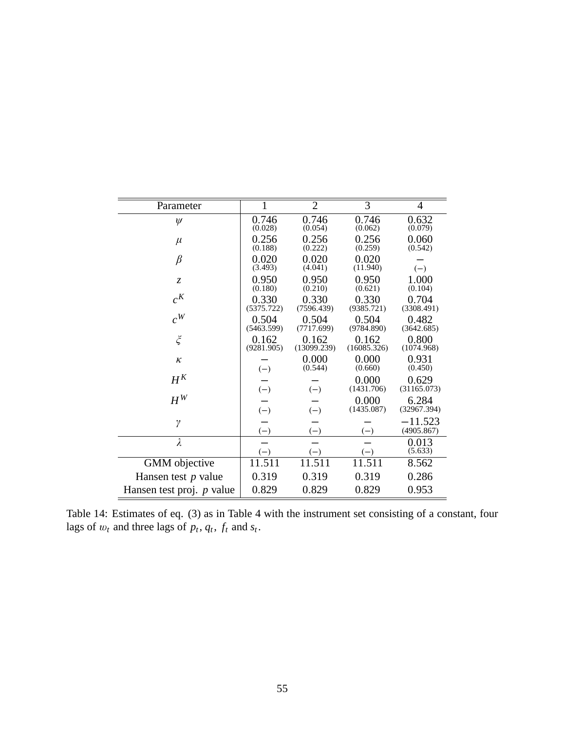| Parameter                 | $\mathbf{1}$                | $\overline{2}$              | 3                           | 4                           |
|---------------------------|-----------------------------|-----------------------------|-----------------------------|-----------------------------|
| $\psi$                    | 0.746                       | 0.746                       | 0.746                       | 0.632                       |
| $\mu$                     | (0.028)<br>0.256<br>(0.188) | (0.054)<br>0.256<br>(0.222) | (0.062)<br>0.256<br>(0.259) | (0.079)<br>0.060<br>(0.542) |
| $\beta$                   | 0.020<br>(3.493)            | 0.020<br>(4.041)            | 0.020<br>(11.940)           | $(-)$                       |
| $\overline{z}$            | 0.950<br>(0.180)            | 0.950<br>(0.210)            | 0.950<br>(0.621)            | 1.000<br>(0.104)            |
| $c^{K}$                   | 0.330<br>(5375.722)         | 0.330<br>(7596.439)         | 0.330<br>(9385.721)         | 0.704<br>(3308.491)         |
| $c^W$                     | 0.504<br>(5463.599)         | 0.504<br>(7717.699)         | 0.504<br>(9784.890)         | 0.482<br>(3642.685)         |
| $\zeta$                   | 0.162<br>(9281.905)         | 0.162<br>(13099.239)        | 0.162<br>(16085.326)        | 0.800<br>(1074.968)         |
| $\kappa$                  | $(-)$                       | 0.000<br>(0.544)            | 0.000<br>(0.660)            | 0.931<br>(0.450)            |
| $H^K$                     | $(-)$                       | $(-)$                       | 0.000<br>(1431.706)         | 0.629<br>(31165.073)        |
| $H^W$                     | $(-)$                       | $(-)$                       | 0.000<br>(1435.087)         | 6.284<br>(32967.394)        |
| $\gamma$                  | $(-)$                       | $(-)$                       | $(-)$                       | $-11.523$<br>(4905.867)     |
| $\lambda$                 | $(-)$                       | $(-)$                       | $(-)$                       | 0.013<br>(5.633)            |
| GMM objective             | 11.511                      | 11.511                      | 11.511                      | 8.562                       |
| Hansen test $p$ value     | 0.319                       | 0.319                       | 0.319                       | 0.286                       |
| Hansen test proj. p value | 0.829                       | 0.829                       | 0.829                       | 0.953                       |

Table 14: Estimates of eq. (3) as in Table 4 with the instrument set consisting of a constant, four lags of  $w_t$  and three lags of  $p_t$ ,  $q_t$ ,  $f_t$  and  $s_t$ .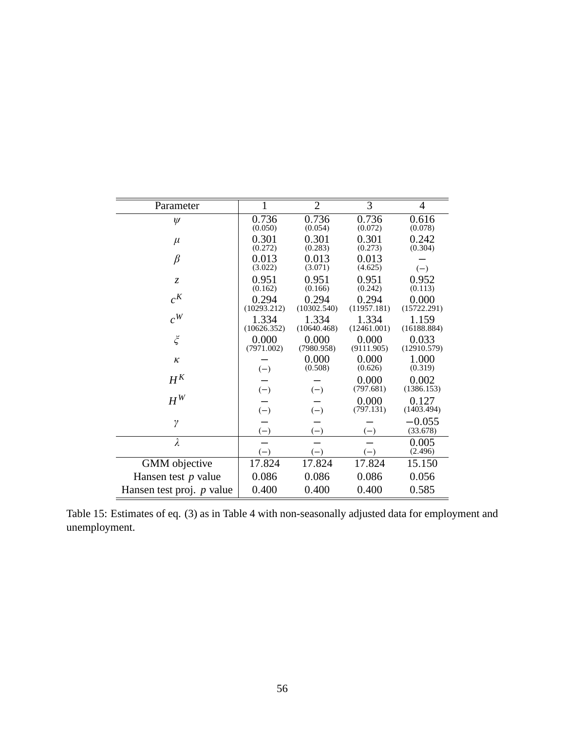| Parameter                   |                             | $\overline{2}$              | 3                           | $\overline{4}$              |
|-----------------------------|-----------------------------|-----------------------------|-----------------------------|-----------------------------|
| $\psi$                      | 0.736                       | 0.736                       | 0.736                       | 0.616                       |
| $\mu$                       | (0.050)<br>0.301<br>(0.272) | (0.054)<br>0.301<br>(0.283) | (0.072)<br>0.301<br>(0.273) | (0.078)<br>0.242<br>(0.304) |
| $\beta$                     | 0.013<br>(3.022)            | 0.013<br>(3.071)            | 0.013<br>(4.625)            | $(-)$                       |
| $\mathcal{Z}$               | 0.951<br>(0.162)            | 0.951<br>(0.166)            | 0.951<br>(0.242)            | 0.952<br>(0.113)            |
| $c^{K}$                     | 0.294<br>(10293.212)        | 0.294<br>(10302.540)        | 0.294<br>(11957.181)        | 0.000<br>(15722.291)        |
| $c^W$                       | 1.334<br>(10626.352)        | 1.334<br>(10640.468)        | 1.334<br>(12461.001)        | 1.159<br>(16188.884)        |
| $\widetilde{\zeta}$         | 0.000<br>(7971.002)         | 0.000<br>(7980.958)         | 0.000<br>(9111.905)         | 0.033<br>(12910.579)        |
| $\kappa$                    | $(-)$                       | 0.000<br>(0.508)            | 0.000<br>(0.626)            | 1.000<br>(0.319)            |
| $H^K$                       | $(-)$                       | $(-)$                       | 0.000<br>(797.681)          | 0.002<br>(1386.153)         |
| $H^W$                       | $(-)$                       | $(-)$                       | 0.000<br>(797.131)          | 0.127<br>(1403.494)         |
| $\gamma$                    | $(-)$                       | $(-)$                       | $(-)$                       | $-0.055$<br>(33.678)        |
| $\lambda$                   | $(-)$                       | $(-)$                       | $(-)$                       | 0.005<br>(2.496)            |
| <b>GMM</b> objective        | 17.824                      | 17.824                      | 17.824                      | 15.150                      |
| Hansen test $p$ value       | 0.086                       | 0.086                       | 0.086                       | 0.056                       |
| Hansen test proj. $p$ value | 0.400                       | 0.400                       | 0.400                       | 0.585                       |

Table 15: Estimates of eq. (3) as in Table 4 with non-seasonally adjusted data for employment and unemployment.